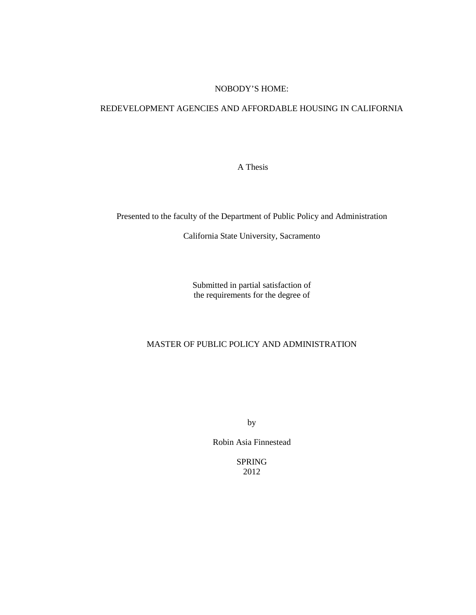## NOBODY'S HOME:

## REDEVELOPMENT AGENCIES AND AFFORDABLE HOUSING IN CALIFORNIA

A Thesis

Presented to the faculty of the Department of Public Policy and Administration

California State University, Sacramento

Submitted in partial satisfaction of the requirements for the degree of

# MASTER OF PUBLIC POLICY AND ADMINISTRATION

by

Robin Asia Finnestead

SPRING 2012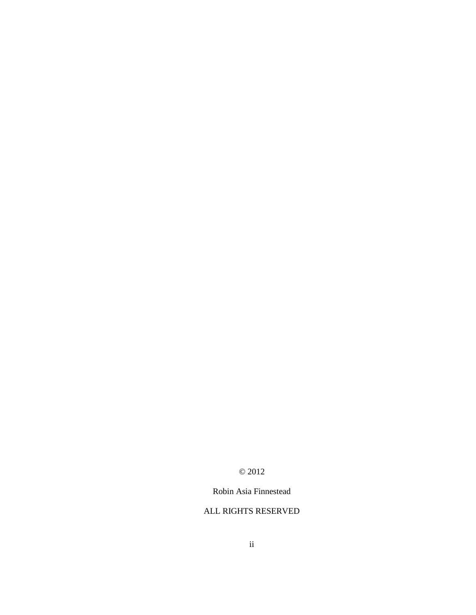# © 2012

# Robin Asia Finnestead

# ALL RIGHTS RESERVED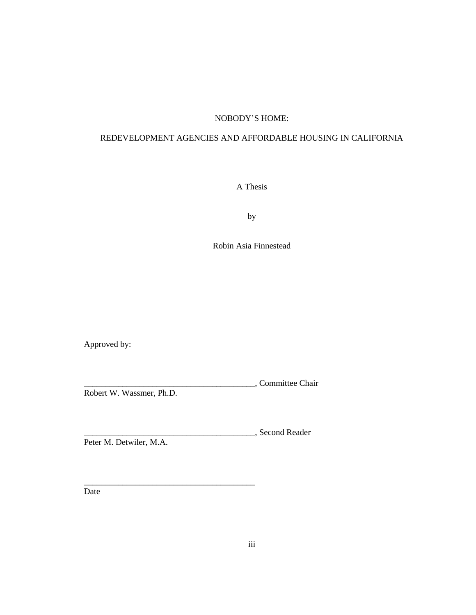# NOBODY'S HOME:

# REDEVELOPMENT AGENCIES AND AFFORDABLE HOUSING IN CALIFORNIA

A Thesis

by

Robin Asia Finnestead

Approved by:

\_\_\_\_\_\_\_\_\_\_\_\_\_\_\_\_\_\_\_\_\_\_\_\_\_\_\_\_\_\_\_\_\_\_\_\_\_\_\_\_, Committee Chair Robert W. Wassmer, Ph.D.

\_\_\_\_\_\_\_\_\_\_\_\_\_\_\_\_\_\_\_\_\_\_\_\_\_\_\_\_\_\_\_\_\_\_\_\_\_\_\_\_, Second Reader Peter M. Detwiler, M.A.

\_\_\_\_\_\_\_\_\_\_\_\_\_\_\_\_\_\_\_\_\_\_\_\_\_\_\_\_\_\_\_\_\_\_\_\_\_\_\_\_

Date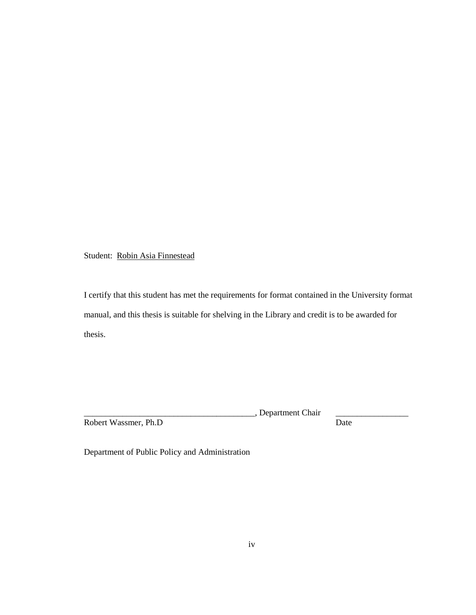Student: Robin Asia Finnestead

I certify that this student has met the requirements for format contained in the University format manual, and this thesis is suitable for shelving in the Library and credit is to be awarded for thesis.

Robert Wassmer, Ph.D

\_\_, Department Chair  $\frac{1}{\text{Date}}$ 

Department of Public Policy and Administration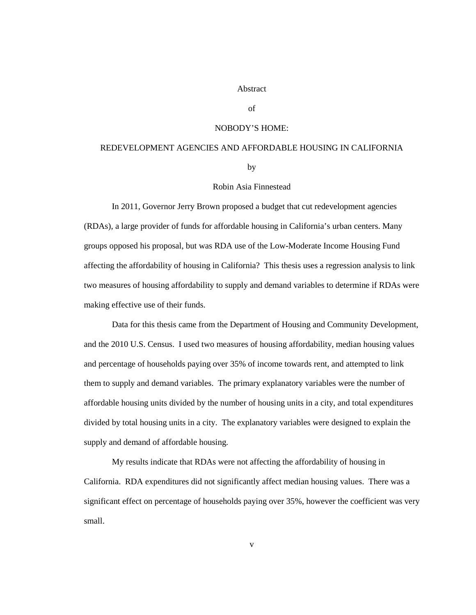#### Abstract

#### of

### NOBODY'S HOME:

## REDEVELOPMENT AGENCIES AND AFFORDABLE HOUSING IN CALIFORNIA

by

#### Robin Asia Finnestead

In 2011, Governor Jerry Brown proposed a budget that cut redevelopment agencies (RDAs), a large provider of funds for affordable housing in California's urban centers. Many groups opposed his proposal, but was RDA use of the Low-Moderate Income Housing Fund affecting the affordability of housing in California? This thesis uses a regression analysis to link two measures of housing affordability to supply and demand variables to determine if RDAs were making effective use of their funds.

Data for this thesis came from the Department of Housing and Community Development, and the 2010 U.S. Census. I used two measures of housing affordability, median housing values and percentage of households paying over 35% of income towards rent, and attempted to link them to supply and demand variables. The primary explanatory variables were the number of affordable housing units divided by the number of housing units in a city, and total expenditures divided by total housing units in a city. The explanatory variables were designed to explain the supply and demand of affordable housing.

My results indicate that RDAs were not affecting the affordability of housing in California. RDA expenditures did not significantly affect median housing values. There was a significant effect on percentage of households paying over 35%, however the coefficient was very small.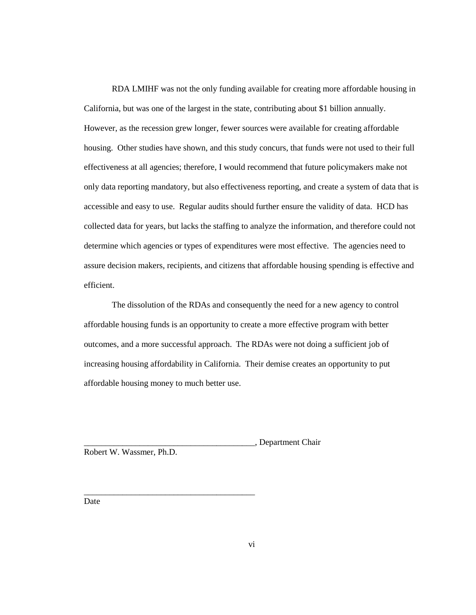RDA LMIHF was not the only funding available for creating more affordable housing in California, but was one of the largest in the state, contributing about \$1 billion annually. However, as the recession grew longer, fewer sources were available for creating affordable housing. Other studies have shown, and this study concurs, that funds were not used to their full effectiveness at all agencies; therefore, I would recommend that future policymakers make not only data reporting mandatory, but also effectiveness reporting, and create a system of data that is accessible and easy to use. Regular audits should further ensure the validity of data. HCD has collected data for years, but lacks the staffing to analyze the information, and therefore could not determine which agencies or types of expenditures were most effective. The agencies need to assure decision makers, recipients, and citizens that affordable housing spending is effective and efficient.

The dissolution of the RDAs and consequently the need for a new agency to control affordable housing funds is an opportunity to create a more effective program with better outcomes, and a more successful approach. The RDAs were not doing a sufficient job of increasing housing affordability in California. Their demise creates an opportunity to put affordable housing money to much better use.

\_\_\_\_\_\_\_\_\_\_\_\_\_\_\_\_\_\_\_\_\_\_\_\_\_\_\_\_\_\_\_\_\_\_\_\_\_\_\_\_, Department Chair

\_\_\_\_\_\_\_\_\_\_\_\_\_\_\_\_\_\_\_\_\_\_\_\_\_\_\_\_\_\_\_\_\_\_\_\_\_\_\_\_

Robert W. Wassmer, Ph.D.

Date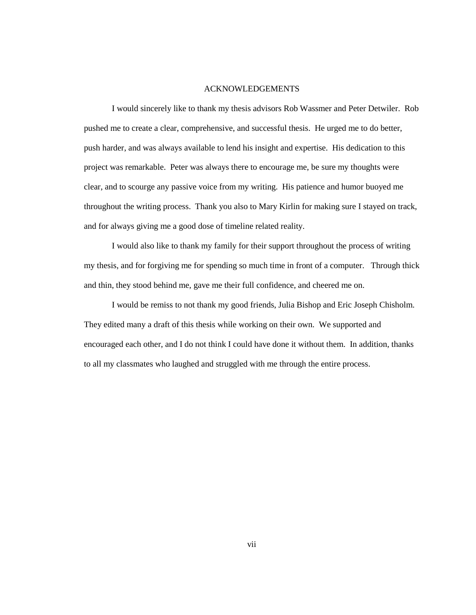#### ACKNOWLEDGEMENTS

I would sincerely like to thank my thesis advisors Rob Wassmer and Peter Detwiler. Rob pushed me to create a clear, comprehensive, and successful thesis. He urged me to do better, push harder, and was always available to lend his insight and expertise. His dedication to this project was remarkable. Peter was always there to encourage me, be sure my thoughts were clear, and to scourge any passive voice from my writing. His patience and humor buoyed me throughout the writing process. Thank you also to Mary Kirlin for making sure I stayed on track, and for always giving me a good dose of timeline related reality.

I would also like to thank my family for their support throughout the process of writing my thesis, and for forgiving me for spending so much time in front of a computer. Through thick and thin, they stood behind me, gave me their full confidence, and cheered me on.

I would be remiss to not thank my good friends, Julia Bishop and Eric Joseph Chisholm. They edited many a draft of this thesis while working on their own. We supported and encouraged each other, and I do not think I could have done it without them. In addition, thanks to all my classmates who laughed and struggled with me through the entire process.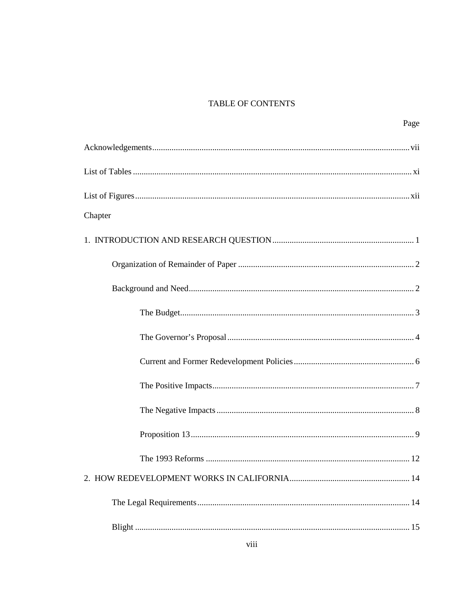# TABLE OF CONTENTS

| Page    |
|---------|
|         |
|         |
|         |
| Chapter |
|         |
|         |
|         |
|         |
|         |
|         |
|         |
|         |
|         |
|         |
|         |
|         |
|         |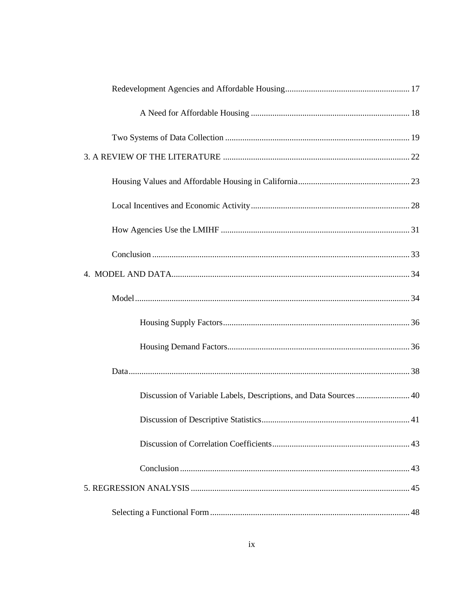| Discussion of Variable Labels, Descriptions, and Data Sources 40 |  |
|------------------------------------------------------------------|--|
|                                                                  |  |
|                                                                  |  |
|                                                                  |  |
|                                                                  |  |
|                                                                  |  |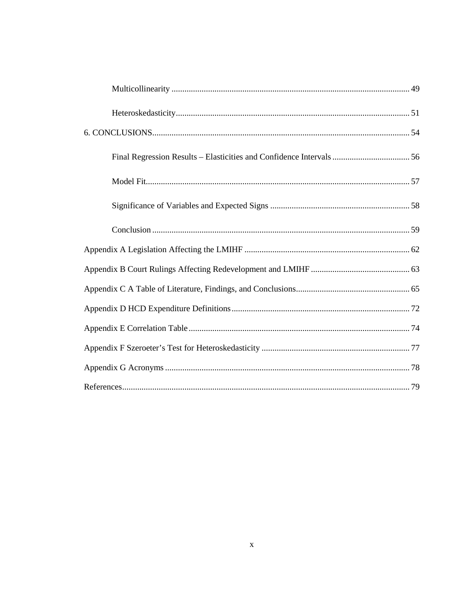| Final Regression Results – Elasticities and Confidence Intervals  56 |  |
|----------------------------------------------------------------------|--|
|                                                                      |  |
|                                                                      |  |
|                                                                      |  |
|                                                                      |  |
|                                                                      |  |
|                                                                      |  |
|                                                                      |  |
|                                                                      |  |
|                                                                      |  |
|                                                                      |  |
|                                                                      |  |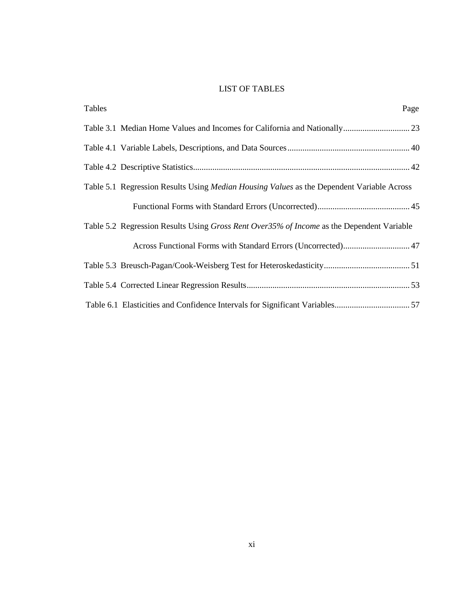# LIST OF TABLES

| Tables | Page                                                                                             |
|--------|--------------------------------------------------------------------------------------------------|
|        |                                                                                                  |
|        |                                                                                                  |
|        |                                                                                                  |
|        | Table 5.1 Regression Results Using <i>Median Housing Values</i> as the Dependent Variable Across |
|        |                                                                                                  |
|        | Table 5.2 Regression Results Using Gross Rent Over35% of Income as the Dependent Variable        |
|        | Across Functional Forms with Standard Errors (Uncorrected) 47                                    |
|        |                                                                                                  |
|        |                                                                                                  |
|        |                                                                                                  |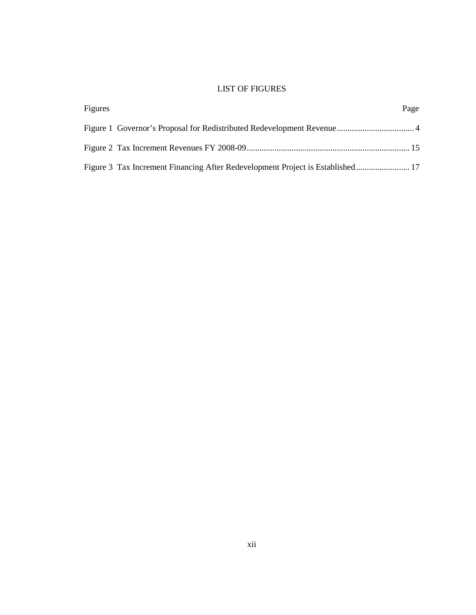# LIST OF FIGURES

| Figures |                                                                                | Page |
|---------|--------------------------------------------------------------------------------|------|
|         |                                                                                |      |
|         |                                                                                |      |
|         | Figure 3 Tax Increment Financing After Redevelopment Project is Established 17 |      |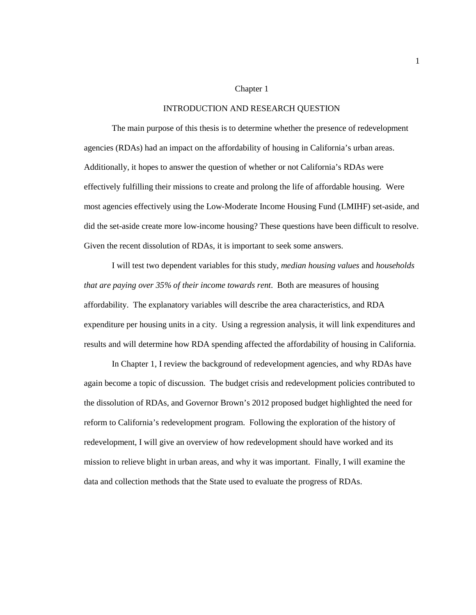#### Chapter 1

#### INTRODUCTION AND RESEARCH QUESTION

The main purpose of this thesis is to determine whether the presence of redevelopment agencies (RDAs) had an impact on the affordability of housing in California's urban areas. Additionally, it hopes to answer the question of whether or not California's RDAs were effectively fulfilling their missions to create and prolong the life of affordable housing. Were most agencies effectively using the Low-Moderate Income Housing Fund (LMIHF) set-aside, and did the set-aside create more low-income housing? These questions have been difficult to resolve. Given the recent dissolution of RDAs, it is important to seek some answers.

I will test two dependent variables for this study, *median housing values* and *households that are paying over 35% of their income towards rent*. Both are measures of housing affordability. The explanatory variables will describe the area characteristics, and RDA expenditure per housing units in a city. Using a regression analysis, it will link expenditures and results and will determine how RDA spending affected the affordability of housing in California.

In Chapter 1, I review the background of redevelopment agencies, and why RDAs have again become a topic of discussion. The budget crisis and redevelopment policies contributed to the dissolution of RDAs, and Governor Brown's 2012 proposed budget highlighted the need for reform to California's redevelopment program. Following the exploration of the history of redevelopment, I will give an overview of how redevelopment should have worked and its mission to relieve blight in urban areas, and why it was important. Finally, I will examine the data and collection methods that the State used to evaluate the progress of RDAs.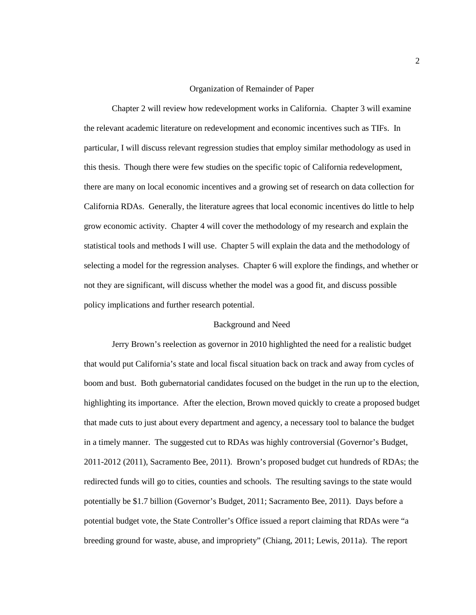#### Organization of Remainder of Paper

Chapter 2 will review how redevelopment works in California. Chapter 3 will examine the relevant academic literature on redevelopment and economic incentives such as TIFs. In particular, I will discuss relevant regression studies that employ similar methodology as used in this thesis. Though there were few studies on the specific topic of California redevelopment, there are many on local economic incentives and a growing set of research on data collection for California RDAs. Generally, the literature agrees that local economic incentives do little to help grow economic activity. Chapter 4 will cover the methodology of my research and explain the statistical tools and methods I will use. Chapter 5 will explain the data and the methodology of selecting a model for the regression analyses. Chapter 6 will explore the findings, and whether or not they are significant, will discuss whether the model was a good fit, and discuss possible policy implications and further research potential.

### Background and Need

Jerry Brown's reelection as governor in 2010 highlighted the need for a realistic budget that would put California's state and local fiscal situation back on track and away from cycles of boom and bust. Both gubernatorial candidates focused on the budget in the run up to the election, highlighting its importance. After the election, Brown moved quickly to create a proposed budget that made cuts to just about every department and agency, a necessary tool to balance the budget in a timely manner. The suggested cut to RDAs was highly controversial (Governor's Budget, 2011-2012 (2011), Sacramento Bee, 2011). Brown's proposed budget cut hundreds of RDAs; the redirected funds will go to cities, counties and schools. The resulting savings to the state would potentially be \$1.7 billion (Governor's Budget, 2011; Sacramento Bee, 2011). Days before a potential budget vote, the State Controller's Office issued a report claiming that RDAs were "a breeding ground for waste, abuse, and impropriety" (Chiang, 2011; Lewis, 2011a). The report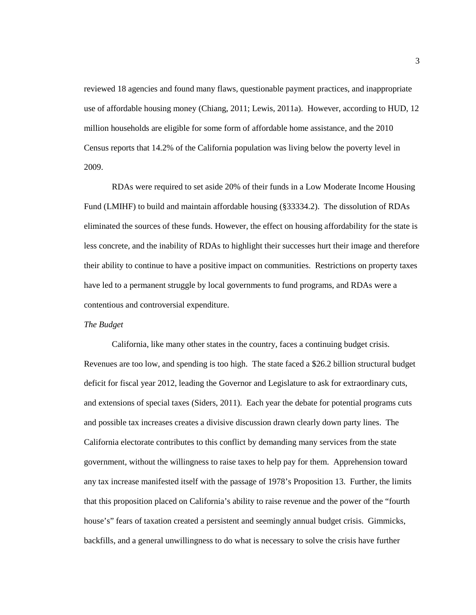reviewed 18 agencies and found many flaws, questionable payment practices, and inappropriate use of affordable housing money (Chiang, 2011; Lewis, 2011a). However, according to HUD, 12 million households are eligible for some form of affordable home assistance, and the 2010 Census reports that 14.2% of the California population was living below the poverty level in 2009.

RDAs were required to set aside 20% of their funds in a Low Moderate Income Housing Fund (LMIHF) to build and maintain affordable housing (§33334.2). The dissolution of RDAs eliminated the sources of these funds. However, the effect on housing affordability for the state is less concrete, and the inability of RDAs to highlight their successes hurt their image and therefore their ability to continue to have a positive impact on communities. Restrictions on property taxes have led to a permanent struggle by local governments to fund programs, and RDAs were a contentious and controversial expenditure.

#### *The Budget*

California, like many other states in the country, faces a continuing budget crisis. Revenues are too low, and spending is too high. The state faced a \$26.2 billion structural budget deficit for fiscal year 2012, leading the Governor and Legislature to ask for extraordinary cuts, and extensions of special taxes (Siders, 2011). Each year the debate for potential programs cuts and possible tax increases creates a divisive discussion drawn clearly down party lines. The California electorate contributes to this conflict by demanding many services from the state government, without the willingness to raise taxes to help pay for them. Apprehension toward any tax increase manifested itself with the passage of 1978's Proposition 13. Further, the limits that this proposition placed on California's ability to raise revenue and the power of the "fourth house's" fears of taxation created a persistent and seemingly annual budget crisis. Gimmicks, backfills, and a general unwillingness to do what is necessary to solve the crisis have further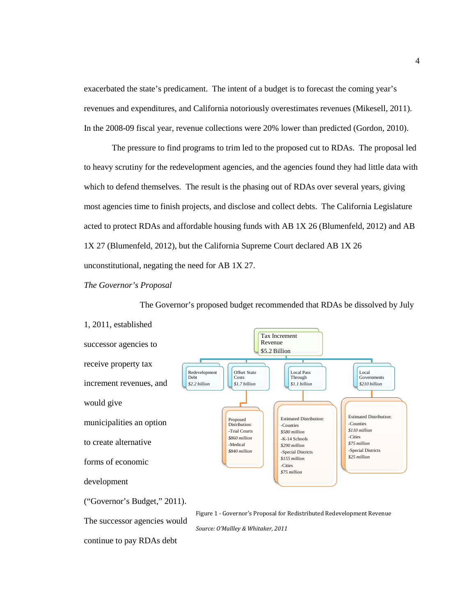exacerbated the state's predicament. The intent of a budget is to forecast the coming year's revenues and expenditures, and California notoriously overestimates revenues (Mikesell, 2011). In the 2008-09 fiscal year, revenue collections were 20% lower than predicted (Gordon, 2010).

The pressure to find programs to trim led to the proposed cut to RDAs. The proposal led to heavy scrutiny for the redevelopment agencies, and the agencies found they had little data with which to defend themselves. The result is the phasing out of RDAs over several years, giving most agencies time to finish projects, and disclose and collect debts. The California Legislature acted to protect RDAs and affordable housing funds with AB 1X 26 (Blumenfeld, 2012) and AB 1X 27 (Blumenfeld, 2012), but the California Supreme Court declared AB 1X 26 unconstitutional, negating the need for AB 1X 27.

### *The Governor's Proposal*

The Governor's proposed budget recommended that RDAs be dissolved by July

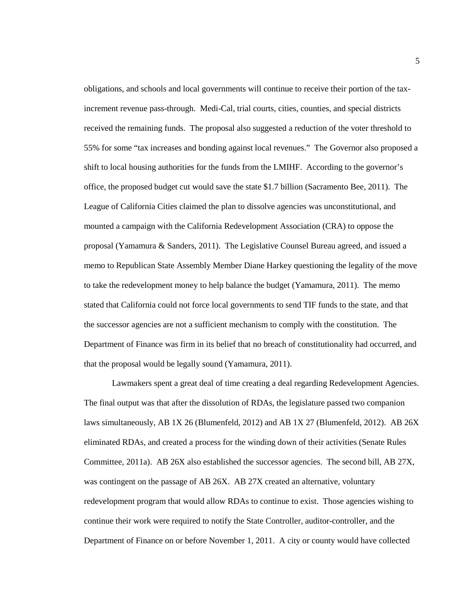obligations, and schools and local governments will continue to receive their portion of the taxincrement revenue pass-through. Medi-Cal, trial courts, cities, counties, and special districts received the remaining funds. The proposal also suggested a reduction of the voter threshold to 55% for some "tax increases and bonding against local revenues." The Governor also proposed a shift to local housing authorities for the funds from the LMIHF. According to the governor's office, the proposed budget cut would save the state \$1.7 billion (Sacramento Bee, 2011). The League of California Cities claimed the plan to dissolve agencies was unconstitutional, and mounted a campaign with the California Redevelopment Association (CRA) to oppose the proposal (Yamamura & Sanders, 2011). The Legislative Counsel Bureau agreed, and issued a memo to Republican State Assembly Member Diane Harkey questioning the legality of the move to take the redevelopment money to help balance the budget (Yamamura, 2011). The memo stated that California could not force local governments to send TIF funds to the state, and that the successor agencies are not a sufficient mechanism to comply with the constitution. The Department of Finance was firm in its belief that no breach of constitutionality had occurred, and that the proposal would be legally sound (Yamamura, 2011).

Lawmakers spent a great deal of time creating a deal regarding Redevelopment Agencies. The final output was that after the dissolution of RDAs, the legislature passed two companion laws simultaneously, AB 1X 26 (Blumenfeld, 2012) and AB 1X 27 (Blumenfeld, 2012). AB 26X eliminated RDAs, and created a process for the winding down of their activities (Senate Rules Committee, 2011a). AB 26X also established the successor agencies. The second bill, AB 27X, was contingent on the passage of AB 26X. AB 27X created an alternative, voluntary redevelopment program that would allow RDAs to continue to exist. Those agencies wishing to continue their work were required to notify the State Controller, auditor-controller, and the Department of Finance on or before November 1, 2011. A city or county would have collected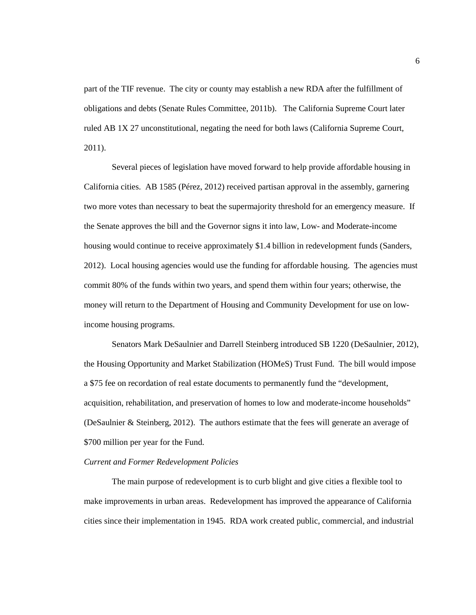part of the TIF revenue. The city or county may establish a new RDA after the fulfillment of obligations and debts (Senate Rules Committee, 2011b). The California Supreme Court later ruled AB 1X 27 unconstitutional, negating the need for both laws (California Supreme Court, 2011).

Several pieces of legislation have moved forward to help provide affordable housing in California cities. AB 1585 (Pérez, 2012) received partisan approval in the assembly, garnering two more votes than necessary to beat the supermajority threshold for an emergency measure. If the Senate approves the bill and the Governor signs it into law, Low- and Moderate-income housing would continue to receive approximately \$1.4 billion in redevelopment funds (Sanders, 2012). Local housing agencies would use the funding for affordable housing. The agencies must commit 80% of the funds within two years, and spend them within four years; otherwise, the money will return to the Department of Housing and Community Development for use on lowincome housing programs.

Senators Mark DeSaulnier and Darrell Steinberg introduced SB 1220 (DeSaulnier, 2012), the Housing Opportunity and Market Stabilization (HOMeS) Trust Fund. The bill would impose a \$75 fee on recordation of real estate documents to permanently fund the "development, acquisition, rehabilitation, and preservation of homes to low and moderate-income households" (DeSaulnier & Steinberg, 2012). The authors estimate that the fees will generate an average of \$700 million per year for the Fund.

### *Current and Former Redevelopment Policies*

The main purpose of redevelopment is to curb blight and give cities a flexible tool to make improvements in urban areas. Redevelopment has improved the appearance of California cities since their implementation in 1945. RDA work created public, commercial, and industrial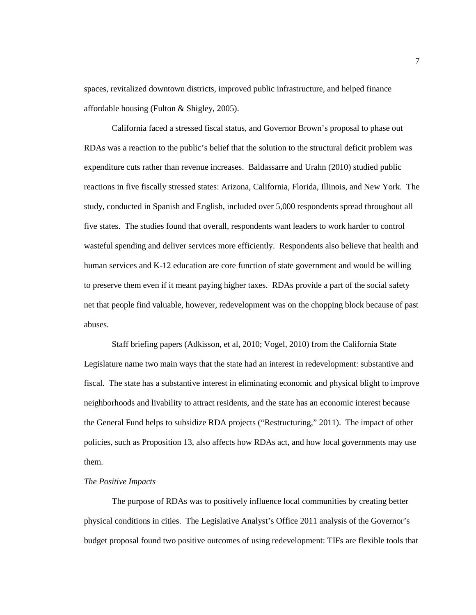spaces, revitalized downtown districts, improved public infrastructure, and helped finance affordable housing (Fulton & Shigley, 2005).

California faced a stressed fiscal status, and Governor Brown's proposal to phase out RDAs was a reaction to the public's belief that the solution to the structural deficit problem was expenditure cuts rather than revenue increases. Baldassarre and Urahn (2010) studied public reactions in five fiscally stressed states: Arizona, California, Florida, Illinois, and New York. The study, conducted in Spanish and English, included over 5,000 respondents spread throughout all five states. The studies found that overall, respondents want leaders to work harder to control wasteful spending and deliver services more efficiently. Respondents also believe that health and human services and K-12 education are core function of state government and would be willing to preserve them even if it meant paying higher taxes. RDAs provide a part of the social safety net that people find valuable, however, redevelopment was on the chopping block because of past abuses.

Staff briefing papers (Adkisson, et al, 2010; Vogel, 2010) from the California State Legislature name two main ways that the state had an interest in redevelopment: substantive and fiscal. The state has a substantive interest in eliminating economic and physical blight to improve neighborhoods and livability to attract residents, and the state has an economic interest because the General Fund helps to subsidize RDA projects ("Restructuring," 2011). The impact of other policies, such as Proposition 13, also affects how RDAs act, and how local governments may use them.

### *The Positive Impacts*

The purpose of RDAs was to positively influence local communities by creating better physical conditions in cities. The Legislative Analyst's Office 2011 analysis of the Governor's budget proposal found two positive outcomes of using redevelopment: TIFs are flexible tools that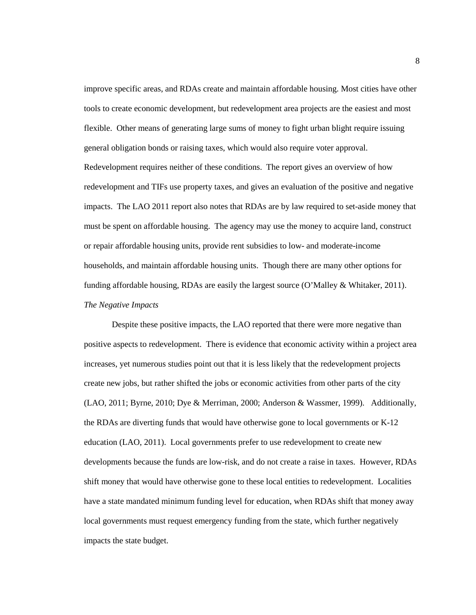improve specific areas, and RDAs create and maintain affordable housing. Most cities have other tools to create economic development, but redevelopment area projects are the easiest and most flexible. Other means of generating large sums of money to fight urban blight require issuing general obligation bonds or raising taxes, which would also require voter approval. Redevelopment requires neither of these conditions. The report gives an overview of how redevelopment and TIFs use property taxes, and gives an evaluation of the positive and negative impacts. The LAO 2011 report also notes that RDAs are by law required to set-aside money that must be spent on affordable housing. The agency may use the money to acquire land, construct or repair affordable housing units, provide rent subsidies to low- and moderate-income households, and maintain affordable housing units. Though there are many other options for funding affordable housing, RDAs are easily the largest source (O'Malley & Whitaker, 2011). *The Negative Impacts*

Despite these positive impacts, the LAO reported that there were more negative than positive aspects to redevelopment. There is evidence that economic activity within a project area increases, yet numerous studies point out that it is less likely that the redevelopment projects create new jobs, but rather shifted the jobs or economic activities from other parts of the city (LAO, 2011; Byrne, 2010; Dye & Merriman, 2000; Anderson & Wassmer, 1999). Additionally, the RDAs are diverting funds that would have otherwise gone to local governments or K-12 education (LAO, 2011). Local governments prefer to use redevelopment to create new developments because the funds are low-risk, and do not create a raise in taxes. However, RDAs shift money that would have otherwise gone to these local entities to redevelopment. Localities have a state mandated minimum funding level for education, when RDAs shift that money away local governments must request emergency funding from the state, which further negatively impacts the state budget.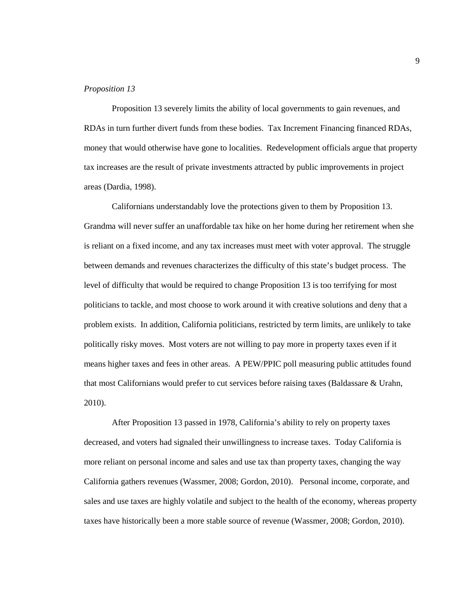#### *Proposition 13*

Proposition 13 severely limits the ability of local governments to gain revenues, and RDAs in turn further divert funds from these bodies. Tax Increment Financing financed RDAs, money that would otherwise have gone to localities. Redevelopment officials argue that property tax increases are the result of private investments attracted by public improvements in project areas (Dardia, 1998).

Californians understandably love the protections given to them by Proposition 13. Grandma will never suffer an unaffordable tax hike on her home during her retirement when she is reliant on a fixed income, and any tax increases must meet with voter approval. The struggle between demands and revenues characterizes the difficulty of this state's budget process. The level of difficulty that would be required to change Proposition 13 is too terrifying for most politicians to tackle, and most choose to work around it with creative solutions and deny that a problem exists. In addition, California politicians, restricted by term limits, are unlikely to take politically risky moves. Most voters are not willing to pay more in property taxes even if it means higher taxes and fees in other areas. A PEW/PPIC poll measuring public attitudes found that most Californians would prefer to cut services before raising taxes (Baldassare & Urahn, 2010).

After Proposition 13 passed in 1978, California's ability to rely on property taxes decreased, and voters had signaled their unwillingness to increase taxes. Today California is more reliant on personal income and sales and use tax than property taxes, changing the way California gathers revenues (Wassmer, 2008; Gordon, 2010). Personal income, corporate, and sales and use taxes are highly volatile and subject to the health of the economy, whereas property taxes have historically been a more stable source of revenue (Wassmer, 2008; Gordon, 2010).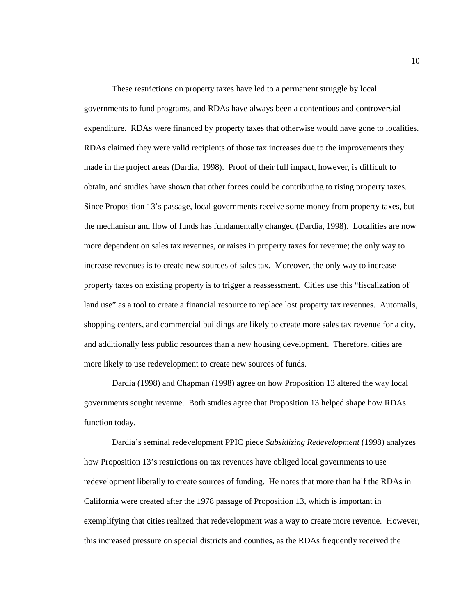These restrictions on property taxes have led to a permanent struggle by local governments to fund programs, and RDAs have always been a contentious and controversial expenditure. RDAs were financed by property taxes that otherwise would have gone to localities. RDAs claimed they were valid recipients of those tax increases due to the improvements they made in the project areas (Dardia, 1998). Proof of their full impact, however, is difficult to obtain, and studies have shown that other forces could be contributing to rising property taxes. Since Proposition 13's passage, local governments receive some money from property taxes, but the mechanism and flow of funds has fundamentally changed (Dardia, 1998). Localities are now more dependent on sales tax revenues, or raises in property taxes for revenue; the only way to increase revenues is to create new sources of sales tax. Moreover, the only way to increase property taxes on existing property is to trigger a reassessment. Cities use this "fiscalization of land use" as a tool to create a financial resource to replace lost property tax revenues. Automalls, shopping centers, and commercial buildings are likely to create more sales tax revenue for a city, and additionally less public resources than a new housing development. Therefore, cities are more likely to use redevelopment to create new sources of funds.

Dardia (1998) and Chapman (1998) agree on how Proposition 13 altered the way local governments sought revenue. Both studies agree that Proposition 13 helped shape how RDAs function today.

Dardia's seminal redevelopment PPIC piece *Subsidizing Redevelopment* (1998) analyzes how Proposition 13's restrictions on tax revenues have obliged local governments to use redevelopment liberally to create sources of funding. He notes that more than half the RDAs in California were created after the 1978 passage of Proposition 13, which is important in exemplifying that cities realized that redevelopment was a way to create more revenue. However, this increased pressure on special districts and counties, as the RDAs frequently received the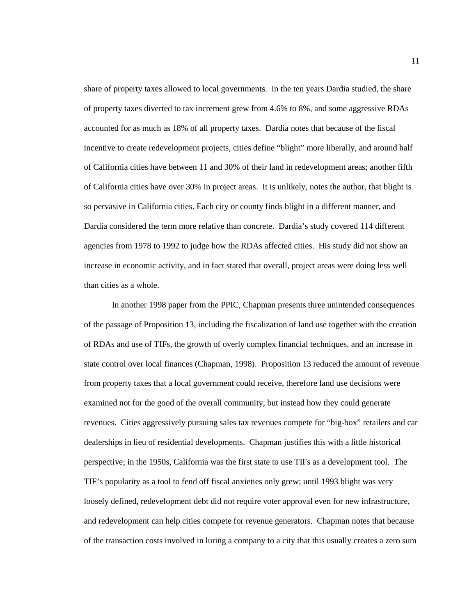share of property taxes allowed to local governments. In the ten years Dardia studied, the share of property taxes diverted to tax increment grew from 4.6% to 8%, and some aggressive RDAs accounted for as much as 18% of all property taxes. Dardia notes that because of the fiscal incentive to create redevelopment projects, cities define "blight" more liberally, and around half of California cities have between 11 and 30% of their land in redevelopment areas; another fifth of California cities have over 30% in project areas. It is unlikely, notes the author, that blight is so pervasive in California cities. Each city or county finds blight in a different manner, and Dardia considered the term more relative than concrete. Dardia's study covered 114 different agencies from 1978 to 1992 to judge how the RDAs affected cities. His study did not show an increase in economic activity, and in fact stated that overall, project areas were doing less well than cities as a whole.

In another 1998 paper from the PPIC, Chapman presents three unintended consequences of the passage of Proposition 13, including the fiscalization of land use together with the creation of RDAs and use of TIFs, the growth of overly complex financial techniques, and an increase in state control over local finances (Chapman, 1998). Proposition 13 reduced the amount of revenue from property taxes that a local government could receive, therefore land use decisions were examined not for the good of the overall community, but instead how they could generate revenues. Cities aggressively pursuing sales tax revenues compete for "big-box" retailers and car dealerships in lieu of residential developments. Chapman justifies this with a little historical perspective; in the 1950s, California was the first state to use TIFs as a development tool. The TIF's popularity as a tool to fend off fiscal anxieties only grew; until 1993 blight was very loosely defined, redevelopment debt did not require voter approval even for new infrastructure, and redevelopment can help cities compete for revenue generators. Chapman notes that because of the transaction costs involved in luring a company to a city that this usually creates a zero sum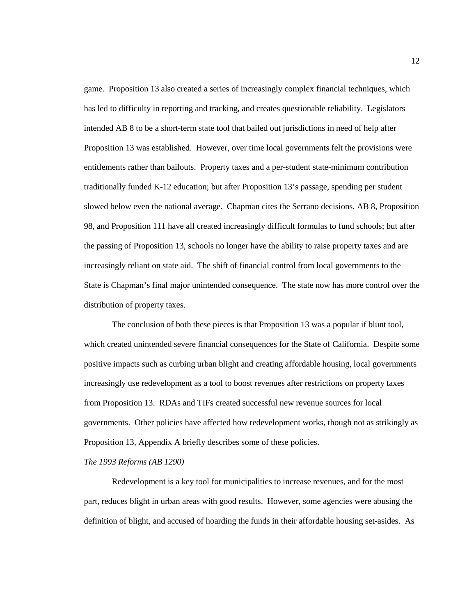game. Proposition 13 also created a series of increasingly complex financial techniques, which has led to difficulty in reporting and tracking, and creates questionable reliability. Legislators intended AB 8 to be a short-term state tool that bailed out jurisdictions in need of help after Proposition 13 was established. However, over time local governments felt the provisions were entitlements rather than bailouts. Property taxes and a per-student state-minimum contribution traditionally funded K-12 education; but after Proposition 13's passage, spending per student slowed below even the national average. Chapman cites the Serrano decisions, AB 8, Proposition 98, and Proposition 111 have all created increasingly difficult formulas to fund schools; but after the passing of Proposition 13, schools no longer have the ability to raise property taxes and are increasingly reliant on state aid. The shift of financial control from local governments to the State is Chapman's final major unintended consequence. The state now has more control over the distribution of property taxes.

The conclusion of both these pieces is that Proposition 13 was a popular if blunt tool, which created unintended severe financial consequences for the State of California. Despite some positive impacts such as curbing urban blight and creating affordable housing, local governments increasingly use redevelopment as a tool to boost revenues after restrictions on property taxes from Proposition 13. RDAs and TIFs created successful new revenue sources for local governments. Other policies have affected how redevelopment works, though not as strikingly as Proposition 13, Appendix A briefly describes some of these policies.

*The 1993 Reforms (AB 1290)*

Redevelopment is a key tool for municipalities to increase revenues, and for the most part, reduces blight in urban areas with good results. However, some agencies were abusing the definition of blight, and accused of hoarding the funds in their affordable housing set-asides. As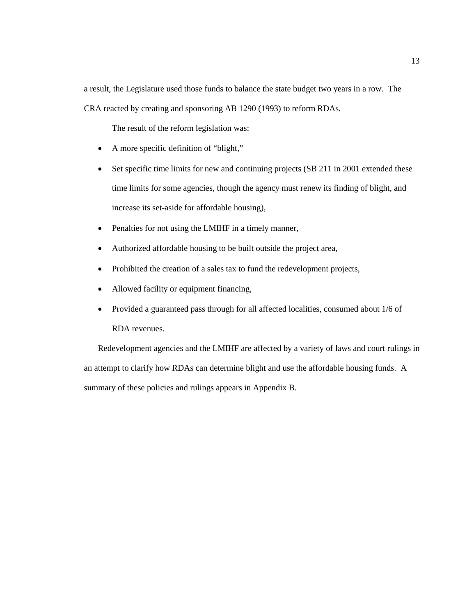a result, the Legislature used those funds to balance the state budget two years in a row. The CRA reacted by creating and sponsoring AB 1290 (1993) to reform RDAs.

The result of the reform legislation was:

- A more specific definition of "blight,"
- Set specific time limits for new and continuing projects (SB 211 in 2001 extended these time limits for some agencies, though the agency must renew its finding of blight, and increase its set-aside for affordable housing),
- Penalties for not using the LMIHF in a timely manner,
- Authorized affordable housing to be built outside the project area,
- Prohibited the creation of a sales tax to fund the redevelopment projects,
- Allowed facility or equipment financing,
- Provided a guaranteed pass through for all affected localities, consumed about 1/6 of RDA revenues.

Redevelopment agencies and the LMIHF are affected by a variety of laws and court rulings in an attempt to clarify how RDAs can determine blight and use the affordable housing funds. A summary of these policies and rulings appears in Appendix B.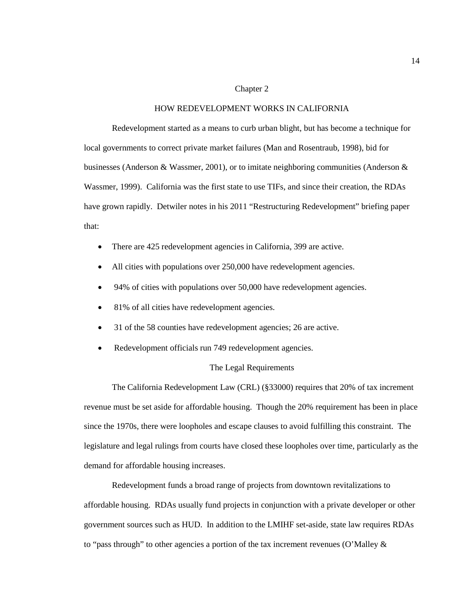#### Chapter 2

#### HOW REDEVELOPMENT WORKS IN CALIFORNIA

Redevelopment started as a means to curb urban blight, but has become a technique for local governments to correct private market failures (Man and Rosentraub, 1998), bid for businesses (Anderson & Wassmer, 2001), or to imitate neighboring communities (Anderson & Wassmer, 1999). California was the first state to use TIFs, and since their creation, the RDAs have grown rapidly. Detwiler notes in his 2011 "Restructuring Redevelopment" briefing paper that:

- There are 425 redevelopment agencies in California, 399 are active.
- All cities with populations over 250,000 have redevelopment agencies.
- 94% of cities with populations over 50,000 have redevelopment agencies.
- 81% of all cities have redevelopment agencies.
- 31 of the 58 counties have redevelopment agencies; 26 are active.
- Redevelopment officials run 749 redevelopment agencies.

## The Legal Requirements

The California Redevelopment Law (CRL) (§33000) requires that 20% of tax increment revenue must be set aside for affordable housing. Though the 20% requirement has been in place since the 1970s, there were loopholes and escape clauses to avoid fulfilling this constraint. The legislature and legal rulings from courts have closed these loopholes over time, particularly as the demand for affordable housing increases.

Redevelopment funds a broad range of projects from downtown revitalizations to affordable housing. RDAs usually fund projects in conjunction with a private developer or other government sources such as HUD. In addition to the LMIHF set-aside, state law requires RDAs to "pass through" to other agencies a portion of the tax increment revenues (O'Malley  $\&$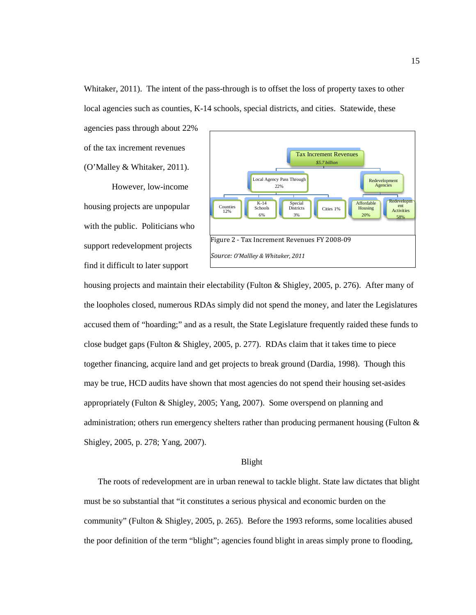Whitaker, 2011). The intent of the pass-through is to offset the loss of property taxes to other local agencies such as counties, K-14 schools, special districts, and cities. Statewide, these

agencies pass through about 22% of the tax increment revenues (O'Malley & Whitaker, 2011).

However, low-income housing projects are unpopular with the public. Politicians who support redevelopment projects find it difficult to later support



housing projects and maintain their electability (Fulton & Shigley, 2005, p. 276). After many of the loopholes closed, numerous RDAs simply did not spend the money, and later the Legislatures accused them of "hoarding;" and as a result, the State Legislature frequently raided these funds to close budget gaps (Fulton & Shigley, 2005, p. 277). RDAs claim that it takes time to piece together financing, acquire land and get projects to break ground (Dardia, 1998). Though this may be true, HCD audits have shown that most agencies do not spend their housing set-asides appropriately (Fulton & Shigley, 2005; Yang, 2007). Some overspend on planning and administration; others run emergency shelters rather than producing permanent housing (Fulton & Shigley, 2005, p. 278; Yang, 2007).

## Blight

The roots of redevelopment are in urban renewal to tackle blight. State law dictates that blight must be so substantial that "it constitutes a serious physical and economic burden on the community" (Fulton & Shigley, 2005, p. 265). Before the 1993 reforms, some localities abused the poor definition of the term "blight"; agencies found blight in areas simply prone to flooding,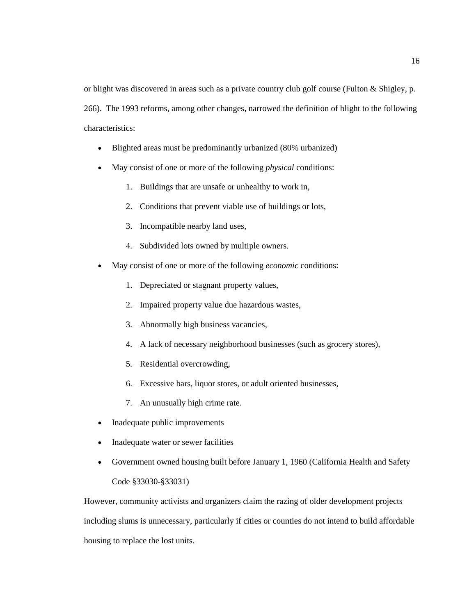or blight was discovered in areas such as a private country club golf course (Fulton & Shigley, p. 266). The 1993 reforms, among other changes, narrowed the definition of blight to the following characteristics:

- Blighted areas must be predominantly urbanized (80% urbanized)
- May consist of one or more of the following *physical* conditions:
	- 1. Buildings that are unsafe or unhealthy to work in,
	- 2. Conditions that prevent viable use of buildings or lots,
	- 3. Incompatible nearby land uses,
	- 4. Subdivided lots owned by multiple owners.
- May consist of one or more of the following *economic* conditions:
	- 1. Depreciated or stagnant property values,
	- 2. Impaired property value due hazardous wastes,
	- 3. Abnormally high business vacancies,
	- 4. A lack of necessary neighborhood businesses (such as grocery stores),
	- 5. Residential overcrowding,
	- 6. Excessive bars, liquor stores, or adult oriented businesses,
	- 7. An unusually high crime rate.
- Inadequate public improvements
- Inadequate water or sewer facilities
- Government owned housing built before January 1, 1960 (California Health and Safety Code §33030-§33031)

However, community activists and organizers claim the razing of older development projects including slums is unnecessary, particularly if cities or counties do not intend to build affordable housing to replace the lost units.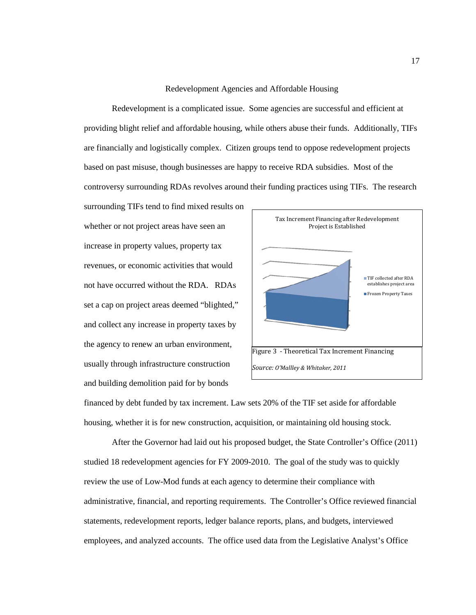#### Redevelopment Agencies and Affordable Housing

Redevelopment is a complicated issue. Some agencies are successful and efficient at providing blight relief and affordable housing, while others abuse their funds. Additionally, TIFs are financially and logistically complex. Citizen groups tend to oppose redevelopment projects based on past misuse, though businesses are happy to receive RDA subsidies. Most of the controversy surrounding RDAs revolves around their funding practices using TIFs. The research

surrounding TIFs tend to find mixed results on whether or not project areas have seen an increase in property values, property tax revenues, or economic activities that would not have occurred without the RDA. RDAs set a cap on project areas deemed "blighted," and collect any increase in property taxes by the agency to renew an urban environment, usually through infrastructure construction and building demolition paid for by bonds



financed by debt funded by tax increment. Law sets 20% of the TIF set aside for affordable housing, whether it is for new construction, acquisition, or maintaining old housing stock.

After the Governor had laid out his proposed budget, the State Controller's Office (2011) studied 18 redevelopment agencies for FY 2009-2010. The goal of the study was to quickly review the use of Low-Mod funds at each agency to determine their compliance with administrative, financial, and reporting requirements. The Controller's Office reviewed financial statements, redevelopment reports, ledger balance reports, plans, and budgets, interviewed employees, and analyzed accounts. The office used data from the Legislative Analyst's Office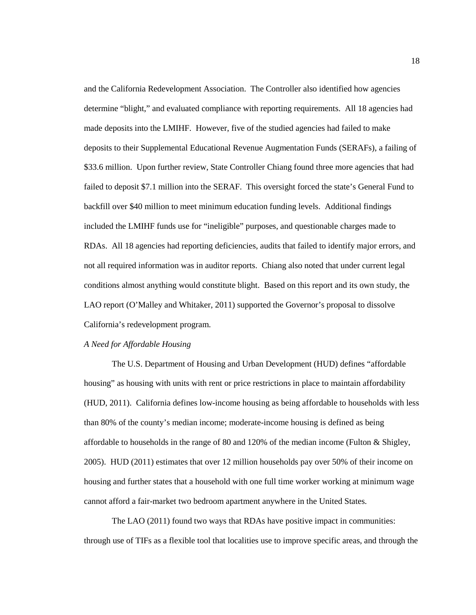and the California Redevelopment Association. The Controller also identified how agencies determine "blight," and evaluated compliance with reporting requirements. All 18 agencies had made deposits into the LMIHF. However, five of the studied agencies had failed to make deposits to their Supplemental Educational Revenue Augmentation Funds (SERAFs), a failing of \$33.6 million. Upon further review, State Controller Chiang found three more agencies that had failed to deposit \$7.1 million into the SERAF. This oversight forced the state's General Fund to backfill over \$40 million to meet minimum education funding levels. Additional findings included the LMIHF funds use for "ineligible" purposes, and questionable charges made to RDAs. All 18 agencies had reporting deficiencies, audits that failed to identify major errors, and not all required information was in auditor reports. Chiang also noted that under current legal conditions almost anything would constitute blight. Based on this report and its own study, the LAO report (O'Malley and Whitaker, 2011) supported the Governor's proposal to dissolve California's redevelopment program.

#### *A Need for Affordable Housing*

The U.S. Department of Housing and Urban Development (HUD) defines "affordable housing" as housing with units with rent or price restrictions in place to maintain affordability (HUD, 2011). California defines low-income housing as being affordable to households with less than 80% of the county's median income; moderate-income housing is defined as being affordable to households in the range of 80 and 120% of the median income (Fulton & Shigley, 2005). HUD (2011) estimates that over 12 million households pay over 50% of their income on housing and further states that a household with one full time worker working at minimum wage cannot afford a fair-market two bedroom apartment anywhere in the United States.

The LAO (2011) found two ways that RDAs have positive impact in communities: through use of TIFs as a flexible tool that localities use to improve specific areas, and through the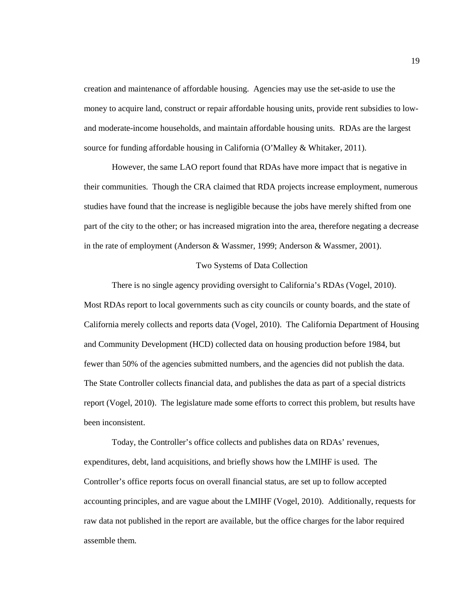creation and maintenance of affordable housing. Agencies may use the set-aside to use the money to acquire land, construct or repair affordable housing units, provide rent subsidies to lowand moderate-income households, and maintain affordable housing units. RDAs are the largest source for funding affordable housing in California (O'Malley & Whitaker, 2011).

However, the same LAO report found that RDAs have more impact that is negative in their communities. Though the CRA claimed that RDA projects increase employment, numerous studies have found that the increase is negligible because the jobs have merely shifted from one part of the city to the other; or has increased migration into the area, therefore negating a decrease in the rate of employment (Anderson & Wassmer, 1999; Anderson & Wassmer, 2001).

#### Two Systems of Data Collection

There is no single agency providing oversight to California's RDAs (Vogel, 2010). Most RDAs report to local governments such as city councils or county boards, and the state of California merely collects and reports data (Vogel, 2010). The California Department of Housing and Community Development (HCD) collected data on housing production before 1984, but fewer than 50% of the agencies submitted numbers, and the agencies did not publish the data. The State Controller collects financial data, and publishes the data as part of a special districts report (Vogel, 2010). The legislature made some efforts to correct this problem, but results have been inconsistent.

Today, the Controller's office collects and publishes data on RDAs' revenues, expenditures, debt, land acquisitions, and briefly shows how the LMIHF is used. The Controller's office reports focus on overall financial status, are set up to follow accepted accounting principles, and are vague about the LMIHF (Vogel, 2010). Additionally, requests for raw data not published in the report are available, but the office charges for the labor required assemble them.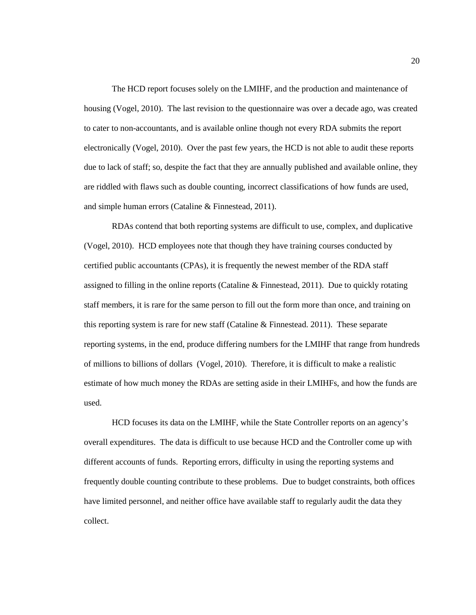The HCD report focuses solely on the LMIHF, and the production and maintenance of housing (Vogel, 2010). The last revision to the questionnaire was over a decade ago, was created to cater to non-accountants, and is available online though not every RDA submits the report electronically (Vogel, 2010). Over the past few years, the HCD is not able to audit these reports due to lack of staff; so, despite the fact that they are annually published and available online, they are riddled with flaws such as double counting, incorrect classifications of how funds are used, and simple human errors (Cataline & Finnestead, 2011).

RDAs contend that both reporting systems are difficult to use, complex, and duplicative (Vogel, 2010). HCD employees note that though they have training courses conducted by certified public accountants (CPAs), it is frequently the newest member of the RDA staff assigned to filling in the online reports (Cataline & Finnestead, 2011). Due to quickly rotating staff members, it is rare for the same person to fill out the form more than once, and training on this reporting system is rare for new staff (Cataline & Finnestead. 2011). These separate reporting systems, in the end, produce differing numbers for the LMIHF that range from hundreds of millions to billions of dollars (Vogel, 2010). Therefore, it is difficult to make a realistic estimate of how much money the RDAs are setting aside in their LMIHFs, and how the funds are used.

HCD focuses its data on the LMIHF, while the State Controller reports on an agency's overall expenditures. The data is difficult to use because HCD and the Controller come up with different accounts of funds. Reporting errors, difficulty in using the reporting systems and frequently double counting contribute to these problems. Due to budget constraints, both offices have limited personnel, and neither office have available staff to regularly audit the data they collect.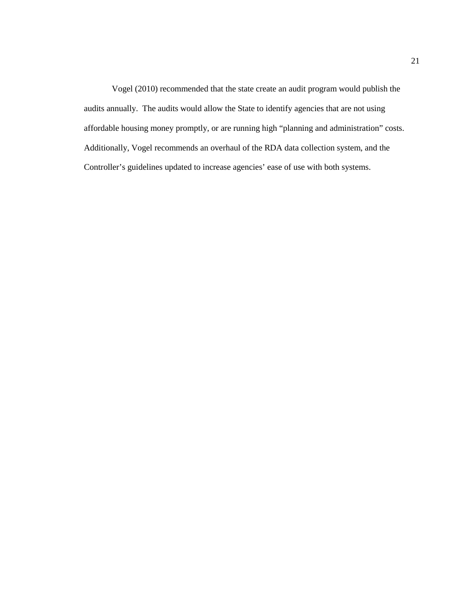Vogel (2010) recommended that the state create an audit program would publish the audits annually. The audits would allow the State to identify agencies that are not using affordable housing money promptly, or are running high "planning and administration" costs. Additionally, Vogel recommends an overhaul of the RDA data collection system, and the Controller's guidelines updated to increase agencies' ease of use with both systems.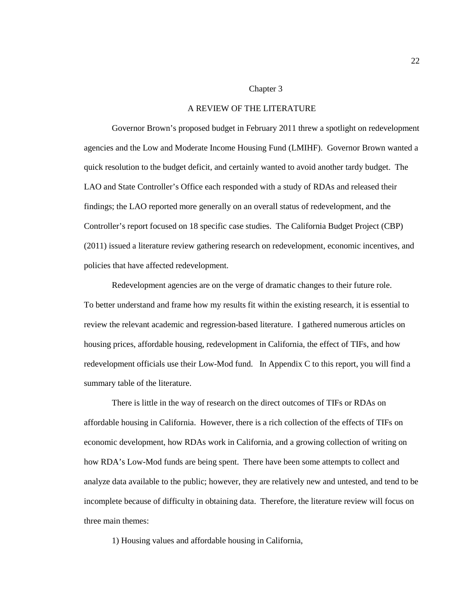#### Chapter 3

## A REVIEW OF THE LITERATURE

Governor Brown's proposed budget in February 2011 threw a spotlight on redevelopment agencies and the Low and Moderate Income Housing Fund (LMIHF). Governor Brown wanted a quick resolution to the budget deficit, and certainly wanted to avoid another tardy budget. The LAO and State Controller's Office each responded with a study of RDAs and released their findings; the LAO reported more generally on an overall status of redevelopment, and the Controller's report focused on 18 specific case studies. The California Budget Project (CBP) (2011) issued a literature review gathering research on redevelopment, economic incentives, and policies that have affected redevelopment.

Redevelopment agencies are on the verge of dramatic changes to their future role. To better understand and frame how my results fit within the existing research, it is essential to review the relevant academic and regression-based literature. I gathered numerous articles on housing prices, affordable housing, redevelopment in California, the effect of TIFs, and how redevelopment officials use their Low-Mod fund. In Appendix C to this report, you will find a summary table of the literature.

There is little in the way of research on the direct outcomes of TIFs or RDAs on affordable housing in California. However, there is a rich collection of the effects of TIFs on economic development, how RDAs work in California, and a growing collection of writing on how RDA's Low-Mod funds are being spent. There have been some attempts to collect and analyze data available to the public; however, they are relatively new and untested, and tend to be incomplete because of difficulty in obtaining data. Therefore, the literature review will focus on three main themes:

1) Housing values and affordable housing in California,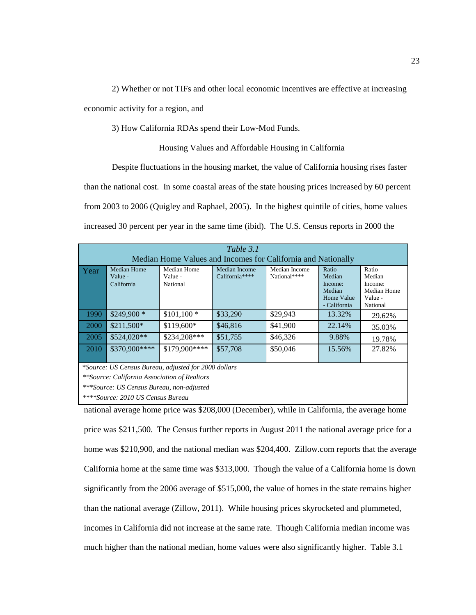2) Whether or not TIFs and other local economic incentives are effective at increasing

economic activity for a region, and

3) How California RDAs spend their Low-Mod Funds.

Housing Values and Affordable Housing in California

Despite fluctuations in the housing market, the value of California housing rises faster

than the national cost. In some coastal areas of the state housing prices increased by 60 percent from 2003 to 2006 (Quigley and Raphael, 2005). In the highest quintile of cities, home values increased 30 percent per year in the same time (ibid). The U.S. Census reports in 2000 the

| Table 3.1                                                    |                    |               |                   |                                   |                   |                   |  |  |  |  |
|--------------------------------------------------------------|--------------------|---------------|-------------------|-----------------------------------|-------------------|-------------------|--|--|--|--|
| Median Home Values and Incomes for California and Nationally |                    |               |                   |                                   |                   |                   |  |  |  |  |
| Year                                                         | <b>Median Home</b> | Median Home   | Median Income $-$ | Median Income -                   | Ratio             | Ratio             |  |  |  |  |
|                                                              | Value -            | Value -       | California****    | National****                      | Median<br>Income: | Median<br>Income: |  |  |  |  |
|                                                              | California         | National      |                   |                                   | Median            | Median Home       |  |  |  |  |
|                                                              |                    |               |                   |                                   | Home Value        | Value -           |  |  |  |  |
|                                                              |                    |               |                   |                                   | - California      | National          |  |  |  |  |
| 1990                                                         | $$249.900*$        | $$101,100*$   | \$33,290          | \$29,943                          | 13.32%            | 29.62%            |  |  |  |  |
| 2000                                                         | $$211,500*$        | $$119,600*$   | \$46,816          | \$41,900                          | 22.14%            | 35.03%            |  |  |  |  |
| 2005                                                         | $$524.020**$$      | $$234.208***$ | \$51,755          | \$46,326                          | 9.88%             | 19.78%            |  |  |  |  |
| 2010                                                         | \$370,900****      | \$179,900**** | \$57,708          | \$50,046                          | 15.56%            | 27.82%            |  |  |  |  |
|                                                              |                    |               |                   |                                   |                   |                   |  |  |  |  |
| *Source: US Census Bureau, adjusted for 2000 dollars         |                    |               |                   |                                   |                   |                   |  |  |  |  |
| **Source: California Association of Realtors                 |                    |               |                   |                                   |                   |                   |  |  |  |  |
| ***Source: US Census Bureau, non-adjusted                    |                    |               |                   |                                   |                   |                   |  |  |  |  |
|                                                              |                    |               |                   | ****Source: 2010 US Census Bureau |                   |                   |  |  |  |  |

national average home price was \$208,000 (December), while in California, the average home price was \$211,500. The Census further reports in August 2011 the national average price for a home was \$210,900, and the national median was \$204,400. Zillow.com reports that the average California home at the same time was \$313,000. Though the value of a California home is down significantly from the 2006 average of \$515,000, the value of homes in the state remains higher than the national average (Zillow, 2011). While housing prices skyrocketed and plummeted, incomes in California did not increase at the same rate. Though California median income was much higher than the national median, home values were also significantly higher. Table 3.1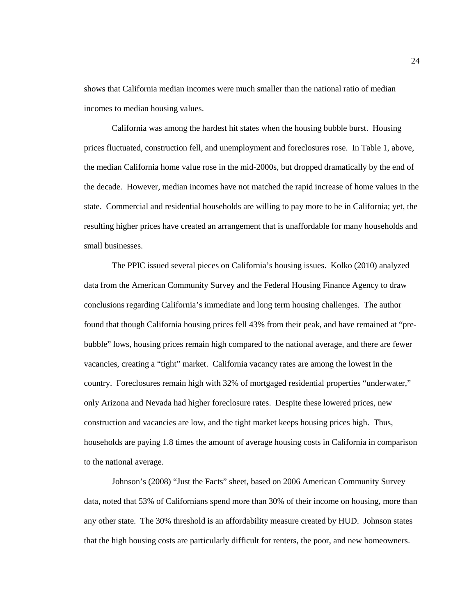shows that California median incomes were much smaller than the national ratio of median incomes to median housing values.

California was among the hardest hit states when the housing bubble burst. Housing prices fluctuated, construction fell, and unemployment and foreclosures rose. In Table 1, above, the median California home value rose in the mid-2000s, but dropped dramatically by the end of the decade. However, median incomes have not matched the rapid increase of home values in the state. Commercial and residential households are willing to pay more to be in California; yet, the resulting higher prices have created an arrangement that is unaffordable for many households and small businesses.

The PPIC issued several pieces on California's housing issues. Kolko (2010) analyzed data from the American Community Survey and the Federal Housing Finance Agency to draw conclusions regarding California's immediate and long term housing challenges. The author found that though California housing prices fell 43% from their peak, and have remained at "prebubble" lows, housing prices remain high compared to the national average, and there are fewer vacancies, creating a "tight" market. California vacancy rates are among the lowest in the country. Foreclosures remain high with 32% of mortgaged residential properties "underwater," only Arizona and Nevada had higher foreclosure rates. Despite these lowered prices, new construction and vacancies are low, and the tight market keeps housing prices high. Thus, households are paying 1.8 times the amount of average housing costs in California in comparison to the national average.

Johnson's (2008) "Just the Facts" sheet, based on 2006 American Community Survey data, noted that 53% of Californians spend more than 30% of their income on housing, more than any other state. The 30% threshold is an affordability measure created by HUD. Johnson states that the high housing costs are particularly difficult for renters, the poor, and new homeowners.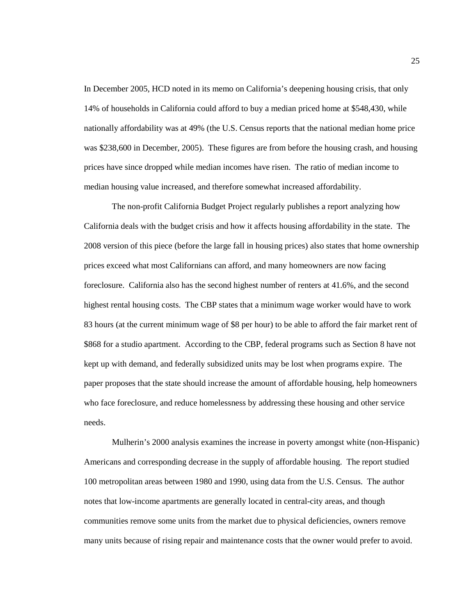In December 2005, HCD noted in its memo on California's deepening housing crisis, that only 14% of households in California could afford to buy a median priced home at \$548,430, while nationally affordability was at 49% (the U.S. Census reports that the national median home price was \$238,600 in December, 2005). These figures are from before the housing crash, and housing prices have since dropped while median incomes have risen. The ratio of median income to median housing value increased, and therefore somewhat increased affordability.

The non-profit California Budget Project regularly publishes a report analyzing how California deals with the budget crisis and how it affects housing affordability in the state. The 2008 version of this piece (before the large fall in housing prices) also states that home ownership prices exceed what most Californians can afford, and many homeowners are now facing foreclosure. California also has the second highest number of renters at 41.6%, and the second highest rental housing costs. The CBP states that a minimum wage worker would have to work 83 hours (at the current minimum wage of \$8 per hour) to be able to afford the fair market rent of \$868 for a studio apartment. According to the CBP, federal programs such as Section 8 have not kept up with demand, and federally subsidized units may be lost when programs expire. The paper proposes that the state should increase the amount of affordable housing, help homeowners who face foreclosure, and reduce homelessness by addressing these housing and other service needs.

Mulherin's 2000 analysis examines the increase in poverty amongst white (non-Hispanic) Americans and corresponding decrease in the supply of affordable housing. The report studied 100 metropolitan areas between 1980 and 1990, using data from the U.S. Census. The author notes that low-income apartments are generally located in central-city areas, and though communities remove some units from the market due to physical deficiencies, owners remove many units because of rising repair and maintenance costs that the owner would prefer to avoid.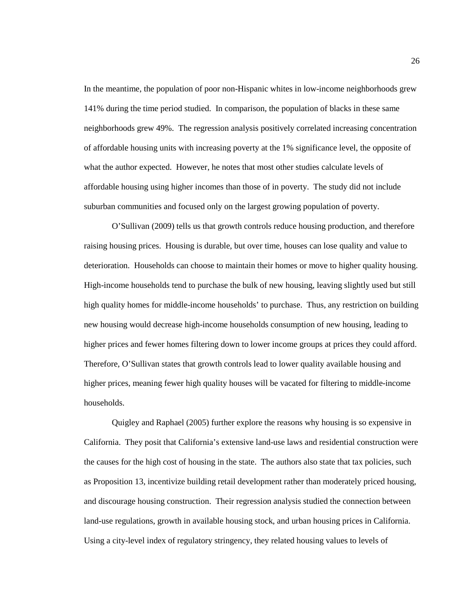In the meantime, the population of poor non-Hispanic whites in low-income neighborhoods grew 141% during the time period studied. In comparison, the population of blacks in these same neighborhoods grew 49%. The regression analysis positively correlated increasing concentration of affordable housing units with increasing poverty at the 1% significance level, the opposite of what the author expected. However, he notes that most other studies calculate levels of affordable housing using higher incomes than those of in poverty. The study did not include suburban communities and focused only on the largest growing population of poverty.

O'Sullivan (2009) tells us that growth controls reduce housing production, and therefore raising housing prices. Housing is durable, but over time, houses can lose quality and value to deterioration. Households can choose to maintain their homes or move to higher quality housing. High-income households tend to purchase the bulk of new housing, leaving slightly used but still high quality homes for middle-income households' to purchase. Thus, any restriction on building new housing would decrease high-income households consumption of new housing, leading to higher prices and fewer homes filtering down to lower income groups at prices they could afford. Therefore, O'Sullivan states that growth controls lead to lower quality available housing and higher prices, meaning fewer high quality houses will be vacated for filtering to middle-income households.

Quigley and Raphael (2005) further explore the reasons why housing is so expensive in California. They posit that California's extensive land-use laws and residential construction were the causes for the high cost of housing in the state. The authors also state that tax policies, such as Proposition 13, incentivize building retail development rather than moderately priced housing, and discourage housing construction. Their regression analysis studied the connection between land-use regulations, growth in available housing stock, and urban housing prices in California. Using a city-level index of regulatory stringency, they related housing values to levels of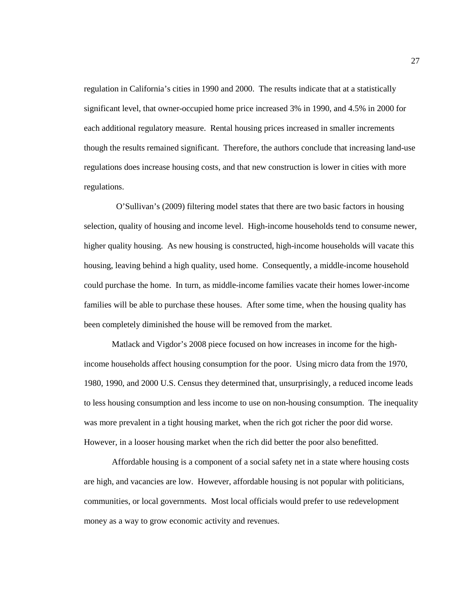regulation in California's cities in 1990 and 2000. The results indicate that at a statistically significant level, that owner-occupied home price increased 3% in 1990, and 4.5% in 2000 for each additional regulatory measure. Rental housing prices increased in smaller increments though the results remained significant. Therefore, the authors conclude that increasing land-use regulations does increase housing costs, and that new construction is lower in cities with more regulations.

 O'Sullivan's (2009) filtering model states that there are two basic factors in housing selection, quality of housing and income level. High-income households tend to consume newer, higher quality housing. As new housing is constructed, high-income households will vacate this housing, leaving behind a high quality, used home. Consequently, a middle-income household could purchase the home. In turn, as middle-income families vacate their homes lower-income families will be able to purchase these houses. After some time, when the housing quality has been completely diminished the house will be removed from the market.

Matlack and Vigdor's 2008 piece focused on how increases in income for the highincome households affect housing consumption for the poor. Using micro data from the 1970, 1980, 1990, and 2000 U.S. Census they determined that, unsurprisingly, a reduced income leads to less housing consumption and less income to use on non-housing consumption. The inequality was more prevalent in a tight housing market, when the rich got richer the poor did worse. However, in a looser housing market when the rich did better the poor also benefitted.

Affordable housing is a component of a social safety net in a state where housing costs are high, and vacancies are low. However, affordable housing is not popular with politicians, communities, or local governments. Most local officials would prefer to use redevelopment money as a way to grow economic activity and revenues.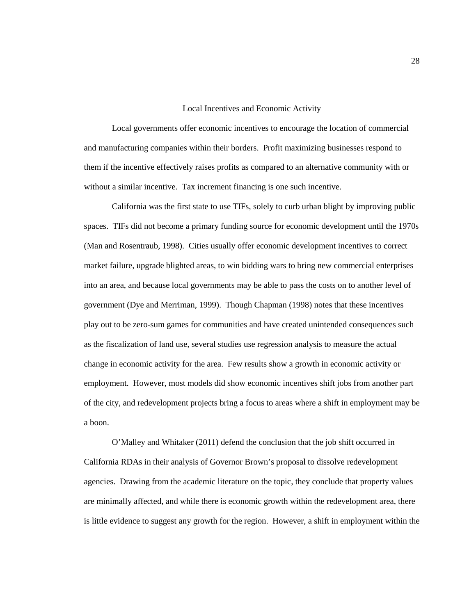#### Local Incentives and Economic Activity

Local governments offer economic incentives to encourage the location of commercial and manufacturing companies within their borders. Profit maximizing businesses respond to them if the incentive effectively raises profits as compared to an alternative community with or without a similar incentive. Tax increment financing is one such incentive.

California was the first state to use TIFs, solely to curb urban blight by improving public spaces. TIFs did not become a primary funding source for economic development until the 1970s (Man and Rosentraub, 1998). Cities usually offer economic development incentives to correct market failure, upgrade blighted areas, to win bidding wars to bring new commercial enterprises into an area, and because local governments may be able to pass the costs on to another level of government (Dye and Merriman, 1999). Though Chapman (1998) notes that these incentives play out to be zero-sum games for communities and have created unintended consequences such as the fiscalization of land use, several studies use regression analysis to measure the actual change in economic activity for the area. Few results show a growth in economic activity or employment. However, most models did show economic incentives shift jobs from another part of the city, and redevelopment projects bring a focus to areas where a shift in employment may be a boon.

O'Malley and Whitaker (2011) defend the conclusion that the job shift occurred in California RDAs in their analysis of Governor Brown's proposal to dissolve redevelopment agencies. Drawing from the academic literature on the topic, they conclude that property values are minimally affected, and while there is economic growth within the redevelopment area, there is little evidence to suggest any growth for the region. However, a shift in employment within the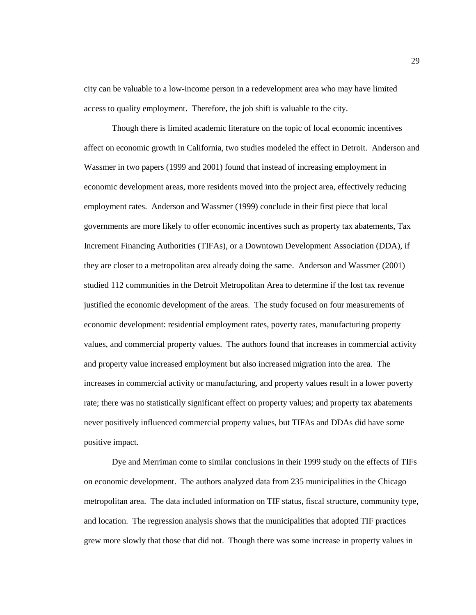city can be valuable to a low-income person in a redevelopment area who may have limited access to quality employment. Therefore, the job shift is valuable to the city.

Though there is limited academic literature on the topic of local economic incentives affect on economic growth in California, two studies modeled the effect in Detroit. Anderson and Wassmer in two papers (1999 and 2001) found that instead of increasing employment in economic development areas, more residents moved into the project area, effectively reducing employment rates. Anderson and Wassmer (1999) conclude in their first piece that local governments are more likely to offer economic incentives such as property tax abatements, Tax Increment Financing Authorities (TIFAs), or a Downtown Development Association (DDA), if they are closer to a metropolitan area already doing the same. Anderson and Wassmer (2001) studied 112 communities in the Detroit Metropolitan Area to determine if the lost tax revenue justified the economic development of the areas. The study focused on four measurements of economic development: residential employment rates, poverty rates, manufacturing property values, and commercial property values. The authors found that increases in commercial activity and property value increased employment but also increased migration into the area. The increases in commercial activity or manufacturing, and property values result in a lower poverty rate; there was no statistically significant effect on property values; and property tax abatements never positively influenced commercial property values, but TIFAs and DDAs did have some positive impact.

Dye and Merriman come to similar conclusions in their 1999 study on the effects of TIFs on economic development. The authors analyzed data from 235 municipalities in the Chicago metropolitan area. The data included information on TIF status, fiscal structure, community type, and location. The regression analysis shows that the municipalities that adopted TIF practices grew more slowly that those that did not. Though there was some increase in property values in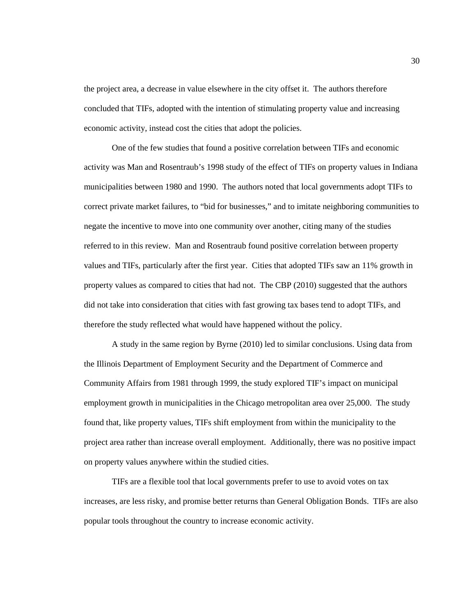the project area, a decrease in value elsewhere in the city offset it. The authors therefore concluded that TIFs, adopted with the intention of stimulating property value and increasing economic activity, instead cost the cities that adopt the policies.

One of the few studies that found a positive correlation between TIFs and economic activity was Man and Rosentraub's 1998 study of the effect of TIFs on property values in Indiana municipalities between 1980 and 1990. The authors noted that local governments adopt TIFs to correct private market failures, to "bid for businesses," and to imitate neighboring communities to negate the incentive to move into one community over another, citing many of the studies referred to in this review. Man and Rosentraub found positive correlation between property values and TIFs, particularly after the first year. Cities that adopted TIFs saw an 11% growth in property values as compared to cities that had not. The CBP (2010) suggested that the authors did not take into consideration that cities with fast growing tax bases tend to adopt TIFs, and therefore the study reflected what would have happened without the policy.

A study in the same region by Byrne (2010) led to similar conclusions. Using data from the Illinois Department of Employment Security and the Department of Commerce and Community Affairs from 1981 through 1999, the study explored TIF's impact on municipal employment growth in municipalities in the Chicago metropolitan area over 25,000. The study found that, like property values, TIFs shift employment from within the municipality to the project area rather than increase overall employment. Additionally, there was no positive impact on property values anywhere within the studied cities.

TIFs are a flexible tool that local governments prefer to use to avoid votes on tax increases, are less risky, and promise better returns than General Obligation Bonds. TIFs are also popular tools throughout the country to increase economic activity.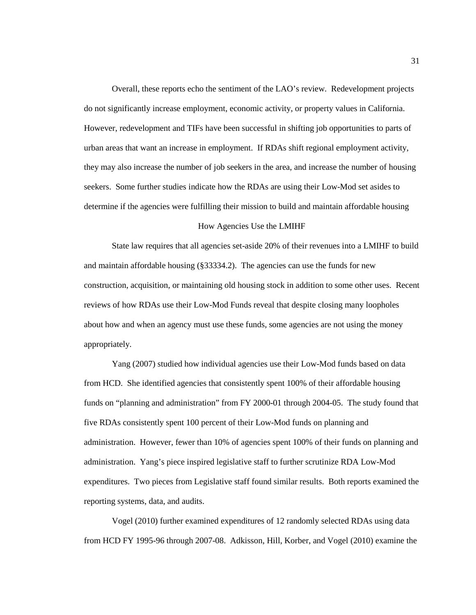Overall, these reports echo the sentiment of the LAO's review. Redevelopment projects do not significantly increase employment, economic activity, or property values in California. However, redevelopment and TIFs have been successful in shifting job opportunities to parts of urban areas that want an increase in employment. If RDAs shift regional employment activity, they may also increase the number of job seekers in the area, and increase the number of housing seekers. Some further studies indicate how the RDAs are using their Low-Mod set asides to determine if the agencies were fulfilling their mission to build and maintain affordable housing

### How Agencies Use the LMIHF

State law requires that all agencies set-aside 20% of their revenues into a LMIHF to build and maintain affordable housing (§33334.2). The agencies can use the funds for new construction, acquisition, or maintaining old housing stock in addition to some other uses. Recent reviews of how RDAs use their Low-Mod Funds reveal that despite closing many loopholes about how and when an agency must use these funds, some agencies are not using the money appropriately.

Yang (2007) studied how individual agencies use their Low-Mod funds based on data from HCD. She identified agencies that consistently spent 100% of their affordable housing funds on "planning and administration" from FY 2000-01 through 2004-05. The study found that five RDAs consistently spent 100 percent of their Low-Mod funds on planning and administration. However, fewer than 10% of agencies spent 100% of their funds on planning and administration. Yang's piece inspired legislative staff to further scrutinize RDA Low-Mod expenditures. Two pieces from Legislative staff found similar results. Both reports examined the reporting systems, data, and audits.

Vogel (2010) further examined expenditures of 12 randomly selected RDAs using data from HCD FY 1995-96 through 2007-08. Adkisson, Hill, Korber, and Vogel (2010) examine the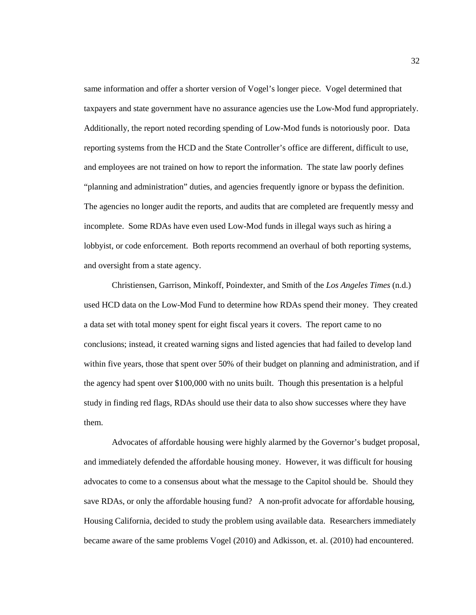same information and offer a shorter version of Vogel's longer piece. Vogel determined that taxpayers and state government have no assurance agencies use the Low-Mod fund appropriately. Additionally, the report noted recording spending of Low-Mod funds is notoriously poor. Data reporting systems from the HCD and the State Controller's office are different, difficult to use, and employees are not trained on how to report the information. The state law poorly defines "planning and administration" duties, and agencies frequently ignore or bypass the definition. The agencies no longer audit the reports, and audits that are completed are frequently messy and incomplete. Some RDAs have even used Low-Mod funds in illegal ways such as hiring a lobbyist, or code enforcement. Both reports recommend an overhaul of both reporting systems, and oversight from a state agency.

Christiensen, Garrison, Minkoff, Poindexter, and Smith of the *Los Angeles Times* (n.d.) used HCD data on the Low-Mod Fund to determine how RDAs spend their money. They created a data set with total money spent for eight fiscal years it covers. The report came to no conclusions; instead, it created warning signs and listed agencies that had failed to develop land within five years, those that spent over 50% of their budget on planning and administration, and if the agency had spent over \$100,000 with no units built. Though this presentation is a helpful study in finding red flags, RDAs should use their data to also show successes where they have them.

Advocates of affordable housing were highly alarmed by the Governor's budget proposal, and immediately defended the affordable housing money. However, it was difficult for housing advocates to come to a consensus about what the message to the Capitol should be. Should they save RDAs, or only the affordable housing fund? A non-profit advocate for affordable housing, Housing California, decided to study the problem using available data. Researchers immediately became aware of the same problems Vogel (2010) and Adkisson, et. al. (2010) had encountered.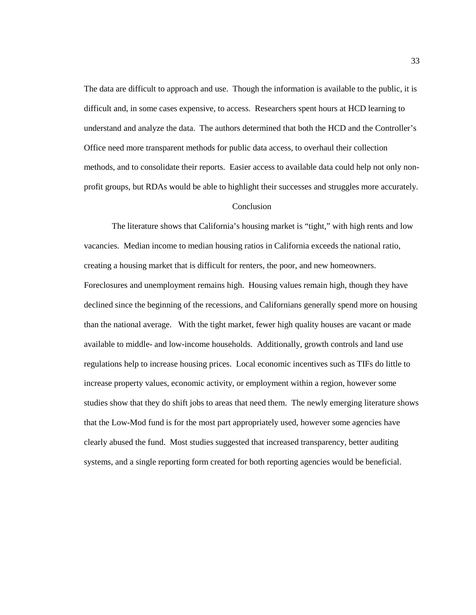The data are difficult to approach and use. Though the information is available to the public, it is difficult and, in some cases expensive, to access. Researchers spent hours at HCD learning to understand and analyze the data. The authors determined that both the HCD and the Controller's Office need more transparent methods for public data access, to overhaul their collection methods, and to consolidate their reports. Easier access to available data could help not only nonprofit groups, but RDAs would be able to highlight their successes and struggles more accurately.

## Conclusion

The literature shows that California's housing market is "tight," with high rents and low vacancies. Median income to median housing ratios in California exceeds the national ratio, creating a housing market that is difficult for renters, the poor, and new homeowners. Foreclosures and unemployment remains high. Housing values remain high, though they have declined since the beginning of the recessions, and Californians generally spend more on housing than the national average. With the tight market, fewer high quality houses are vacant or made available to middle- and low-income households. Additionally, growth controls and land use regulations help to increase housing prices. Local economic incentives such as TIFs do little to increase property values, economic activity, or employment within a region, however some studies show that they do shift jobs to areas that need them. The newly emerging literature shows that the Low-Mod fund is for the most part appropriately used, however some agencies have clearly abused the fund. Most studies suggested that increased transparency, better auditing systems, and a single reporting form created for both reporting agencies would be beneficial.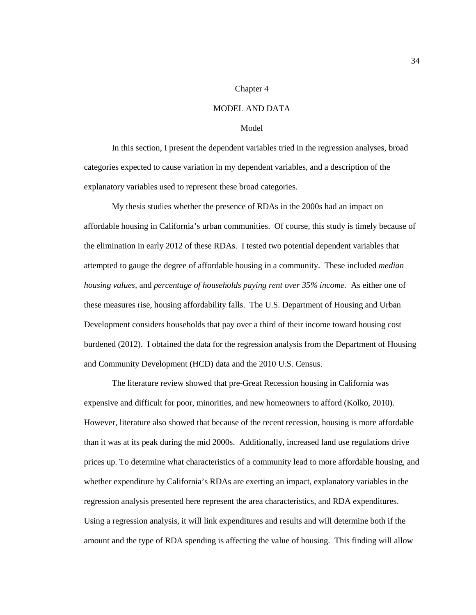#### Chapter 4

## MODEL AND DATA

# Model

In this section, I present the dependent variables tried in the regression analyses, broad categories expected to cause variation in my dependent variables, and a description of the explanatory variables used to represent these broad categories.

My thesis studies whether the presence of RDAs in the 2000s had an impact on affordable housing in California's urban communities. Of course, this study is timely because of the elimination in early 2012 of these RDAs. I tested two potential dependent variables that attempted to gauge the degree of affordable housing in a community. These included *median housing values,* and *percentage of households paying rent over 35% income.* As either one of these measures rise, housing affordability falls. The U.S. Department of Housing and Urban Development considers households that pay over a third of their income toward housing cost burdened (2012). I obtained the data for the regression analysis from the Department of Housing and Community Development (HCD) data and the 2010 U.S. Census.

The literature review showed that pre-Great Recession housing in California was expensive and difficult for poor, minorities, and new homeowners to afford (Kolko, 2010). However, literature also showed that because of the recent recession, housing is more affordable than it was at its peak during the mid 2000s. Additionally, increased land use regulations drive prices up. To determine what characteristics of a community lead to more affordable housing, and whether expenditure by California's RDAs are exerting an impact, explanatory variables in the regression analysis presented here represent the area characteristics, and RDA expenditures. Using a regression analysis, it will link expenditures and results and will determine both if the amount and the type of RDA spending is affecting the value of housing. This finding will allow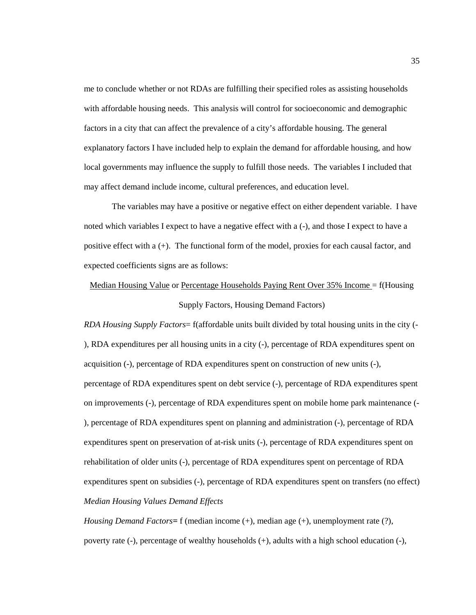me to conclude whether or not RDAs are fulfilling their specified roles as assisting households with affordable housing needs. This analysis will control for socioeconomic and demographic factors in a city that can affect the prevalence of a city's affordable housing. The general explanatory factors I have included help to explain the demand for affordable housing, and how local governments may influence the supply to fulfill those needs. The variables I included that may affect demand include income, cultural preferences, and education level.

The variables may have a positive or negative effect on either dependent variable. I have noted which variables I expect to have a negative effect with a (-), and those I expect to have a positive effect with a (+). The functional form of the model, proxies for each causal factor, and expected coefficients signs are as follows:

# Median Housing Value or Percentage Households Paying Rent Over 35% Income = f(Housing Supply Factors, Housing Demand Factors)

*RDA Housing Supply Factors*= f(affordable units built divided by total housing units in the city (- ), RDA expenditures per all housing units in a city (-), percentage of RDA expenditures spent on acquisition (-), percentage of RDA expenditures spent on construction of new units (-), percentage of RDA expenditures spent on debt service (-), percentage of RDA expenditures spent on improvements (-), percentage of RDA expenditures spent on mobile home park maintenance (- ), percentage of RDA expenditures spent on planning and administration (-), percentage of RDA expenditures spent on preservation of at-risk units (-), percentage of RDA expenditures spent on rehabilitation of older units (-), percentage of RDA expenditures spent on percentage of RDA expenditures spent on subsidies (-), percentage of RDA expenditures spent on transfers (no effect) *Median Housing Values Demand Effects*

*Housing Demand Factors=* f (median income (+), median age (+), unemployment rate (?), poverty rate (-), percentage of wealthy households (+), adults with a high school education (-),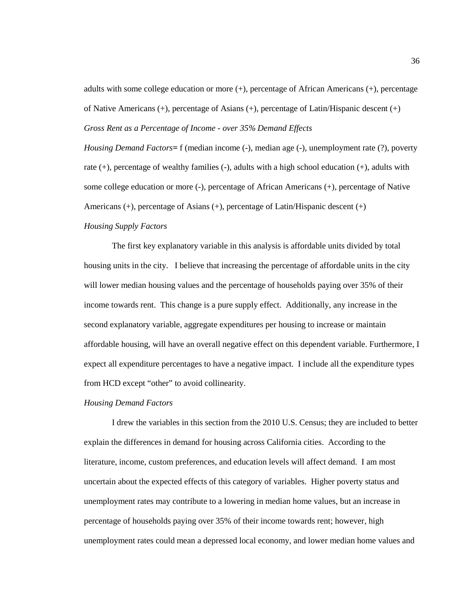adults with some college education or more  $(+)$ , percentage of African Americans  $(+)$ , percentage of Native Americans  $(+)$ , percentage of Asians  $(+)$ , percentage of Latin/Hispanic descent  $(+)$ *Gross Rent as a Percentage of Income - over 35% Demand Effects*

*Housing Demand Factors=* f (median income (-), median age (-), unemployment rate (?), poverty rate (+), percentage of wealthy families (-), adults with a high school education (+), adults with some college education or more (-), percentage of African Americans (+), percentage of Native Americans (+), percentage of Asians (+), percentage of Latin/Hispanic descent (+)

# *Housing Supply Factors*

The first key explanatory variable in this analysis is affordable units divided by total housing units in the city. I believe that increasing the percentage of affordable units in the city will lower median housing values and the percentage of households paying over 35% of their income towards rent. This change is a pure supply effect. Additionally, any increase in the second explanatory variable, aggregate expenditures per housing to increase or maintain affordable housing, will have an overall negative effect on this dependent variable. Furthermore, I expect all expenditure percentages to have a negative impact. I include all the expenditure types from HCD except "other" to avoid collinearity.

## *Housing Demand Factors*

I drew the variables in this section from the 2010 U.S. Census; they are included to better explain the differences in demand for housing across California cities. According to the literature, income, custom preferences, and education levels will affect demand. I am most uncertain about the expected effects of this category of variables. Higher poverty status and unemployment rates may contribute to a lowering in median home values, but an increase in percentage of households paying over 35% of their income towards rent; however, high unemployment rates could mean a depressed local economy, and lower median home values and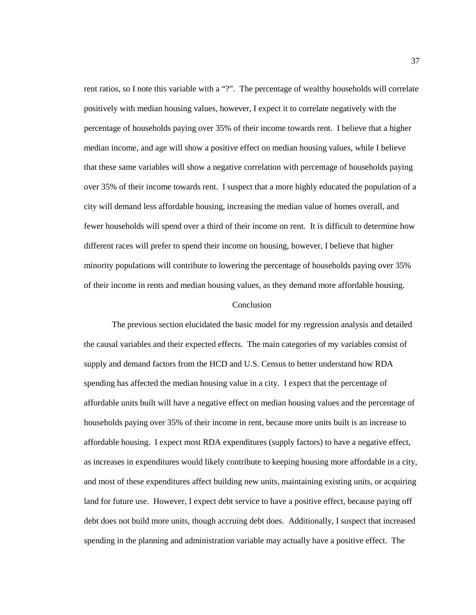rent ratios, so I note this variable with a "?". The percentage of wealthy households will correlate positively with median housing values, however, I expect it to correlate negatively with the percentage of households paying over 35% of their income towards rent. I believe that a higher median income, and age will show a positive effect on median housing values, while I believe that these same variables will show a negative correlation with percentage of households paying over 35% of their income towards rent. I suspect that a more highly educated the population of a city will demand less affordable housing, increasing the median value of homes overall, and fewer households will spend over a third of their income on rent. It is difficult to determine how different races will prefer to spend their income on housing, however, I believe that higher minority populations will contribute to lowering the percentage of households paying over 35% of their income in rents and median housing values, as they demand more affordable housing.

#### Conclusion

The previous section elucidated the basic model for my regression analysis and detailed the causal variables and their expected effects. The main categories of my variables consist of supply and demand factors from the HCD and U.S. Census to better understand how RDA spending has affected the median housing value in a city. I expect that the percentage of affordable units built will have a negative effect on median housing values and the percentage of households paying over 35% of their income in rent, because more units built is an increase to affordable housing. I expect most RDA expenditures (supply factors) to have a negative effect, as increases in expenditures would likely contribute to keeping housing more affordable in a city, and most of these expenditures affect building new units, maintaining existing units, or acquiring land for future use. However, I expect debt service to have a positive effect, because paying off debt does not build more units, though accruing debt does. Additionally, I suspect that increased spending in the planning and administration variable may actually have a positive effect. The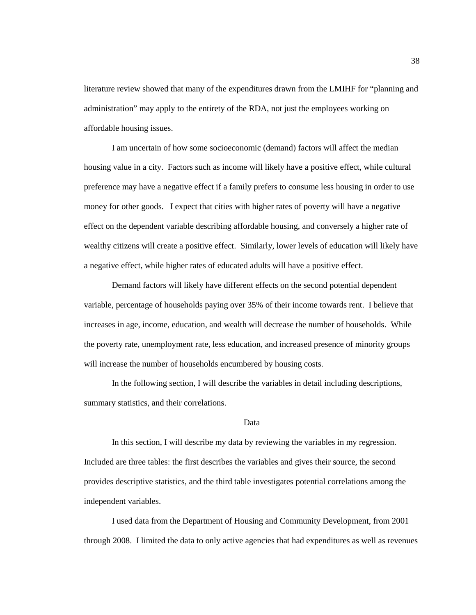literature review showed that many of the expenditures drawn from the LMIHF for "planning and administration" may apply to the entirety of the RDA, not just the employees working on affordable housing issues.

I am uncertain of how some socioeconomic (demand) factors will affect the median housing value in a city. Factors such as income will likely have a positive effect, while cultural preference may have a negative effect if a family prefers to consume less housing in order to use money for other goods. I expect that cities with higher rates of poverty will have a negative effect on the dependent variable describing affordable housing, and conversely a higher rate of wealthy citizens will create a positive effect. Similarly, lower levels of education will likely have a negative effect, while higher rates of educated adults will have a positive effect.

Demand factors will likely have different effects on the second potential dependent variable, percentage of households paying over 35% of their income towards rent. I believe that increases in age, income, education, and wealth will decrease the number of households. While the poverty rate, unemployment rate, less education, and increased presence of minority groups will increase the number of households encumbered by housing costs.

In the following section, I will describe the variables in detail including descriptions, summary statistics, and their correlations.

## Data

In this section, I will describe my data by reviewing the variables in my regression. Included are three tables: the first describes the variables and gives their source, the second provides descriptive statistics, and the third table investigates potential correlations among the independent variables.

I used data from the Department of Housing and Community Development, from 2001 through 2008. I limited the data to only active agencies that had expenditures as well as revenues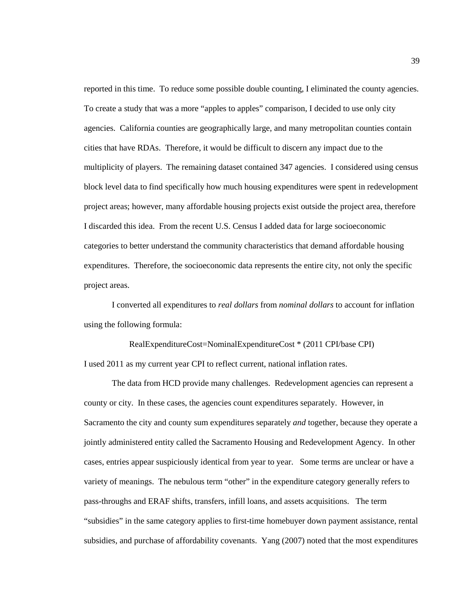reported in this time. To reduce some possible double counting, I eliminated the county agencies. To create a study that was a more "apples to apples" comparison, I decided to use only city agencies. California counties are geographically large, and many metropolitan counties contain cities that have RDAs. Therefore, it would be difficult to discern any impact due to the multiplicity of players. The remaining dataset contained 347 agencies. I considered using census block level data to find specifically how much housing expenditures were spent in redevelopment project areas; however, many affordable housing projects exist outside the project area, therefore I discarded this idea. From the recent U.S. Census I added data for large socioeconomic categories to better understand the community characteristics that demand affordable housing expenditures. Therefore, the socioeconomic data represents the entire city, not only the specific project areas.

I converted all expenditures to *real dollars* from *nominal dollars* to account for inflation using the following formula:

RealExpenditureCost=NominalExpenditureCost \* (2011 CPI/base CPI) I used 2011 as my current year CPI to reflect current, national inflation rates.

The data from HCD provide many challenges. Redevelopment agencies can represent a county or city. In these cases, the agencies count expenditures separately. However, in Sacramento the city and county sum expenditures separately *and* together, because they operate a jointly administered entity called the Sacramento Housing and Redevelopment Agency. In other cases, entries appear suspiciously identical from year to year. Some terms are unclear or have a variety of meanings. The nebulous term "other" in the expenditure category generally refers to pass-throughs and ERAF shifts, transfers, infill loans, and assets acquisitions. The term "subsidies" in the same category applies to first-time homebuyer down payment assistance, rental subsidies, and purchase of affordability covenants. Yang (2007) noted that the most expenditures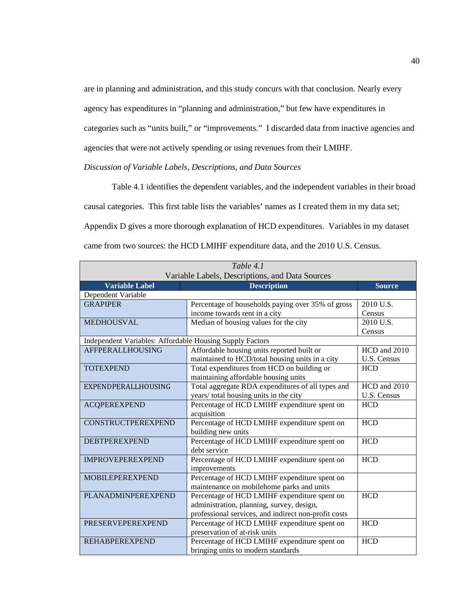are in planning and administration, and this study concurs with that conclusion. Nearly every agency has expenditures in "planning and administration," but few have expenditures in categories such as "units built," or "improvements." I discarded data from inactive agencies and agencies that were not actively spending or using revenues from their LMIHF.

# *Discussion of Variable Labels, Descriptions, and Data Sources*

Table 4.1 identifies the dependent variables, and the independent variables in their broad causal categories. This first table lists the variables' names as I created them in my data set; Appendix D gives a more thorough explanation of HCD expenditures. Variables in my dataset came from two sources: the HCD LMIHF expenditure data, and the 2010 U.S. Census.

| Table 4.1                                                |                                                      |               |  |  |  |
|----------------------------------------------------------|------------------------------------------------------|---------------|--|--|--|
| Variable Labels, Descriptions, and Data Sources          |                                                      |               |  |  |  |
| <b>Variable Label</b>                                    | <b>Description</b>                                   | <b>Source</b> |  |  |  |
| Dependent Variable                                       |                                                      |               |  |  |  |
| <b>GRAPIPER</b>                                          | Percentage of households paying over 35% of gross    | 2010 U.S.     |  |  |  |
|                                                          | income towards rent in a city                        | Census        |  |  |  |
| <b>MEDHOUSVAL</b>                                        | Median of housing values for the city                | 2010 U.S.     |  |  |  |
|                                                          |                                                      | Census        |  |  |  |
| Independent Variables: Affordable Housing Supply Factors |                                                      |               |  |  |  |
| AFFPERALLHOUSING                                         | Affordable housing units reported built or           | HCD and 2010  |  |  |  |
|                                                          | maintained to HCD/total housing units in a city      | U.S. Census   |  |  |  |
| <b>TOTEXPEND</b>                                         | Total expenditures from HCD on building or           | <b>HCD</b>    |  |  |  |
|                                                          | maintaining affordable housing units                 |               |  |  |  |
| EXPENDPERALLHOUSING                                      | Total aggregate RDA expenditures of all types and    | HCD and 2010  |  |  |  |
|                                                          | years/ total housing units in the city               | U.S. Census   |  |  |  |
| <b>ACQPEREXPEND</b>                                      | Percentage of HCD LMIHF expenditure spent on         | <b>HCD</b>    |  |  |  |
|                                                          | acquisition                                          |               |  |  |  |
| <b>CONSTRUCTPEREXPEND</b>                                | Percentage of HCD LMIHF expenditure spent on         | <b>HCD</b>    |  |  |  |
|                                                          | building new units                                   |               |  |  |  |
| <b>DEBTPEREXPEND</b>                                     | Percentage of HCD LMIHF expenditure spent on         | <b>HCD</b>    |  |  |  |
|                                                          | debt service                                         |               |  |  |  |
| <b>IMPROVEPEREXPEND</b>                                  | Percentage of HCD LMIHF expenditure spent on         | <b>HCD</b>    |  |  |  |
|                                                          | improvements                                         |               |  |  |  |
| <b>MOBILEPEREXPEND</b>                                   | Percentage of HCD LMIHF expenditure spent on         |               |  |  |  |
|                                                          | maintenance on mobilehome parks and units            |               |  |  |  |
| <b>PLANADMINPEREXPEND</b>                                | Percentage of HCD LMIHF expenditure spent on         | <b>HCD</b>    |  |  |  |
|                                                          | administration, planning, survey, design,            |               |  |  |  |
|                                                          | professional services, and indirect non-profit costs |               |  |  |  |
| <b>PRESERVEPEREXPEND</b>                                 | Percentage of HCD LMIHF expenditure spent on         | <b>HCD</b>    |  |  |  |
|                                                          | preservation of at-risk units                        |               |  |  |  |
| <b>REHABPEREXPEND</b>                                    | Percentage of HCD LMIHF expenditure spent on         | <b>HCD</b>    |  |  |  |
|                                                          | bringing units to modern standards                   |               |  |  |  |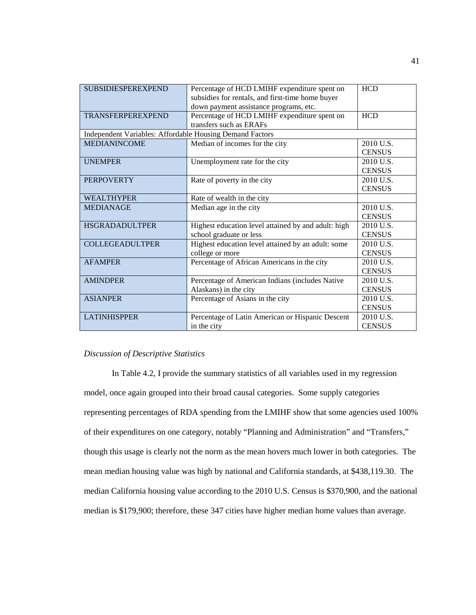| <b>SUBSIDIESPEREXPEND</b>                                |                                                     | <b>HCD</b>    |
|----------------------------------------------------------|-----------------------------------------------------|---------------|
|                                                          | Percentage of HCD LMIHF expenditure spent on        |               |
|                                                          | subsidies for rentals, and first-time home buyer    |               |
|                                                          | down payment assistance programs, etc.              |               |
| <b>TRANSFERPEREXPEND</b>                                 | Percentage of HCD LMIHF expenditure spent on        | <b>HCD</b>    |
|                                                          | transfers such as ERAFs                             |               |
| Independent Variables: Affordable Housing Demand Factors |                                                     |               |
| <b>MEDIANINCOME</b>                                      | Median of incomes for the city                      | 2010 U.S.     |
|                                                          |                                                     | <b>CENSUS</b> |
| <b>UNEMPER</b>                                           | Unemployment rate for the city                      | 2010 U.S.     |
|                                                          |                                                     | <b>CENSUS</b> |
| <b>PERPOVERTY</b>                                        | Rate of poverty in the city                         | 2010 U.S.     |
|                                                          |                                                     | <b>CENSUS</b> |
| <b>WEALTHYPER</b>                                        | Rate of wealth in the city                          |               |
| <b>MEDIANAGE</b>                                         | Median age in the city                              | 2010 U.S.     |
|                                                          |                                                     | <b>CENSUS</b> |
| <b>HSGRADADULTPER</b>                                    | Highest education level attained by and adult: high | 2010 U.S.     |
|                                                          | school graduate or less                             | <b>CENSUS</b> |
| <b>COLLEGEADULTPER</b>                                   | Highest education level attained by an adult: some  | 2010 U.S.     |
|                                                          | college or more                                     | <b>CENSUS</b> |
| <b>AFAMPER</b>                                           | Percentage of African Americans in the city         | 2010 U.S.     |
|                                                          |                                                     | <b>CENSUS</b> |
| <b>AMINDPER</b>                                          | Percentage of American Indians (includes Native     | 2010 U.S.     |
|                                                          | Alaskans) in the city                               | <b>CENSUS</b> |
| <b>ASIANPER</b>                                          | Percentage of Asians in the city                    | 2010 U.S.     |
|                                                          |                                                     | <b>CENSUS</b> |
| <b>LATINHISPPER</b>                                      | Percentage of Latin American or Hispanic Descent    | 2010 U.S.     |
|                                                          | in the city                                         | <b>CENSUS</b> |
|                                                          |                                                     |               |

#### *Discussion of Descriptive Statistics*

In Table 4.2, I provide the summary statistics of all variables used in my regression model, once again grouped into their broad causal categories. Some supply categories representing percentages of RDA spending from the LMIHF show that some agencies used 100% of their expenditures on one category, notably "Planning and Administration" and "Transfers," though this usage is clearly not the norm as the mean hovers much lower in both categories. The mean median housing value was high by national and California standards, at \$438,119.30. The median California housing value according to the 2010 U.S. Census is \$370,900, and the national median is \$179,900; therefore, these 347 cities have higher median home values than average.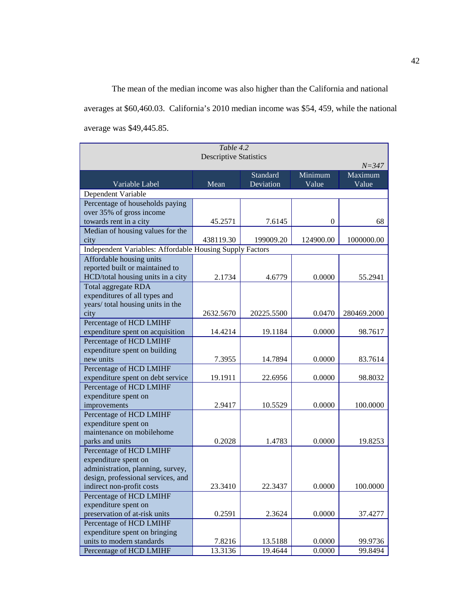The mean of the median income was also higher than the California and national

averages at \$60,460.03. California's 2010 median income was \$54, 459, while the national average was \$49,445.85.

| Table 4.2                                                  |           |            |                |             |  |  |  |
|------------------------------------------------------------|-----------|------------|----------------|-------------|--|--|--|
| <b>Descriptive Statistics</b>                              |           |            |                |             |  |  |  |
|                                                            |           | $N = 347$  |                |             |  |  |  |
|                                                            |           | Standard   | Minimum        | Maximum     |  |  |  |
| Variable Label                                             | Mean      | Deviation  | Value          | Value       |  |  |  |
| Dependent Variable                                         |           |            |                |             |  |  |  |
| Percentage of households paying                            |           |            |                |             |  |  |  |
| over 35% of gross income                                   |           |            | $\overline{0}$ | 68          |  |  |  |
| towards rent in a city<br>Median of housing values for the | 45.2571   | 7.6145     |                |             |  |  |  |
| city                                                       | 438119.30 | 199009.20  | 124900.00      | 1000000.00  |  |  |  |
| Independent Variables: Affordable Housing Supply Factors   |           |            |                |             |  |  |  |
| Affordable housing units                                   |           |            |                |             |  |  |  |
| reported built or maintained to                            |           |            |                |             |  |  |  |
| HCD/total housing units in a city                          | 2.1734    | 4.6779     | 0.0000         | 55.2941     |  |  |  |
| Total aggregate RDA                                        |           |            |                |             |  |  |  |
| expenditures of all types and                              |           |            |                |             |  |  |  |
| years/ total housing units in the                          |           |            |                |             |  |  |  |
| city                                                       | 2632.5670 | 20225.5500 | 0.0470         | 280469.2000 |  |  |  |
| Percentage of HCD LMIHF                                    |           |            |                |             |  |  |  |
| expenditure spent on acquisition                           | 14.4214   | 19.1184    | 0.0000         | 98.7617     |  |  |  |
| <b>Percentage of HCD LMIHF</b>                             |           |            |                |             |  |  |  |
| expenditure spent on building                              |           |            |                |             |  |  |  |
| new units                                                  | 7.3955    | 14.7894    | 0.0000         | 83.7614     |  |  |  |
| Percentage of HCD LMIHF                                    |           |            |                |             |  |  |  |
| expenditure spent on debt service                          | 19.1911   | 22.6956    | 0.0000         | 98.8032     |  |  |  |
| Percentage of HCD LMIHF                                    |           |            |                |             |  |  |  |
| expenditure spent on                                       |           |            |                |             |  |  |  |
| improvements                                               | 2.9417    | 10.5529    | 0.0000         | 100.0000    |  |  |  |
| Percentage of HCD LMIHF                                    |           |            |                |             |  |  |  |
| expenditure spent on                                       |           |            |                |             |  |  |  |
| maintenance on mobilehome                                  | 0.2028    | 1.4783     | 0.0000         | 19.8253     |  |  |  |
| parks and units                                            |           |            |                |             |  |  |  |
| Percentage of HCD LMIHF<br>expenditure spent on            |           |            |                |             |  |  |  |
| administration, planning, survey,                          |           |            |                |             |  |  |  |
| design, professional services, and                         |           |            |                |             |  |  |  |
| indirect non-profit costs                                  | 23.3410   | 22.3437    | 0.0000         | 100.0000    |  |  |  |
| Percentage of HCD LMIHF                                    |           |            |                |             |  |  |  |
| expenditure spent on                                       |           |            |                |             |  |  |  |
| preservation of at-risk units                              | 0.2591    | 2.3624     | 0.0000         | 37.4277     |  |  |  |
| Percentage of HCD LMIHF                                    |           |            |                |             |  |  |  |
| expenditure spent on bringing                              |           |            |                |             |  |  |  |
| units to modern standards                                  | 7.8216    | 13.5188    | 0.0000         | 99.9736     |  |  |  |
| Percentage of HCD LMIHF                                    | 13.3136   | 19.4644    | 0.0000         | 99.8494     |  |  |  |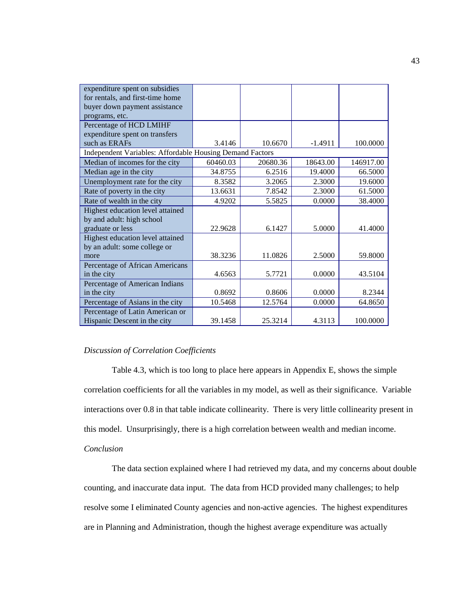| expenditure spent on subsidies                           |          |          |           |           |
|----------------------------------------------------------|----------|----------|-----------|-----------|
| for rentals, and first-time home                         |          |          |           |           |
| buyer down payment assistance                            |          |          |           |           |
| programs, etc.                                           |          |          |           |           |
| Percentage of HCD LMIHF                                  |          |          |           |           |
| expenditure spent on transfers                           |          |          |           |           |
| such as ERAFs                                            | 3.4146   | 10.6670  | $-1.4911$ | 100.0000  |
| Independent Variables: Affordable Housing Demand Factors |          |          |           |           |
| Median of incomes for the city                           | 60460.03 | 20680.36 | 18643.00  | 146917.00 |
| Median age in the city                                   | 34.8755  | 6.2516   | 19.4000   | 66.5000   |
| Unemployment rate for the city                           | 8.3582   | 3.2065   | 2.3000    | 19.6000   |
| Rate of poverty in the city                              | 13.6631  | 7.8542   | 2.3000    | 61.5000   |
| Rate of wealth in the city                               | 4.9202   | 5.5825   | 0.0000    | 38.4000   |
| Highest education level attained                         |          |          |           |           |
| by and adult: high school                                |          |          |           |           |
| graduate or less                                         | 22.9628  | 6.1427   | 5.0000    | 41.4000   |
| Highest education level attained                         |          |          |           |           |
| by an adult: some college or                             |          |          |           |           |
| more                                                     | 38.3236  | 11.0826  | 2.5000    | 59.8000   |
| Percentage of African Americans                          |          |          |           |           |
| in the city                                              | 4.6563   | 5.7721   | 0.0000    | 43.5104   |
| Percentage of American Indians                           |          |          |           |           |
| in the city                                              | 0.8692   | 0.8606   | 0.0000    | 8.2344    |
| Percentage of Asians in the city                         | 10.5468  | 12.5764  | 0.0000    | 64.8650   |
| Percentage of Latin American or                          |          |          |           |           |
| Hispanic Descent in the city                             | 39.1458  | 25.3214  | 4.3113    | 100.0000  |

## *Discussion of Correlation Coefficients*

Table 4.3, which is too long to place here appears in Appendix E, shows the simple correlation coefficients for all the variables in my model, as well as their significance. Variable interactions over 0.8 in that table indicate collinearity. There is very little collinearity present in this model. Unsurprisingly, there is a high correlation between wealth and median income.

# *Conclusion*

The data section explained where I had retrieved my data, and my concerns about double counting, and inaccurate data input. The data from HCD provided many challenges; to help resolve some I eliminated County agencies and non-active agencies. The highest expenditures are in Planning and Administration, though the highest average expenditure was actually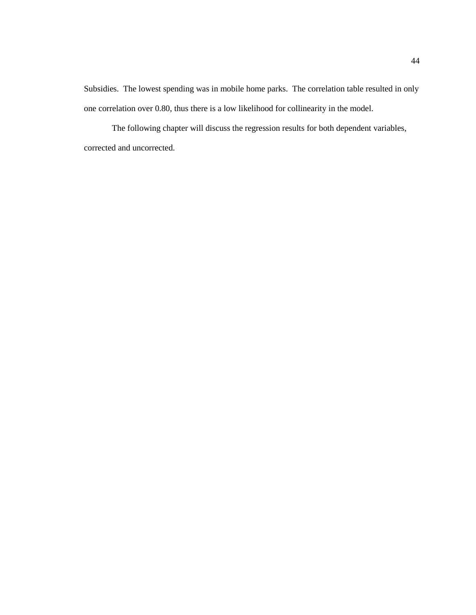Subsidies. The lowest spending was in mobile home parks. The correlation table resulted in only one correlation over 0.80, thus there is a low likelihood for collinearity in the model.

The following chapter will discuss the regression results for both dependent variables, corrected and uncorrected.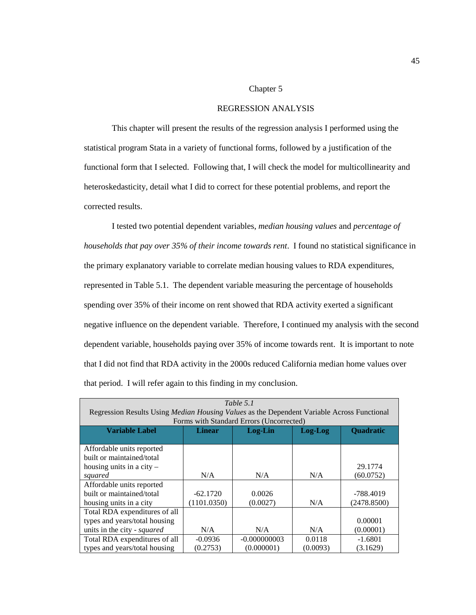#### Chapter 5

## REGRESSION ANALYSIS

This chapter will present the results of the regression analysis I performed using the statistical program Stata in a variety of functional forms, followed by a justification of the functional form that I selected. Following that, I will check the model for multicollinearity and heteroskedasticity, detail what I did to correct for these potential problems, and report the corrected results.

I tested two potential dependent variables, *median housing values* and *percentage of households that pay over 35% of their income towards rent*. I found no statistical significance in the primary explanatory variable to correlate median housing values to RDA expenditures, represented in Table 5.1. The dependent variable measuring the percentage of households spending over 35% of their income on rent showed that RDA activity exerted a significant negative influence on the dependent variable. Therefore, I continued my analysis with the second dependent variable, households paying over 35% of income towards rent. It is important to note that I did not find that RDA activity in the 2000s reduced California median home values over that period. I will refer again to this finding in my conclusion.

| Table 5.1                                                                                         |             |                                          |          |             |  |  |
|---------------------------------------------------------------------------------------------------|-------------|------------------------------------------|----------|-------------|--|--|
| Regression Results Using <i>Median Housing Values</i> as the Dependent Variable Across Functional |             |                                          |          |             |  |  |
|                                                                                                   |             | Forms with Standard Errors (Uncorrected) |          |             |  |  |
| <b>Variable Label</b><br><b>Quadratic</b><br><b>Linear</b><br>Log-Lin<br>Log-Log                  |             |                                          |          |             |  |  |
|                                                                                                   |             |                                          |          |             |  |  |
| Affordable units reported                                                                         |             |                                          |          |             |  |  |
| built or maintained/total                                                                         |             |                                          |          |             |  |  |
| housing units in a city $-$                                                                       |             |                                          |          | 29.1774     |  |  |
| squared                                                                                           | N/A         | N/A                                      | N/A      | (60.0752)   |  |  |
| Affordable units reported                                                                         |             |                                          |          |             |  |  |
| built or maintained/total                                                                         | $-62.1720$  | 0.0026                                   |          | -788.4019   |  |  |
| housing units in a city                                                                           | (1101.0350) | (0.0027)                                 | N/A      | (2478.8500) |  |  |
| Total RDA expenditures of all                                                                     |             |                                          |          |             |  |  |
| types and years/total housing<br>0.00001                                                          |             |                                          |          |             |  |  |
| units in the city - squared<br>N/A<br>(0.00001)<br>N/A<br>N/A                                     |             |                                          |          |             |  |  |
| Total RDA expenditures of all                                                                     | $-0.0936$   | $-0.000000003$                           | 0.0118   | $-1.6801$   |  |  |
| types and years/total housing                                                                     | (0.2753)    | (0.000001)                               | (0.0093) | (3.1629)    |  |  |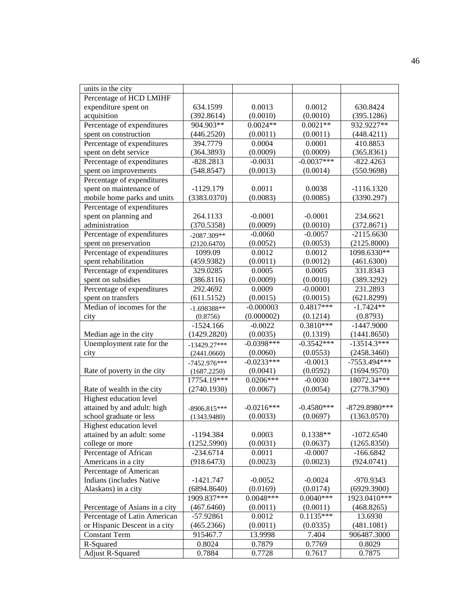| units in the city              |                |              |              |                |  |
|--------------------------------|----------------|--------------|--------------|----------------|--|
| Percentage of HCD LMIHF        |                |              |              |                |  |
| expenditure spent on           | 634.1599       | 0.0013       | 0.0012       | 630.8424       |  |
| acquisition                    | (392.8614)     | (0.0010)     | (0.0010)     | (395.1286)     |  |
| Percentage of expenditures     | 904.903**      | $0.0024**$   | $0.0021**$   | 932.9227**     |  |
| spent on construction          | (446.2520)     | (0.0011)     | (0.0011)     | (448.4211)     |  |
| Percentage of expenditures     | 394.7779       | 0.0004       | 0.0001       | 410.8853       |  |
| spent on debt service          | (364.3893)     | (0.0009)     | (0.0009)     | (365.8361)     |  |
| Percentage of expenditures     | $-828.2813$    | $-0.0031$    | $-0.0037***$ | $-822.4263$    |  |
| spent on improvements          | (548.8547)     | (0.0013)     | (0.0014)     | (550.9698)     |  |
| Percentage of expenditures     |                |              |              |                |  |
| spent on maintenance of        | $-1129.179$    | 0.0011       | 0.0038       | $-1116.1320$   |  |
| mobile home parks and units    | (3383.0370)    | (0.0083)     | (0.0085)     | (3390.297)     |  |
| Percentage of expenditures     |                |              |              |                |  |
| spent on planning and          | 264.1133       | $-0.0001$    | $-0.0001$    | 234.6621       |  |
| administration                 | (370.5358)     | (0.0009)     | (0.0010)     | (372.8671)     |  |
| Percentage of expenditures     | $-2087.309**$  | $-0.0060$    | $-0.0057$    | $-2115.6630$   |  |
| spent on preservation          | (2120.6470)    | (0.0052)     | (0.0053)     | (2125.8000)    |  |
| Percentage of expenditures     | 1099.09        | 0.0012       | 0.0012       | 1098.6330**    |  |
| spent rehabilitation           | (459.9382)     | (0.0011)     | (0.0012)     | (461.6300)     |  |
| Percentage of expenditures     | 329.0285       | 0.0005       | 0.0005       | 331.8343       |  |
| spent on subsidies             | (386.8116)     | (0.0009)     | (0.0010)     | (389.3292)     |  |
| Percentage of expenditures     | 292.4692       | 0.0009       | $-0.00001$   | 231.2893       |  |
| spent on transfers             | (611.5152)     | (0.0015)     | (0.0015)     | (621.8299)     |  |
| Median of incomes for the      | $-1.698388**$  | $-0.000003$  | $0.4817***$  | $-1.7424**$    |  |
| city                           | (0.8756)       | (0.000002)   | (0.1214)     | (0.8793)       |  |
|                                | $-1524.166$    | $-0.0022$    | $0.3810***$  | $-1447.9000$   |  |
| Median age in the city         | (1429.2820)    | (0.0035)     | (0.1319)     | (1441.8650)    |  |
| Unemployment rate for the      | $-13429.27***$ | $-0.0398***$ | $-0.3542***$ | $-13514.3***$  |  |
| city                           | (2441.0660)    | (0.0060)     | (0.0553)     | (2458.3460)    |  |
|                                | $-7452.976***$ | $-0.0233***$ | $-0.0013$    | $-7553.494***$ |  |
| Rate of poverty in the city    | (1687.2250)    | (0.0041)     | (0.0592)     | (1694.9570)    |  |
|                                | 17754.19***    | $0.0206***$  | $-0.0030$    | 18072.34***    |  |
| Rate of wealth in the city     | (2740.1930)    | (0.0067)     | (0.0054)     | (2778.3790)    |  |
| Highest education level        |                |              |              |                |  |
| attained by and adult: high    | $-8906.815***$ | $-0.0216***$ | $-0.4580***$ | -8729.8980***  |  |
| school graduate or less        | (1343.9480)    | (0.0033)     | (0.0697)     | (1363.0570)    |  |
| Highest education level        |                |              |              |                |  |
| attained by an adult: some     | $-1194.384$    | 0.0003       | $0.1338**$   | $-1072.6540$   |  |
| college or more                | (1252.5990)    | (0.0031)     | (0.0637)     | (1265.8350)    |  |
| Percentage of African          | $-234.6714$    | 0.0011       | $-0.0007$    | $-166.6842$    |  |
| Americans in a city            | (918.6473)     | (0.0023)     | (0.0023)     | (924.0741)     |  |
| Percentage of American         |                |              |              |                |  |
| Indians (includes Native       | $-1421.747$    | $-0.0052$    | $-0.0024$    | -970.9343      |  |
| Alaskans) in a city            | (6894.8640)    | (0.0169)     | (0.0174)     | (6929.3900)    |  |
|                                | 1909.837***    | $0.0048***$  | $0.0040***$  | 1923.0410***   |  |
| Percentage of Asians in a city | (467.6460)     | (0.0011)     | (0.0011)     | (468.8265)     |  |
| Percentage of Latin American   | $-57.92861$    | 0.0012       | $0.1135***$  | 13.6930        |  |
| or Hispanic Descent in a city  | (465.2366)     | (0.0011)     | (0.0335)     | (481.1081)     |  |
| <b>Constant Term</b>           | 915467.7       | 13.9998      | 7.404        | 906487.3000    |  |
| R-Squared                      | 0.8024         | 0.7879       | 0.7769       | 0.8029         |  |
| <b>Adjust R-Squared</b>        | 0.7884         | 0.7728       | 0.7617       | 0.7875         |  |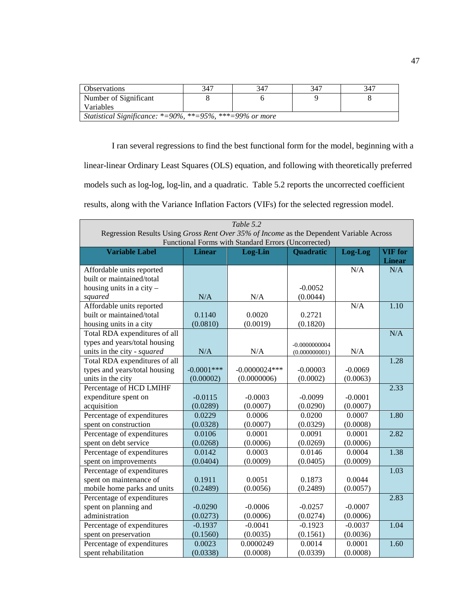| <b>Observations</b>                                      | 347 | 347 | 347 | 347 |  |
|----------------------------------------------------------|-----|-----|-----|-----|--|
| Number of Significant                                    |     |     |     |     |  |
| Variables                                                |     |     |     |     |  |
| Statistical Significance: *=90%, **=95%, ***=99% or more |     |     |     |     |  |

I ran several regressions to find the best functional form for the model, beginning with a linear-linear Ordinary Least Squares (OLS) equation, and following with theoretically preferred models such as log-log, log-lin, and a quadratic. Table 5.2 reports the uncorrected coefficient results, along with the Variance Inflation Factors (VIFs) for the selected regression model.

|                                                                                                                                                | Table 5.2     |                 |                  |           |                |  |
|------------------------------------------------------------------------------------------------------------------------------------------------|---------------|-----------------|------------------|-----------|----------------|--|
| Regression Results Using Gross Rent Over 35% of Income as the Dependent Variable Across<br>Functional Forms with Standard Errors (Uncorrected) |               |                 |                  |           |                |  |
| <b>Variable Label</b>                                                                                                                          | <b>Linear</b> | Log-Lin         | <b>Quadratic</b> | Log-Log   | <b>VIF</b> for |  |
|                                                                                                                                                |               |                 |                  |           | <b>Linear</b>  |  |
| Affordable units reported                                                                                                                      |               |                 |                  | N/A       | N/A            |  |
| built or maintained/total                                                                                                                      |               |                 |                  |           |                |  |
| housing units in a city $-$                                                                                                                    |               |                 | $-0.0052$        |           |                |  |
| squared                                                                                                                                        | N/A           | N/A             | (0.0044)         |           |                |  |
| Affordable units reported                                                                                                                      |               |                 |                  | N/A       | 1.10           |  |
| built or maintained/total                                                                                                                      | 0.1140        | 0.0020          | 0.2721           |           |                |  |
| housing units in a city                                                                                                                        | (0.0810)      | (0.0019)        | (0.1820)         |           |                |  |
| Total RDA expenditures of all                                                                                                                  |               |                 |                  |           | N/A            |  |
| types and years/total housing                                                                                                                  |               |                 | $-0.0000000004$  |           |                |  |
| units in the city - squared                                                                                                                    | N/A           | N/A             | (0.000000001)    | N/A       |                |  |
| Total RDA expenditures of all                                                                                                                  |               |                 |                  |           | 1.28           |  |
| types and years/total housing                                                                                                                  | $-0.0001$ *** | $-0.0000024***$ | $-0.00003$       | $-0.0069$ |                |  |
| units in the city                                                                                                                              | (0.00002)     | (0.0000006)     | (0.0002)         | (0.0063)  |                |  |
| Percentage of HCD LMIHF                                                                                                                        |               |                 |                  |           | 2.33           |  |
| expenditure spent on                                                                                                                           | $-0.0115$     | $-0.0003$       | $-0.0099$        | $-0.0001$ |                |  |
| acquisition                                                                                                                                    | (0.0289)      | (0.0007)        | (0.0290)         | (0.0007)  |                |  |
| Percentage of expenditures                                                                                                                     | 0.0229        | 0.0006          | 0.0200           | 0.0007    | 1.80           |  |
| spent on construction                                                                                                                          | (0.0328)      | (0.0007)        | (0.0329)         | (0.0008)  |                |  |
| Percentage of expenditures                                                                                                                     | 0.0106        | 0.0001          | 0.0091           | 0.0001    | 2.82           |  |
| spent on debt service                                                                                                                          | (0.0268)      | (0.0006)        | (0.0269)         | (0.0006)  |                |  |
| Percentage of expenditures                                                                                                                     | 0.0142        | 0.0003          | 0.0146           | 0.0004    | 1.38           |  |
| spent on improvements                                                                                                                          | (0.0404)      | (0.0009)        | (0.0405)         | (0.0009)  |                |  |
| Percentage of expenditures                                                                                                                     |               |                 |                  |           | 1.03           |  |
| spent on maintenance of                                                                                                                        | 0.1911        | 0.0051          | 0.1873           | 0.0044    |                |  |
| mobile home parks and units                                                                                                                    | (0.2489)      | (0.0056)        | (0.2489)         | (0.0057)  |                |  |
| Percentage of expenditures                                                                                                                     |               |                 |                  |           | 2.83           |  |
| spent on planning and                                                                                                                          | $-0.0290$     | $-0.0006$       | $-0.0257$        | $-0.0007$ |                |  |
| administration                                                                                                                                 | (0.0273)      | (0.0006)        | (0.0274)         | (0.0006)  |                |  |
| Percentage of expenditures                                                                                                                     | $-0.1937$     | $-0.0041$       | $-0.1923$        | $-0.0037$ | 1.04           |  |
| spent on preservation                                                                                                                          | (0.1560)      | (0.0035)        | (0.1561)         | (0.0036)  |                |  |
| Percentage of expenditures                                                                                                                     | 0.0023        | 0.0000249       | 0.0014           | 0.0001    | 1.60           |  |
| spent rehabilitation                                                                                                                           | (0.0338)      | (0.0008)        | (0.0339)         | (0.0008)  |                |  |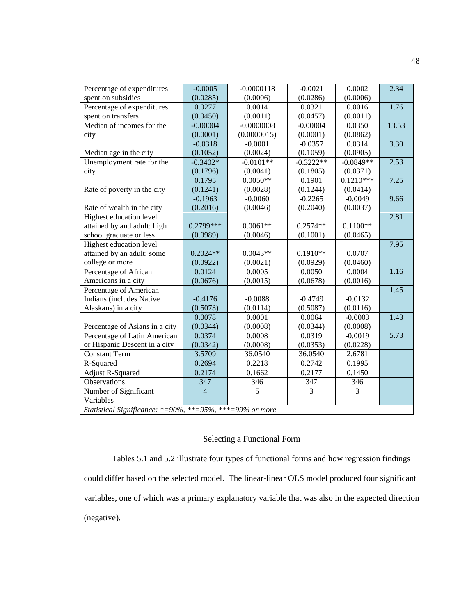| Percentage of expenditures                               | $-0.0005$      | $-0.0000118$       | $-0.0021$          | 0.0002             | 2.34  |
|----------------------------------------------------------|----------------|--------------------|--------------------|--------------------|-------|
| spent on subsidies                                       |                |                    |                    |                    |       |
|                                                          | (0.0285)       | (0.0006)<br>0.0014 | (0.0286)<br>0.0321 | (0.0006)<br>0.0016 | 1.76  |
| Percentage of expenditures                               | 0.0277         |                    |                    |                    |       |
| spent on transfers                                       | (0.0450)       | (0.0011)           | (0.0457)           | (0.0011)           |       |
| Median of incomes for the                                | $-0.00004$     | $-0.0000008$       | $-0.00004$         | 0.0350             | 13.53 |
| city                                                     | (0.0001)       | (0.0000015)        | (0.0001)           | (0.0862)           |       |
|                                                          | $-0.0318$      | $-0.0001$          | $-0.0357$          | 0.0314             | 3.30  |
| Median age in the city                                   | (0.1052)       | (0.0024)           | (0.1059)           | (0.0905)           |       |
| Unemployment rate for the                                | $-0.3402*$     | $-0.0101**$        | $-0.3222**$        | $-0.0849**$        | 2.53  |
| city                                                     | (0.1796)       | (0.0041)           | (0.1805)           | (0.0371)           |       |
|                                                          | 0.1795         | $0.0050**$         | 0.1901             | $0.1210***$        | 7.25  |
| Rate of poverty in the city                              | (0.1241)       | (0.0028)           | (0.1244)           | (0.0414)           |       |
|                                                          | $-0.1963$      | $-0.0060$          | $-0.2265$          | $-0.0049$          | 9.66  |
| Rate of wealth in the city                               | (0.2016)       | (0.0046)           | (0.2040)           | (0.0037)           |       |
| Highest education level                                  |                |                    |                    |                    | 2.81  |
| attained by and adult: high                              | $0.2799***$    | $0.0061**$         | $0.2574**$         | $0.1100**$         |       |
| school graduate or less                                  | (0.0989)       | (0.0046)           | (0.1001)           | (0.0465)           |       |
| Highest education level                                  |                |                    |                    |                    | 7.95  |
| attained by an adult: some                               | $0.2024**$     | $0.0043**$         | $0.1910**$         | 0.0707             |       |
| college or more                                          | (0.0922)       | (0.0021)           | (0.0929)           | (0.0460)           |       |
| Percentage of African                                    | 0.0124         | 0.0005             | 0.0050             | 0.0004             | 1.16  |
| Americans in a city                                      | (0.0676)       | (0.0015)           | (0.0678)           | (0.0016)           |       |
| Percentage of American                                   |                |                    |                    |                    | 1.45  |
| Indians (includes Native                                 | $-0.4176$      | $-0.0088$          | $-0.4749$          | $-0.0132$          |       |
| Alaskans) in a city                                      | (0.5073)       | (0.0114)           | (0.5087)           | (0.0116)           |       |
|                                                          | 0.0078         | 0.0001             | 0.0064             | $-0.0003$          | 1.43  |
| Percentage of Asians in a city                           | (0.0344)       | (0.0008)           | (0.0344)           | (0.0008)           |       |
| Percentage of Latin American                             | 0.0374         | 0.0008             | 0.0319             | $-0.0019$          | 5.73  |
| or Hispanic Descent in a city                            | (0.0342)       | (0.0008)           | (0.0353)           | (0.0228)           |       |
| <b>Constant Term</b>                                     | 3.5709         | 36.0540            | 36.0540            | 2.6781             |       |
|                                                          |                |                    |                    |                    |       |
| R-Squared                                                | 0.2694         | 0.2218             | 0.2742             | 0.1995             |       |
| <b>Adjust R-Squared</b>                                  | 0.2174         | 0.1662             | 0.2177             | 0.1450             |       |
| Observations                                             | 347            | 346                | 347                | 346                |       |
| Number of Significant                                    | $\overline{4}$ | 5                  | 3                  | $\overline{3}$     |       |
| Variables                                                |                |                    |                    |                    |       |
| Statistical Significance: *=90%, **=95%, ***=99% or more |                |                    |                    |                    |       |

# Selecting a Functional Form

Tables 5.1 and 5.2 illustrate four types of functional forms and how regression findings could differ based on the selected model. The linear-linear OLS model produced four significant variables, one of which was a primary explanatory variable that was also in the expected direction (negative).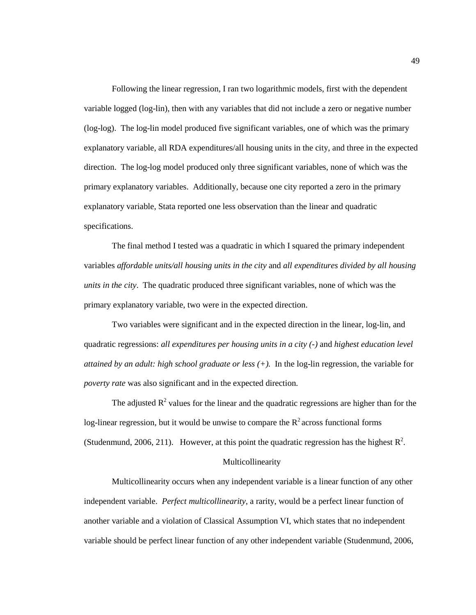Following the linear regression, I ran two logarithmic models, first with the dependent variable logged (log-lin), then with any variables that did not include a zero or negative number (log-log). The log-lin model produced five significant variables, one of which was the primary explanatory variable, all RDA expenditures/all housing units in the city, and three in the expected direction. The log-log model produced only three significant variables, none of which was the primary explanatory variables. Additionally, because one city reported a zero in the primary explanatory variable, Stata reported one less observation than the linear and quadratic specifications.

The final method I tested was a quadratic in which I squared the primary independent variables *affordable units/all housing units in the city* and *all expenditures divided by all housing units in the city*. The quadratic produced three significant variables, none of which was the primary explanatory variable, two were in the expected direction.

Two variables were significant and in the expected direction in the linear, log-lin, and quadratic regressions: *all expenditures per housing units in a city (-)* and *highest education level attained by an adult: high school graduate or less (+).* In the log-lin regression, the variable for *poverty rate* was also significant and in the expected direction.

The adjusted  $\mathbb{R}^2$  values for the linear and the quadratic regressions are higher than for the log-linear regression, but it would be unwise to compare the  $R<sup>2</sup>$  across functional forms (Studenmund, 2006, 211). However, at this point the quadratic regression has the highest  $\mathbb{R}^2$ .

## Multicollinearity

Multicollinearity occurs when any independent variable is a linear function of any other independent variable. *Perfect multicollinearity*, a rarity, would be a perfect linear function of another variable and a violation of Classical Assumption VI, which states that no independent variable should be perfect linear function of any other independent variable (Studenmund, 2006,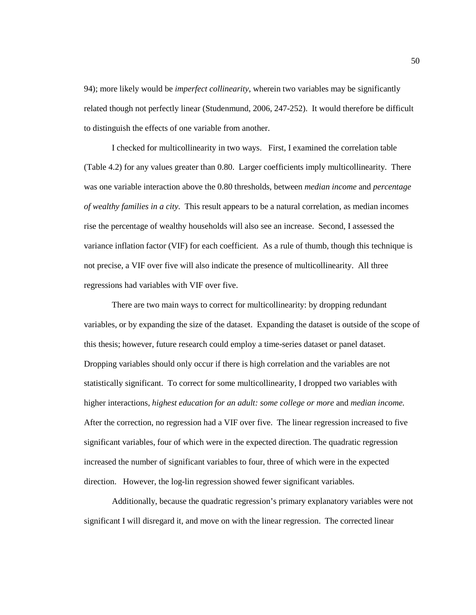94); more likely would be *imperfect collinearity*, wherein two variables may be significantly related though not perfectly linear (Studenmund, 2006, 247-252). It would therefore be difficult to distinguish the effects of one variable from another.

I checked for multicollinearity in two ways. First, I examined the correlation table (Table 4.2) for any values greater than 0.80. Larger coefficients imply multicollinearity. There was one variable interaction above the 0.80 thresholds, between *median income* and *percentage of wealthy families in a city*. This result appears to be a natural correlation, as median incomes rise the percentage of wealthy households will also see an increase. Second, I assessed the variance inflation factor (VIF) for each coefficient. As a rule of thumb, though this technique is not precise, a VIF over five will also indicate the presence of multicollinearity. All three regressions had variables with VIF over five.

There are two main ways to correct for multicollinearity: by dropping redundant variables, or by expanding the size of the dataset. Expanding the dataset is outside of the scope of this thesis; however, future research could employ a time-series dataset or panel dataset. Dropping variables should only occur if there is high correlation and the variables are not statistically significant. To correct for some multicollinearity, I dropped two variables with higher interactions, *highest education for an adult: some college or more* and *median income.* After the correction, no regression had a VIF over five. The linear regression increased to five significant variables, four of which were in the expected direction. The quadratic regression increased the number of significant variables to four, three of which were in the expected direction. However, the log-lin regression showed fewer significant variables.

Additionally, because the quadratic regression's primary explanatory variables were not significant I will disregard it, and move on with the linear regression. The corrected linear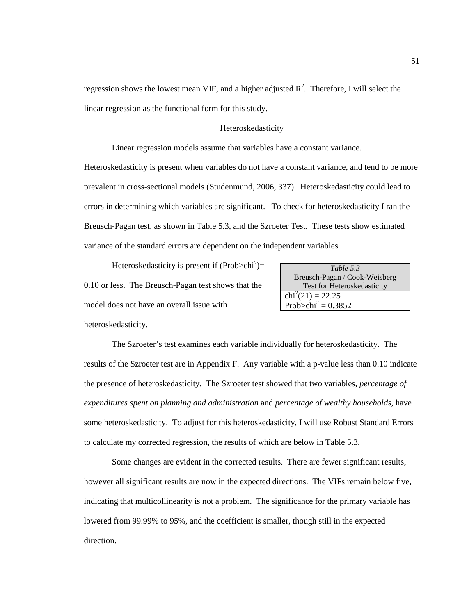regression shows the lowest mean VIF, and a higher adjusted  $R^2$ . Therefore, I will select the linear regression as the functional form for this study.

# Heteroskedasticity

Linear regression models assume that variables have a constant variance.

Heteroskedasticity is present when variables do not have a constant variance, and tend to be more prevalent in cross-sectional models (Studenmund, 2006, 337). Heteroskedasticity could lead to errors in determining which variables are significant. To check for heteroskedasticity I ran the Breusch-Pagan test, as shown in Table 5.3, and the Szroeter Test. These tests show estimated variance of the standard errors are dependent on the independent variables.

Heteroskedasticity is present if  $(Prob > chi<sup>2</sup>)$ = 0.10 or less. The Breusch-Pagan test shows that the model does not have an overall issue with

| Table 5.3                          |
|------------------------------------|
| Breusch-Pagan / Cook-Weisberg      |
| <b>Test for Heteroskedasticity</b> |
| $\text{chi}^2(21) = 22.25$         |
| Prob>chi <sup>2</sup> = $0.3852$   |

heteroskedasticity.

The Szroeter's test examines each variable individually for heteroskedasticity. The results of the Szroeter test are in Appendix F. Any variable with a p-value less than 0.10 indicate the presence of heteroskedasticity. The Szroeter test showed that two variables, *percentage of expenditures spent on planning and administration* and *percentage of wealthy households*, have some heteroskedasticity. To adjust for this heteroskedasticity, I will use Robust Standard Errors to calculate my corrected regression, the results of which are below in Table 5.3.

Some changes are evident in the corrected results. There are fewer significant results, however all significant results are now in the expected directions. The VIFs remain below five, indicating that multicollinearity is not a problem. The significance for the primary variable has lowered from 99.99% to 95%, and the coefficient is smaller, though still in the expected direction.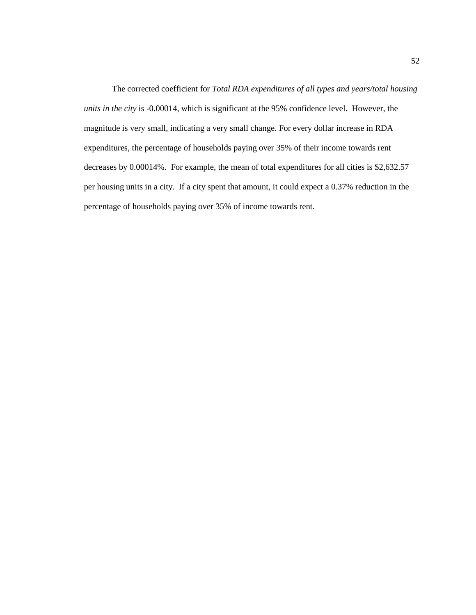The corrected coefficient for *Total RDA expenditures of all types and years/total housing units in the city* is -0.00014, which is significant at the 95% confidence level. However, the magnitude is very small, indicating a very small change. For every dollar increase in RDA expenditures, the percentage of households paying over 35% of their income towards rent decreases by 0.00014%. For example, the mean of total expenditures for all cities is \$2,632.57 per housing units in a city. If a city spent that amount, it could expect a 0.37% reduction in the percentage of households paying over 35% of income towards rent.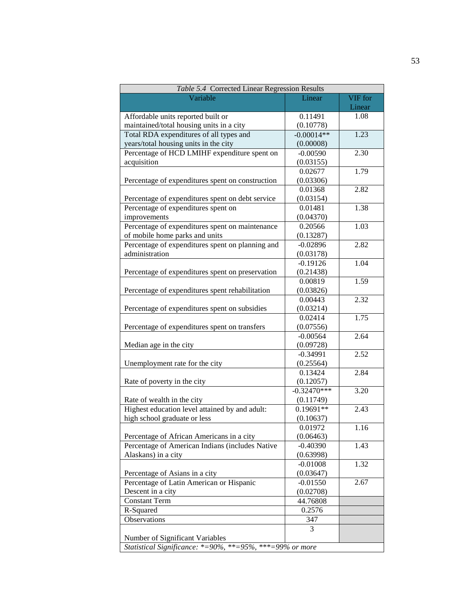| Table 5.4 Corrected Linear Regression Results            |               |         |  |  |
|----------------------------------------------------------|---------------|---------|--|--|
| Variable                                                 | Linear        | VIF for |  |  |
|                                                          |               | Linear  |  |  |
| Affordable units reported built or                       | 0.11491       | 1.08    |  |  |
| maintained/total housing units in a city                 | (0.10778)     |         |  |  |
| Total RDA expenditures of all types and                  | $-0.00014**$  | 1.23    |  |  |
| years/total housing units in the city                    | (0.00008)     |         |  |  |
| Percentage of HCD LMIHF expenditure spent on             | $-0.00590$    | 2.30    |  |  |
| acquisition                                              | (0.03155)     |         |  |  |
|                                                          | 0.02677       | 1.79    |  |  |
| Percentage of expenditures spent on construction         | (0.03306)     |         |  |  |
|                                                          | 0.01368       | 2.82    |  |  |
| Percentage of expenditures spent on debt service         | (0.03154)     |         |  |  |
| Percentage of expenditures spent on                      | 0.01481       | 1.38    |  |  |
| improvements                                             | (0.04370)     |         |  |  |
| Percentage of expenditures spent on maintenance          | 0.20566       | 1.03    |  |  |
| of mobile home parks and units                           | (0.13287)     |         |  |  |
| Percentage of expenditures spent on planning and         | $-0.02896$    | 2.82    |  |  |
| administration                                           | (0.03178)     |         |  |  |
|                                                          | $-0.19126$    | 1.04    |  |  |
| Percentage of expenditures spent on preservation         | (0.21438)     |         |  |  |
|                                                          | 0.00819       | 1.59    |  |  |
| Percentage of expenditures spent rehabilitation          | (0.03826)     |         |  |  |
|                                                          | 0.00443       | 2.32    |  |  |
| Percentage of expenditures spent on subsidies            | (0.03214)     |         |  |  |
|                                                          | 0.02414       | 1.75    |  |  |
| Percentage of expenditures spent on transfers            | (0.07556)     |         |  |  |
|                                                          | $-0.00564$    | 2.64    |  |  |
| Median age in the city                                   | (0.09728)     |         |  |  |
|                                                          | $-0.34991$    | 2.52    |  |  |
| Unemployment rate for the city                           | (0.25564)     |         |  |  |
|                                                          | 0.13424       | 2.84    |  |  |
| Rate of poverty in the city                              | (0.12057)     |         |  |  |
|                                                          | $-0.32470***$ | 3.20    |  |  |
| Rate of wealth in the city                               | (0.11749)     |         |  |  |
| Highest education level attained by and adult:           | $0.19691**$   | 2.43    |  |  |
| high school graduate or less                             | (0.10637)     |         |  |  |
|                                                          | 0.01972       | 1.16    |  |  |
| Percentage of African Americans in a city                | (0.06463)     |         |  |  |
| Percentage of American Indians (includes Native          | $-0.40390$    | 1.43    |  |  |
| Alaskans) in a city                                      | (0.63998)     |         |  |  |
|                                                          | $-0.01008$    | 1.32    |  |  |
| Percentage of Asians in a city                           | (0.03647)     |         |  |  |
| Percentage of Latin American or Hispanic                 | $-0.01550$    | 2.67    |  |  |
| Descent in a city                                        | (0.02708)     |         |  |  |
| <b>Constant Term</b>                                     | 44.76808      |         |  |  |
| R-Squared                                                | 0.2576        |         |  |  |
| Observations                                             | 347           |         |  |  |
|                                                          | 3             |         |  |  |
| Number of Significant Variables                          |               |         |  |  |
| Statistical Significance: *=90%, **=95%, ***=99% or more |               |         |  |  |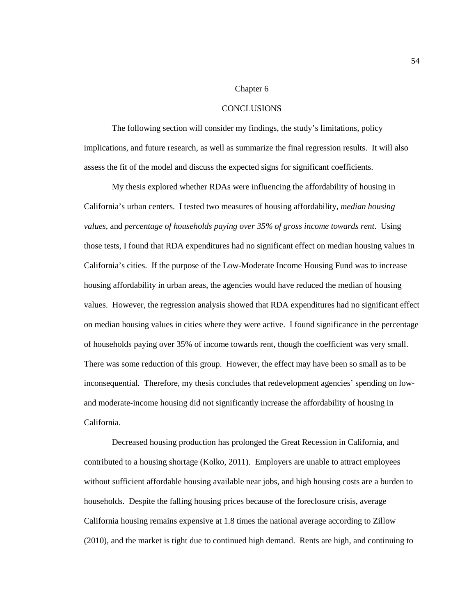#### Chapter 6

#### **CONCLUSIONS**

The following section will consider my findings, the study's limitations, policy implications, and future research, as well as summarize the final regression results. It will also assess the fit of the model and discuss the expected signs for significant coefficients.

My thesis explored whether RDAs were influencing the affordability of housing in California's urban centers. I tested two measures of housing affordability, *median housing values,* and *percentage of households paying over 35% of gross income towards rent*. Using those tests, I found that RDA expenditures had no significant effect on median housing values in California's cities. If the purpose of the Low-Moderate Income Housing Fund was to increase housing affordability in urban areas, the agencies would have reduced the median of housing values. However, the regression analysis showed that RDA expenditures had no significant effect on median housing values in cities where they were active. I found significance in the percentage of households paying over 35% of income towards rent, though the coefficient was very small. There was some reduction of this group. However, the effect may have been so small as to be inconsequential. Therefore, my thesis concludes that redevelopment agencies' spending on lowand moderate-income housing did not significantly increase the affordability of housing in California.

Decreased housing production has prolonged the Great Recession in California, and contributed to a housing shortage (Kolko, 2011). Employers are unable to attract employees without sufficient affordable housing available near jobs, and high housing costs are a burden to households. Despite the falling housing prices because of the foreclosure crisis, average California housing remains expensive at 1.8 times the national average according to Zillow (2010), and the market is tight due to continued high demand. Rents are high, and continuing to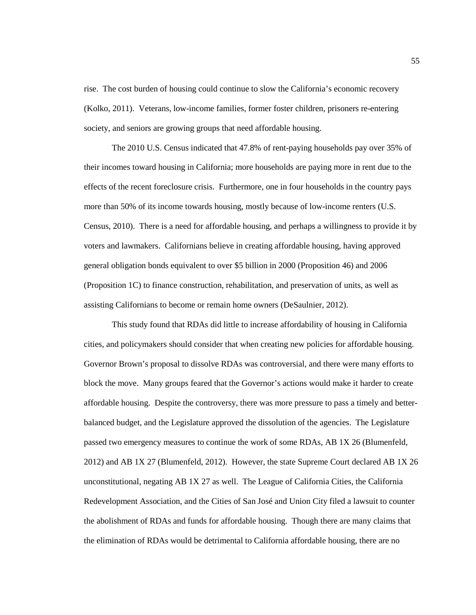rise. The cost burden of housing could continue to slow the California's economic recovery (Kolko, 2011). Veterans, low-income families, former foster children, prisoners re-entering society, and seniors are growing groups that need affordable housing.

The 2010 U.S. Census indicated that 47.8% of rent-paying households pay over 35% of their incomes toward housing in California; more households are paying more in rent due to the effects of the recent foreclosure crisis. Furthermore, one in four households in the country pays more than 50% of its income towards housing, mostly because of low-income renters (U.S. Census, 2010). There is a need for affordable housing, and perhaps a willingness to provide it by voters and lawmakers. Californians believe in creating affordable housing, having approved general obligation bonds equivalent to over \$5 billion in 2000 (Proposition 46) and 2006 (Proposition 1C) to finance construction, rehabilitation, and preservation of units, as well as assisting Californians to become or remain home owners (DeSaulnier, 2012).

This study found that RDAs did little to increase affordability of housing in California cities, and policymakers should consider that when creating new policies for affordable housing. Governor Brown's proposal to dissolve RDAs was controversial, and there were many efforts to block the move. Many groups feared that the Governor's actions would make it harder to create affordable housing. Despite the controversy, there was more pressure to pass a timely and betterbalanced budget, and the Legislature approved the dissolution of the agencies. The Legislature passed two emergency measures to continue the work of some RDAs, AB 1X 26 (Blumenfeld, 2012) and AB 1X 27 (Blumenfeld, 2012). However, the state Supreme Court declared AB 1X 26 unconstitutional, negating AB 1X 27 as well. The League of California Cities, the California Redevelopment Association, and the Cities of San José and Union City filed a lawsuit to counter the abolishment of RDAs and funds for affordable housing. Though there are many claims that the elimination of RDAs would be detrimental to California affordable housing, there are no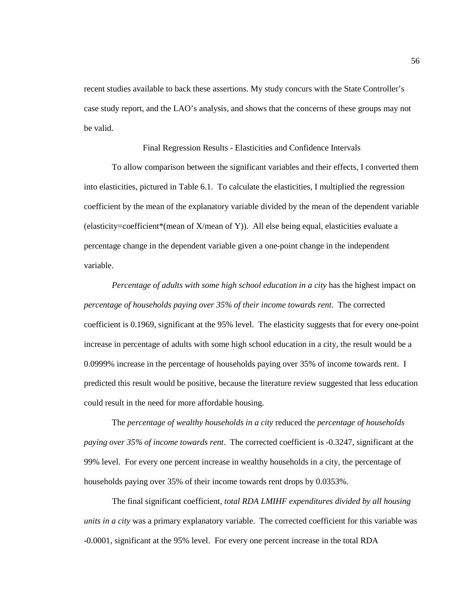recent studies available to back these assertions. My study concurs with the State Controller's case study report, and the LAO's analysis, and shows that the concerns of these groups may not be valid.

Final Regression Results - Elasticities and Confidence Intervals

To allow comparison between the significant variables and their effects, I converted them into elasticities, pictured in Table 6.1. To calculate the elasticities, I multiplied the regression coefficient by the mean of the explanatory variable divided by the mean of the dependent variable (elasticity=coefficient\*(mean of X/mean of Y)). All else being equal, elasticities evaluate a percentage change in the dependent variable given a one-point change in the independent variable.

*Percentage of adults with some high school education in a city* has the highest impact on *percentage of households paying over 35% of their income towards rent*. The corrected coefficient is 0.1969, significant at the 95% level. The elasticity suggests that for every one-point increase in percentage of adults with some high school education in a city, the result would be a 0.0999% increase in the percentage of households paying over 35% of income towards rent. I predicted this result would be positive, because the literature review suggested that less education could result in the need for more affordable housing.

The *percentage of wealthy households in a city* reduced the *percentage of households paying over 35% of income towards rent*. The corrected coefficient is -0.3247, significant at the 99% level. For every one percent increase in wealthy households in a city, the percentage of households paying over 35% of their income towards rent drops by 0.0353%.

The final significant coefficient, *total RDA LMIHF expenditures divided by all housing units in a city* was a primary explanatory variable. The corrected coefficient for this variable was -0.0001, significant at the 95% level. For every one percent increase in the total RDA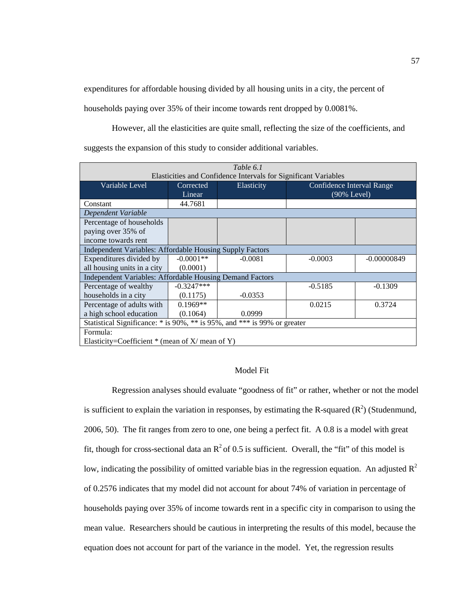expenditures for affordable housing divided by all housing units in a city, the percent of

households paying over 35% of their income towards rent dropped by 0.0081%.

However, all the elasticities are quite small, reflecting the size of the coefficients, and suggests the expansion of this study to consider additional variables.

| Table 6.1                                                                |              |                                                                 |                           |               |
|--------------------------------------------------------------------------|--------------|-----------------------------------------------------------------|---------------------------|---------------|
|                                                                          |              | Elasticities and Confidence Intervals for Significant Variables |                           |               |
| Variable Level                                                           | Corrected    | Elasticity                                                      | Confidence Interval Range |               |
|                                                                          | Linear       |                                                                 | $(90\%$ Level)            |               |
| Constant                                                                 | 44.7681      |                                                                 |                           |               |
| Dependent Variable                                                       |              |                                                                 |                           |               |
| Percentage of households                                                 |              |                                                                 |                           |               |
| paying over 35% of                                                       |              |                                                                 |                           |               |
| income towards rent                                                      |              |                                                                 |                           |               |
| Independent Variables: Affordable Housing Supply Factors                 |              |                                                                 |                           |               |
| Expenditures divided by                                                  | $-0.0001**$  | $-0.0081$                                                       | $-0.0003$                 | $-0.00000849$ |
| all housing units in a city                                              | (0.0001)     |                                                                 |                           |               |
| Independent Variables: Affordable Housing Demand Factors                 |              |                                                                 |                           |               |
| Percentage of wealthy                                                    | $-0.3247***$ |                                                                 | $-0.5185$                 | $-0.1309$     |
| households in a city                                                     | (0.1175)     | $-0.0353$                                                       |                           |               |
| Percentage of adults with                                                | $0.1969**$   |                                                                 | 0.0215                    | 0.3724        |
| a high school education                                                  | (0.1064)     | 0.0999                                                          |                           |               |
| Statistical Significance: * is 90%, ** is 95%, and *** is 99% or greater |              |                                                                 |                           |               |
| Formula:                                                                 |              |                                                                 |                           |               |
| Elasticity=Coefficient $*$ (mean of X/ mean of Y)                        |              |                                                                 |                           |               |

#### Model Fit

Regression analyses should evaluate "goodness of fit" or rather, whether or not the model is sufficient to explain the variation in responses, by estimating the R-squared  $(R^2)$  (Studenmund, 2006, 50). The fit ranges from zero to one, one being a perfect fit. A 0.8 is a model with great fit, though for cross-sectional data an  $R^2$  of 0.5 is sufficient. Overall, the "fit" of this model is low, indicating the possibility of omitted variable bias in the regression equation. An adjusted  $R^2$ of 0.2576 indicates that my model did not account for about 74% of variation in percentage of households paying over 35% of income towards rent in a specific city in comparison to using the mean value. Researchers should be cautious in interpreting the results of this model, because the equation does not account for part of the variance in the model. Yet, the regression results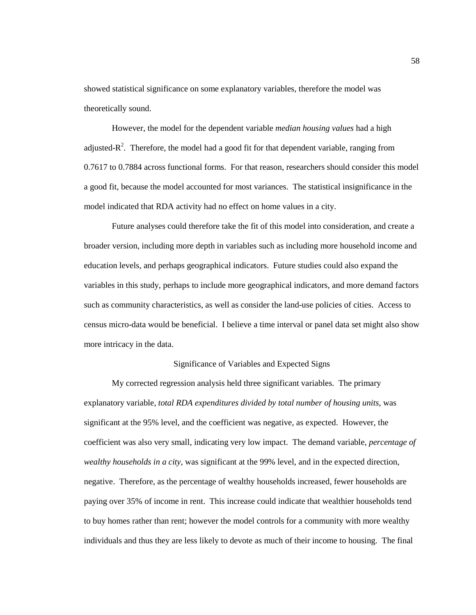showed statistical significance on some explanatory variables, therefore the model was theoretically sound.

However, the model for the dependent variable *median housing values* had a high adjusted- $R^2$ . Therefore, the model had a good fit for that dependent variable, ranging from 0.7617 to 0.7884 across functional forms. For that reason, researchers should consider this model a good fit, because the model accounted for most variances. The statistical insignificance in the model indicated that RDA activity had no effect on home values in a city.

Future analyses could therefore take the fit of this model into consideration, and create a broader version, including more depth in variables such as including more household income and education levels, and perhaps geographical indicators. Future studies could also expand the variables in this study, perhaps to include more geographical indicators, and more demand factors such as community characteristics, as well as consider the land-use policies of cities. Access to census micro-data would be beneficial. I believe a time interval or panel data set might also show more intricacy in the data.

## Significance of Variables and Expected Signs

My corrected regression analysis held three significant variables. The primary explanatory variable, *total RDA expenditures divided by total number of housing units*, was significant at the 95% level, and the coefficient was negative, as expected. However, the coefficient was also very small, indicating very low impact. The demand variable, *percentage of wealthy households in a city,* was significant at the 99% level, and in the expected direction, negative. Therefore, as the percentage of wealthy households increased, fewer households are paying over 35% of income in rent. This increase could indicate that wealthier households tend to buy homes rather than rent; however the model controls for a community with more wealthy individuals and thus they are less likely to devote as much of their income to housing. The final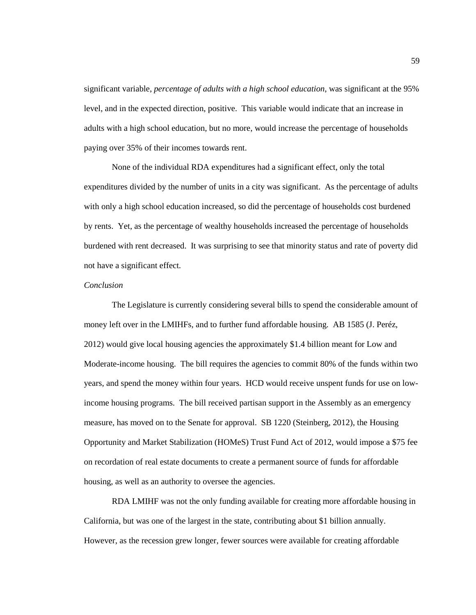significant variable, *percentage of adults with a high school education*, was significant at the 95% level, and in the expected direction, positive. This variable would indicate that an increase in adults with a high school education, but no more, would increase the percentage of households paying over 35% of their incomes towards rent.

None of the individual RDA expenditures had a significant effect, only the total expenditures divided by the number of units in a city was significant. As the percentage of adults with only a high school education increased, so did the percentage of households cost burdened by rents. Yet, as the percentage of wealthy households increased the percentage of households burdened with rent decreased. It was surprising to see that minority status and rate of poverty did not have a significant effect.

# *Conclusion*

The Legislature is currently considering several bills to spend the considerable amount of money left over in the LMIHFs, and to further fund affordable housing. AB 1585 (J. Peréz, 2012) would give local housing agencies the approximately \$1.4 billion meant for Low and Moderate-income housing. The bill requires the agencies to commit 80% of the funds within two years, and spend the money within four years. HCD would receive unspent funds for use on lowincome housing programs. The bill received partisan support in the Assembly as an emergency measure, has moved on to the Senate for approval. SB 1220 (Steinberg, 2012), the Housing Opportunity and Market Stabilization (HOMeS) Trust Fund Act of 2012, would impose a \$75 fee on recordation of real estate documents to create a permanent source of funds for affordable housing, as well as an authority to oversee the agencies.

RDA LMIHF was not the only funding available for creating more affordable housing in California, but was one of the largest in the state, contributing about \$1 billion annually. However, as the recession grew longer, fewer sources were available for creating affordable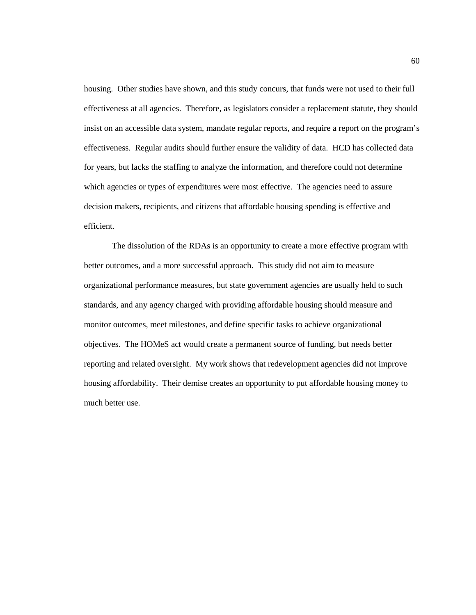housing. Other studies have shown, and this study concurs, that funds were not used to their full effectiveness at all agencies. Therefore, as legislators consider a replacement statute, they should insist on an accessible data system, mandate regular reports, and require a report on the program's effectiveness. Regular audits should further ensure the validity of data. HCD has collected data for years, but lacks the staffing to analyze the information, and therefore could not determine which agencies or types of expenditures were most effective. The agencies need to assure decision makers, recipients, and citizens that affordable housing spending is effective and efficient.

The dissolution of the RDAs is an opportunity to create a more effective program with better outcomes, and a more successful approach. This study did not aim to measure organizational performance measures, but state government agencies are usually held to such standards, and any agency charged with providing affordable housing should measure and monitor outcomes, meet milestones, and define specific tasks to achieve organizational objectives. The HOMeS act would create a permanent source of funding, but needs better reporting and related oversight. My work shows that redevelopment agencies did not improve housing affordability. Their demise creates an opportunity to put affordable housing money to much better use.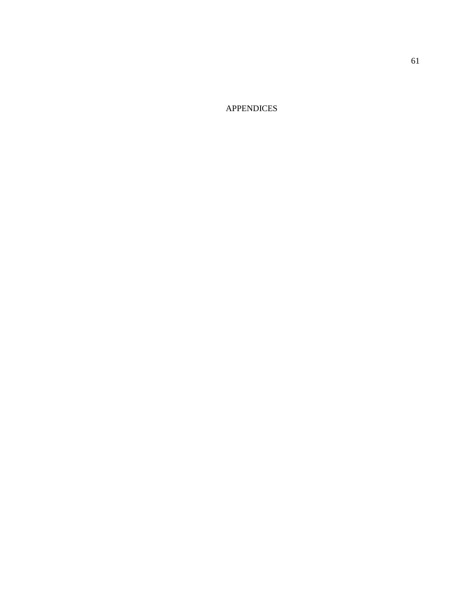APPENDICES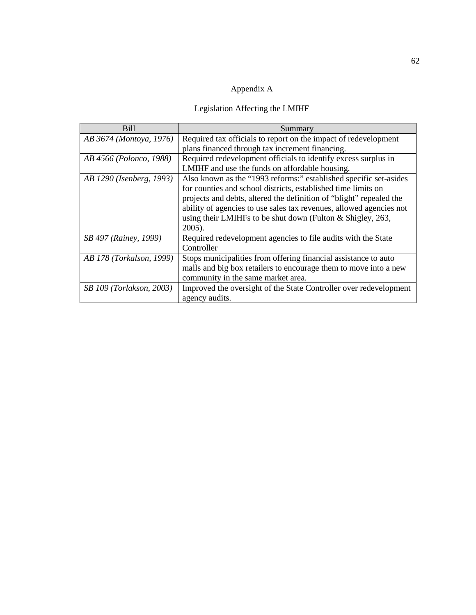# Appendix A

# Legislation Affecting the LMIHF

| Bill                         | Summary                                                             |
|------------------------------|---------------------------------------------------------------------|
| AB 3674 (Montoya, 1976)      | Required tax officials to report on the impact of redevelopment     |
|                              | plans financed through tax increment financing.                     |
| AB 4566 (Polonco, 1988)      | Required redevelopment officials to identify excess surplus in      |
|                              | LMIHF and use the funds on affordable housing.                      |
| AB 1290 (Isenberg, 1993)     | Also known as the "1993 reforms:" established specific set-asides   |
|                              | for counties and school districts, established time limits on       |
|                              | projects and debts, altered the definition of "blight" repealed the |
|                              | ability of agencies to use sales tax revenues, allowed agencies not |
|                              | using their LMIHFs to be shut down (Fulton $&$ Shigley, 263,        |
|                              | $2005$ ).                                                           |
| <i>SB 497 (Rainey, 1999)</i> | Required redevelopment agencies to file audits with the State       |
|                              | Controller                                                          |
| AB 178 (Torkalson, 1999)     | Stops municipalities from offering financial assistance to auto     |
|                              | malls and big box retailers to encourage them to move into a new    |
|                              | community in the same market area.                                  |
| SB 109 (Torlakson, 2003)     | Improved the oversight of the State Controller over redevelopment   |
|                              | agency audits.                                                      |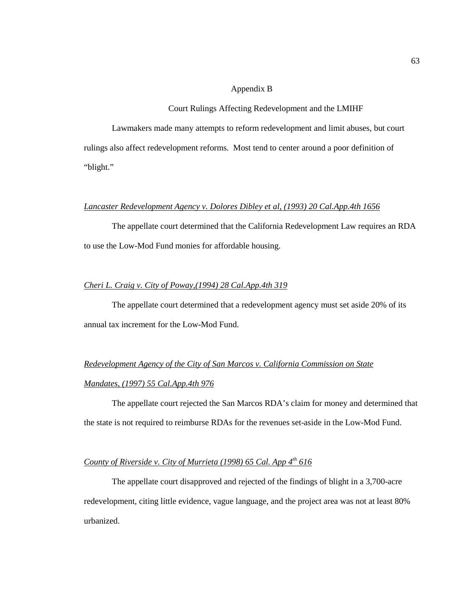#### Appendix B

#### Court Rulings Affecting Redevelopment and the LMIHF

Lawmakers made many attempts to reform redevelopment and limit abuses, but court rulings also affect redevelopment reforms. Most tend to center around a poor definition of "blight."

## *Lancaster Redevelopment Agency v. Dolores Dibley et al, (1993) 20 Cal.App.4th 1656*

The appellate court determined that the California Redevelopment Law requires an RDA to use the Low-Mod Fund monies for affordable housing.

## *Cheri L. Craig v. City of Poway,(1994) 28 Cal.App.4th 319*

The appellate court determined that a redevelopment agency must set aside 20% of its annual tax increment for the Low-Mod Fund.

# *Redevelopment Agency of the City of San Marcos v. California Commission on State Mandates, (1997) 55 Cal.App.4th 976*

The appellate court rejected the San Marcos RDA's claim for money and determined that the state is not required to reimburse RDAs for the revenues set-aside in the Low-Mod Fund.

## *County of Riverside v. City of Murrieta (1998) 65 Cal. App 4<sup>th</sup> 616*

The appellate court disapproved and rejected of the findings of blight in a 3,700-acre redevelopment, citing little evidence, vague language, and the project area was not at least 80% urbanized.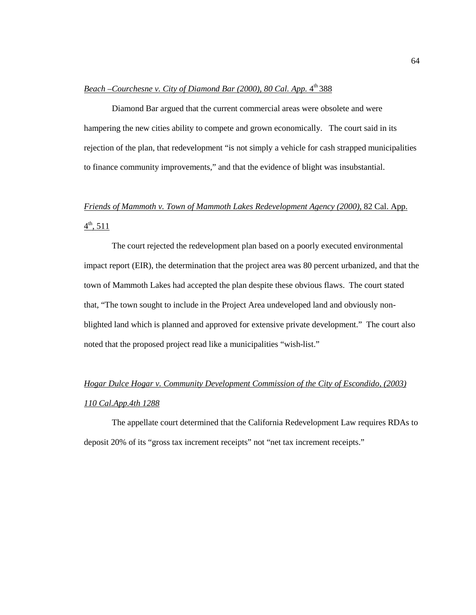## *Beach –Courchesne v. City of Diamond Bar (2000), 80 Cal. App.* 4<sup>th</sup> 388

Diamond Bar argued that the current commercial areas were obsolete and were hampering the new cities ability to compete and grown economically. The court said in its rejection of the plan, that redevelopment "is not simply a vehicle for cash strapped municipalities to finance community improvements," and that the evidence of blight was insubstantial.

# *Friends of Mammoth v. Town of Mammoth Lakes Redevelopment Agency (2000)*, 82 Cal. App.  $4^{\text{th}}$ , 511

The court rejected the redevelopment plan based on a poorly executed environmental impact report (EIR), the determination that the project area was 80 percent urbanized, and that the town of Mammoth Lakes had accepted the plan despite these obvious flaws. The court stated that, "The town sought to include in the Project Area undeveloped land and obviously nonblighted land which is planned and approved for extensive private development." The court also noted that the proposed project read like a municipalities "wish-list."

# *Hogar Dulce Hogar v. Community Development Commission of the City of Escondido, (2003) 110 Cal.App.4th 1288*

The appellate court determined that the California Redevelopment Law requires RDAs to deposit 20% of its "gross tax increment receipts" not "net tax increment receipts."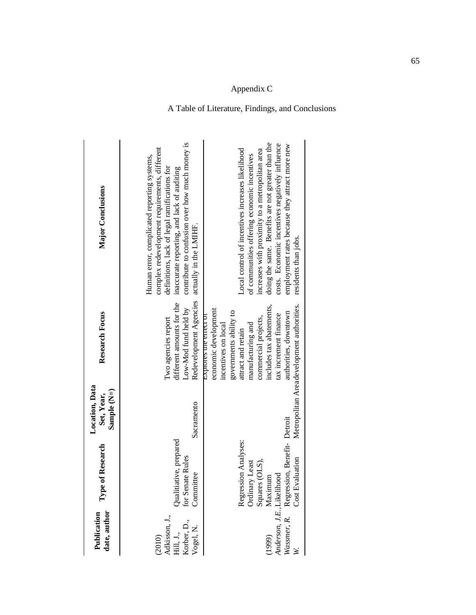| date, author<br>Publication                                      | Type of Research                                                                                                                                                        | Location, Data<br>Sample (N=)<br>Set, Year, | <b>Research Focus</b>                                                                                                                                                                                                                                                                         | Major Conclusions                                                                                                                                                                                                                                                                                                                    |
|------------------------------------------------------------------|-------------------------------------------------------------------------------------------------------------------------------------------------------------------------|---------------------------------------------|-----------------------------------------------------------------------------------------------------------------------------------------------------------------------------------------------------------------------------------------------------------------------------------------------|--------------------------------------------------------------------------------------------------------------------------------------------------------------------------------------------------------------------------------------------------------------------------------------------------------------------------------------|
| (2010)<br>Adkisson, J.,<br>Hill, J.,<br>Korber, D.,<br>Vogel, N. | Qualitiative, prepared<br>for Senate Rules<br>Committee                                                                                                                 | Sacramento                                  | Redevelopment Agencies<br>different amounts for the<br>Low-Mod fund held by<br>Two agencies report                                                                                                                                                                                            | contribute to confusion over how much money is<br>complex redevelopment requirements, different<br>Human error, complicated reporting systems,<br>definitions, lack of legal ramifications for<br>inaccurate reporting, and lack of auditing<br>actually in the LMIHF.                                                               |
|                                                                  | Squares (OLS),<br>(1999) Maximum<br>Anderson, J.E., Likelihood<br>Wassmer, R. Regression, Benefit- Detroit<br>Regression Analyses:<br>Ordinary Least<br>Cost Evaluation |                                             | Metropolitan Areadevelopment authorities.<br>includes tax abatements,<br>economic development<br>governments ability to<br>authorities, downtown<br>tax increment finance<br>Explores the effect of<br>commercial projects,<br>manufacturing and<br>incentives on local<br>attract and retain | doing the same. Benefits are not greater than the<br>costs. Economic incentives negatively influence<br>employment rates because they attract more new<br>Local control of incentives increases likelihood<br>increases with proximity to a metropolitan area<br>of communities offering economic incentives<br>residents than jobs. |

## A Table of Literature, Findings, and Conclusions

Appendix C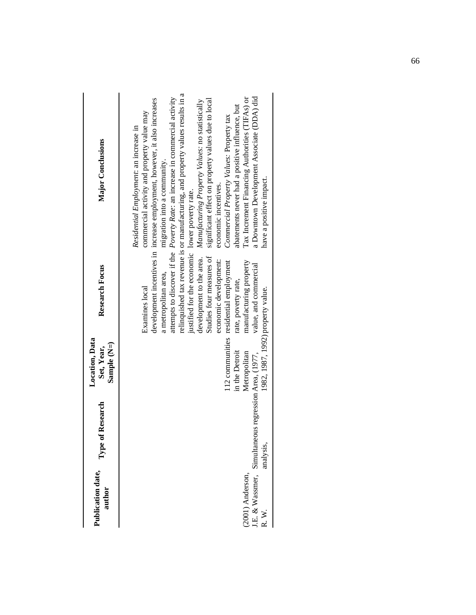| Publication date,<br>author | of Research<br>Type                                               | Location, Data<br>Sample (N=)<br>Set, Year,                         | Research Focus                                                                                                                                                                                                                                                                                | Major Conclusions                                                                                                                                                                                                                                                                                                                                                                                                                                                                                                                                                                                                                                                                                                                   |
|-----------------------------|-------------------------------------------------------------------|---------------------------------------------------------------------|-----------------------------------------------------------------------------------------------------------------------------------------------------------------------------------------------------------------------------------------------------------------------------------------------|-------------------------------------------------------------------------------------------------------------------------------------------------------------------------------------------------------------------------------------------------------------------------------------------------------------------------------------------------------------------------------------------------------------------------------------------------------------------------------------------------------------------------------------------------------------------------------------------------------------------------------------------------------------------------------------------------------------------------------------|
| (2001) Anderson,<br>R.W.    | J.E. & Wassmer, Simultaneous regression Area, (1977,<br>analysis, | 1982, 1987, 1992) property value.<br>in the Detroit<br>Metropolitan | justified for the economic lower poverty rate.<br>development to the area.<br>Studies four measures of<br>economic development:<br>112 communities residential employment<br>manufacturing property<br>value, and commercial<br>a metropolitan area,<br>rate, poverty rate,<br>Examines local | relinquished tax revenue is or manufacturing, and property values results in a<br>a Downtown Development Associate (DDA) did<br>attempts to discover if the <i>Poverty Rate:</i> an increase in commercial activity<br>Tax Increment Financing Authorities (TIFAs) or<br>development incentives in increase employment, however, it also increases<br>significant effect on property values due to local<br>Manufacturing Property Values: no statistically<br>abatements never had a positive influence, but<br>commercial activity and property value may<br>Commercial Property Values: Property tax<br>Residential Employment: an increase in<br>migration into a community.<br>have a positive impact.<br>economic incentives. |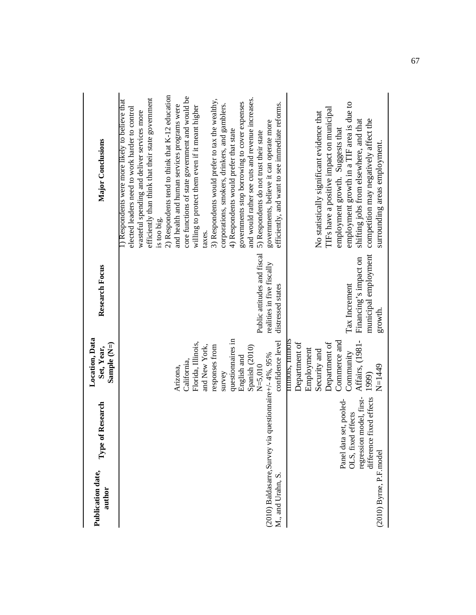| Publication date,<br>author | of Research<br>Type $\mathfrak{c}$                                                                    | Location, Data<br>Sample (N=)<br>Set, Year,                                                                                                                | <b>Research Focus</b>                                                     | Major Conclusions                                                                                                                                                                                                                                                                           |
|-----------------------------|-------------------------------------------------------------------------------------------------------|------------------------------------------------------------------------------------------------------------------------------------------------------------|---------------------------------------------------------------------------|---------------------------------------------------------------------------------------------------------------------------------------------------------------------------------------------------------------------------------------------------------------------------------------------|
|                             |                                                                                                       |                                                                                                                                                            |                                                                           | 2) Respondents tend to think that K-12 education<br>efficiently than think that their state government<br>1) Respondents were more likely to believe that<br>elected leaders need to work harder to control<br>wasteful spending and deliver services more<br>is too big.                   |
|                             |                                                                                                       | Florida, Illinois,<br>and New York,<br>California,<br>Arizona,                                                                                             |                                                                           | core functions of state government and would be<br>and health and human services programs were<br>willing to protect them even if it meant higher<br>taxes.                                                                                                                                 |
|                             |                                                                                                       | questionnaires in<br>responses from<br>Spanish (2010)<br>English and<br>$N = 5.010$<br>survey                                                              | Public attitudes and fiscal                                               | and would rather see cuts and revenue increases.<br>3) Respondents would prefer to tax the wealthy,<br>governments stop borrowing to cover expenses<br>corporations, smokers, drinkers, and gamblers.<br>4) Respondents would prefer that state<br>5) Respondents do not trust their state  |
| M., and Urahn, S.           | (2010) Baldasarre, Survey via questionnaire+/-4%, 95%                                                 | confidence level                                                                                                                                           | realities in five fiscally<br>distressed states                           | efficiently, and want to see immediate reforms.<br>governments, believe it can operate more                                                                                                                                                                                                 |
| (2010) Byrne, P.F.model     | regression model, first-<br>difference fixed effects<br>Panel data set, pooled-<br>OLS, fixed effects | <b>LITHOIS, LITHOIS</b><br>Affairs, (1981-<br>Commerce and<br>Department of<br>Department of<br>Employment<br>Security and<br>Community<br>N=1449<br>1999) | municipal employment<br>Financing's impact on<br>Tax Increment<br>growth. | employment growth in a TIF area is due to<br>TIFs have a positive impact on municipal<br>No statistically significant evidence that<br>competition may negatively affect the<br>shifting jobs from elsewhere, and that<br>employment growth. Suggests that<br>surrounding areas employment. |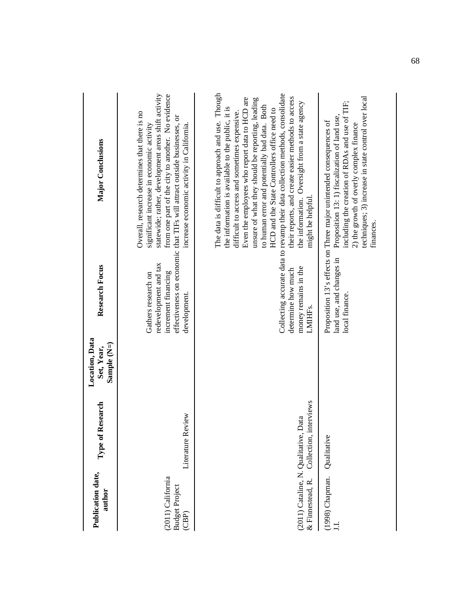| Publication date,<br>author                               | Type of Research          | Location, Data<br>Sample (N=)<br>Set, Year, | <b>Research Focus</b>                                                               | Major Conclusions                                                                                                                                                                                                                                                                                                                                                                                                                                                                                                                                                          |
|-----------------------------------------------------------|---------------------------|---------------------------------------------|-------------------------------------------------------------------------------------|----------------------------------------------------------------------------------------------------------------------------------------------------------------------------------------------------------------------------------------------------------------------------------------------------------------------------------------------------------------------------------------------------------------------------------------------------------------------------------------------------------------------------------------------------------------------------|
| (2011) California<br><b>Budget Project</b><br>(CBP)       | Review<br>Literature      |                                             | redevelopment and tax<br>increment financing<br>Gathers research on<br>development. | statewide; rather, development areas shift activity<br>from one part of the city to another. No evidence<br>Overall, research determines that there is no<br>effectiveness on economic that TIFs will attract outside businesses, or<br>increase economic activity in California.<br>significant increase in economic activity                                                                                                                                                                                                                                             |
| (2011) Cataline, N. Qualitative, Data<br>& Finnestead, R. | interviews<br>Collection, |                                             | money remains in the<br>determine how much<br>LMIHFs.                               | The data is difficult to approach and use. Though<br>Collecting accurate data to revamp their data collection methods, consolidate<br>Even the employees who report data to HCD are<br>their reports, and create easier methods to access<br>unsure of what they should be reporting, leading<br>the information. Oversight from a state agency<br>to human error and potentially bad data. Both<br>the information is available to the public, it is<br>HCD and the State Controllers office need to<br>difficult to access and sometimes expensive.<br>might be helpful. |
| (1998) Chapman.                                           | Qualitative               |                                             | land use, and changes in<br>local finance.                                          | techniques; 3) increase in state control over local<br>including the creation of RDAs and use of TIF;<br>Proposition 13: 1) fiscalization of land use,<br>Proposition 13's effects on Three major unintended consequences of<br>2) the growth of overly complex finance<br>finances.                                                                                                                                                                                                                                                                                       |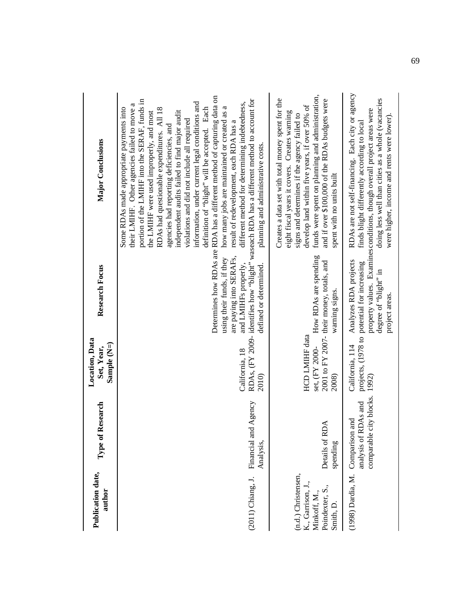| Publication date,<br>author                                                              | f Research<br>${\bf Type\,o}$                                                | <b>Location</b> , Data<br>Sample (N=)<br>Set, Year, | <b>Research Focus</b>                                                                                           | Major Conclusions                                                                                                                                                                                                                                                                                                                                                                                                                                                                                                                                                                                                                                                                                                                                                                                                                              |
|------------------------------------------------------------------------------------------|------------------------------------------------------------------------------|-----------------------------------------------------|-----------------------------------------------------------------------------------------------------------------|------------------------------------------------------------------------------------------------------------------------------------------------------------------------------------------------------------------------------------------------------------------------------------------------------------------------------------------------------------------------------------------------------------------------------------------------------------------------------------------------------------------------------------------------------------------------------------------------------------------------------------------------------------------------------------------------------------------------------------------------------------------------------------------------------------------------------------------------|
| (2011) Chiang, J.                                                                        | and Agency<br>Financial<br>Analysis,                                         | California, 18<br>2010)                             | are paying into SERAFs,<br>using their funds, if they<br>and LMIHFs properly,<br>defined or determined.         | Determines how RDAs are RDA has a different method of capturing data on<br>portion of the LMIHF into the SERAF, funds in<br>RDAs, (FY 2009- identifies how "blight" waseach RDA has a different method to account for<br>information, under current legal conditions and<br>different method for determining indebtedness,<br>their LMIHF. Other agencies failed to move a<br>how many jobs are maintained or created as a<br>definition of "blight" will be accepted. Each<br>Some RDAs made appropriate payments into<br>RDAs had questionable expenditures. All 18<br>independent audits failed to find major audit<br>the LMIHF were used improperly, and most<br>violations and did not include all required<br>result of redevelopment, each RDA has a<br>agencies had reporting deficiencies, and<br>planning and administrative costs. |
| (n.d.) Christensen,<br>K., Garrison, J.,<br>Poindexter, S.,<br>Minkoff, M.,<br>Smith, D. | <b>RDA</b><br>Details of<br>spending                                         | HCD LMIHF data<br>set, (FY 2000-<br>2008)           | How RDAs are spending<br>2001 to FY 2007- their money, totals, and<br>warning signs.                            | funds were spent on planning and administration,<br>Creates a data set with total money spent for the<br>and if over \$100,000 of the RDAs budgets were<br>develop land within five years, if over 50% of<br>eight fiscal years it covers. Creates warning<br>signs and determines if the agency failed to<br>spent with no units built                                                                                                                                                                                                                                                                                                                                                                                                                                                                                                        |
| (1998) Dardia, M.                                                                        | le city blocks. 1992)<br>analysis of RDAs and<br>Comparison and<br>comparabl | California, 114                                     | Analyzes RDA projects<br>projects, (1978 to potential for increasing<br>degree of "blight" in<br>project areas. | RDAs are not self-financing. Each city or agency<br>doing less well than cities as a whole (vacancies<br>property values. Examines conditions, though overall project areas were<br>were higher, income and rents were lower).<br>finds blight differently according to local                                                                                                                                                                                                                                                                                                                                                                                                                                                                                                                                                                  |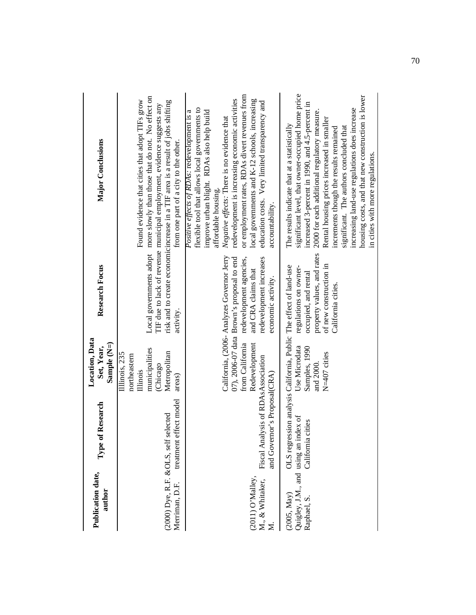| Publication date,<br>author                                        | of Research<br>Type                                                                        | Location, Data<br>Sample $(N=)$<br>Set, Year,                                                     | <b>Research Focus</b>                                                                                                                                                                      | Major Conclusions                                                                                                                                                                                                                                                                                                                                                                                                                                                                 |
|--------------------------------------------------------------------|--------------------------------------------------------------------------------------------|---------------------------------------------------------------------------------------------------|--------------------------------------------------------------------------------------------------------------------------------------------------------------------------------------------|-----------------------------------------------------------------------------------------------------------------------------------------------------------------------------------------------------------------------------------------------------------------------------------------------------------------------------------------------------------------------------------------------------------------------------------------------------------------------------------|
| (2000) Dye, R.F. & OLS, self<br>Merriman, D.F.                     | treatment effect model<br>selected                                                         | municipalities<br>Metropolitan<br>Illinois, 235<br>northeastern<br>(Chicago<br>Illinois<br>areas) | activity.                                                                                                                                                                                  | Local governments adopt more slowly than those that do not. No effect on<br>Found evidence that cities that adopt TIFs grow<br>risk and to create economicincrease in a TIF area is a result of jobs shifting<br>TIF due to lack of revenue municipal employment, evidence suggests any<br>from one part of a city to the other.                                                                                                                                                  |
| (2011) O'Malley,<br>M., & Whitaker,<br>$\overline{\mathbf{z}}$     | Fiscal Analysis of RDAsAssociation<br>and Governor's Proposal(CRA)                         | from California<br>Redevelopment                                                                  | California, (2006- Analyzes Governor Jerry<br>redevelopment increases<br>07), 2006-07 data Brown's proposal to end<br>redevelopment agencies,<br>and CRA claims that<br>economic activity. | or employment rates, RDAs divert revenues from<br>redevelopment is increasing economic activities<br>local governments and K-12 schools, increasing<br>education costs. Very limited transparency and<br>flexible tool that allows local governments to<br>improve urban blight. RDAs also help build<br><i>Positive effects of RDAs:</i> redevelopment is a<br>Negative effects: There is no evidence that<br>affordable housing.<br>accountability.                             |
| Quigley, J.M., and using an index of<br>(2005, May)<br>Raphael, S. | OLS regression analysis California, Public The effect of land-use<br>cities.<br>California | Use Microdata<br>Samples, 1990<br>N=407 cities<br>and 2000.                                       | property values, and rates<br>of new construction in<br>regulations on owner-<br>occupied, and rental<br>California cities.                                                                | significant level, that owner-occupied home price<br>housing costs, and that new construction is lower<br>increased 3-percent in 1990, and 4.5-percent in<br>increasing land-use regulations does increase<br>2000 for each additional regulatory measure.<br>Rental housing prices increased in smaller<br>The results indicate that at a statistically<br>significant. The authors concluded that<br>increments though the results remained<br>in cities with more regulations. |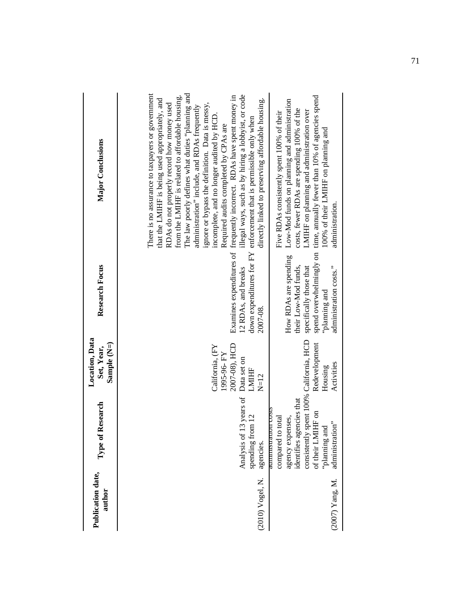| Publication date,<br>author | Type of Research                                                                                                                                                                                             | Location, Data<br>Sample (N=)<br>Set, Year,                                      | <b>Research Focus</b>                                                                                          | Major Conclusions                                                                                                                                                                                                                                                                                                                                                                                                                                                                                                                                                                                                                                                                                               |
|-----------------------------|--------------------------------------------------------------------------------------------------------------------------------------------------------------------------------------------------------------|----------------------------------------------------------------------------------|----------------------------------------------------------------------------------------------------------------|-----------------------------------------------------------------------------------------------------------------------------------------------------------------------------------------------------------------------------------------------------------------------------------------------------------------------------------------------------------------------------------------------------------------------------------------------------------------------------------------------------------------------------------------------------------------------------------------------------------------------------------------------------------------------------------------------------------------|
| (2010) Vogel, N.            | Analysis of 13 years of<br>$\frac{12}{2}$<br>spending f<br>agencies.                                                                                                                                         | 2007-08), HCD<br>California, (FY<br>1995-96-FY<br>Data set on<br>LMIHF<br>$N=12$ | 12 RDAs, and breaks<br>2007-08.                                                                                | The law poorly defines what duties "planning and<br>There is no assurance to taxpayers or government<br>illegal ways, such as by hiring a lobbyist, or code<br>from the LMIHF is related to affordable housing.<br>Examines expenditures of frequently incorrect. RDAs have spent money in<br>that the LMIHF is being used appropriately, and<br>directly linked to preserving affordable housing.<br>ignore or bypass the definition. Data is messy,<br>RDAs do not properly record how money used<br>administration" include, and RDAs frequently<br>incomplete, and no longer audited by HCD.<br>down expenditures for FY enforcement that is permissible only when<br>Required audits completed by CPAs are |
| (2007) Yang, M.             | consistently spent 100% California, HCD<br>identifies agencies that<br><b>CONTINUES</b><br>of their LMIHF on<br>benses,<br>to total<br>administration"<br>'planning and<br>agency exp<br>aummsua<br>compared | Redevelopment<br>Activities<br>Housing                                           | How RDAs are spending<br>administration costs."<br>their Low-Mod funds,<br>specifically those that<br>bung and | spend overwhelmingly on time, annually fewer than 10% of agencies spend<br>Low-Mod funds on planning and administration<br>costs, fewer RDAs are spending 100% of the<br>LMIHF on planning and administration over<br>Five RDAs consistently spent 100% of their<br>100% of their LMIHF on planning and<br>administration.                                                                                                                                                                                                                                                                                                                                                                                      |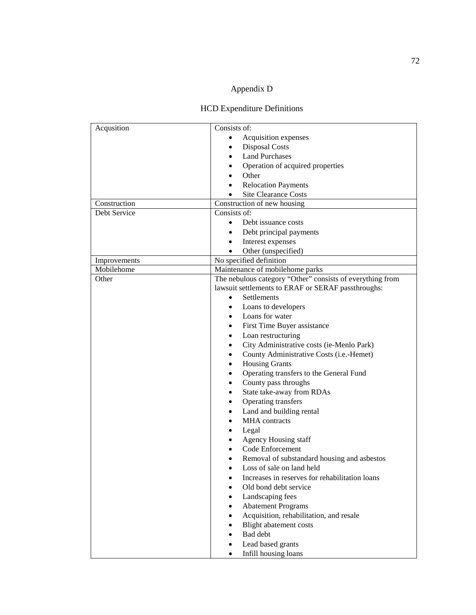# Appendix D

## HCD Expenditure Definitions

| Acqusition   | Consists of:                                                |
|--------------|-------------------------------------------------------------|
|              |                                                             |
|              | Acquisition expenses<br>$\bullet$                           |
|              | <b>Disposal Costs</b><br>$\bullet$                          |
|              | <b>Land Purchases</b><br>$\bullet$                          |
|              | Operation of acquired properties                            |
|              | Other                                                       |
|              | <b>Relocation Payments</b>                                  |
|              | Site Clearance Costs                                        |
| Construction | Construction of new housing                                 |
| Debt Service | Consists of:                                                |
|              | Debt issuance costs<br>$\bullet$                            |
|              | Debt principal payments<br>$\bullet$                        |
|              | Interest expenses<br>$\bullet$                              |
|              | Other (unspecified)<br>$\bullet$                            |
| Improvements | No specified definition                                     |
| Mobilehome   | Maintenance of mobilehome parks                             |
|              | The nebulous category "Other" consists of everything from   |
| Other        | lawsuit settlements to ERAF or SERAF passthroughs:          |
|              |                                                             |
|              | Settlements<br>$\bullet$                                    |
|              | Loans to developers<br>$\bullet$                            |
|              | Loans for water<br>$\bullet$                                |
|              | First Time Buyer assistance<br>$\bullet$                    |
|              | Loan restructuring<br>$\bullet$                             |
|              | City Administrative costs (ie-Menlo Park)<br>$\bullet$      |
|              | County Administrative Costs (i.e.-Hemet)<br>$\bullet$       |
|              | <b>Housing Grants</b><br>$\bullet$                          |
|              | Operating transfers to the General Fund<br>$\bullet$        |
|              | County pass throughs<br>$\bullet$                           |
|              | State take-away from RDAs<br>٠                              |
|              | Operating transfers<br>$\bullet$                            |
|              | Land and building rental                                    |
|              | $\bullet$<br><b>MHA</b> contracts                           |
|              |                                                             |
|              | Legal                                                       |
|              | <b>Agency Housing staff</b>                                 |
|              | Code Enforcement                                            |
|              | Removal of substandard housing and asbestos                 |
|              | Loss of sale on land held                                   |
|              | Increases in reserves for rehabilitation loans<br>$\bullet$ |
|              | Old bond debt service<br>$\bullet$                          |
|              | Landscaping fees<br>$\bullet$                               |
|              | <b>Abatement Programs</b><br>$\bullet$                      |
|              | Acquisition, rehabilitation, and resale<br>$\bullet$        |
|              | <b>Blight</b> abatement costs<br>$\bullet$                  |
|              | Bad debt<br>$\bullet$                                       |
|              | Lead based grants<br>٠                                      |
|              | Infill housing loans<br>$\bullet$                           |
|              |                                                             |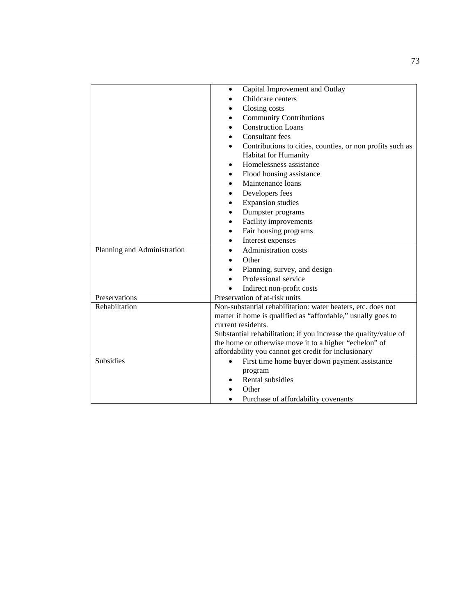|                             | Capital Improvement and Outlay<br>$\bullet$<br>Childcare centers<br>Closing costs<br>$\bullet$                                                                                                                                                                                                                                           |
|-----------------------------|------------------------------------------------------------------------------------------------------------------------------------------------------------------------------------------------------------------------------------------------------------------------------------------------------------------------------------------|
|                             | <b>Community Contributions</b><br>$\bullet$<br><b>Construction Loans</b><br><b>Consultant</b> fees<br>Contributions to cities, counties, or non profits such as<br>Habitat for Humanity<br>Homelessness assistance<br>٠<br>Flood housing assistance<br>$\bullet$<br>Maintenance loans<br>$\bullet$<br>Developers fees<br>$\bullet$       |
|                             | <b>Expansion studies</b><br>٠<br>Dumpster programs<br>$\bullet$<br>Facility improvements<br>$\bullet$<br>Fair housing programs<br>$\bullet$<br>Interest expenses<br>$\bullet$                                                                                                                                                            |
| Planning and Administration | <b>Administration costs</b><br>$\bullet$<br>Other<br>Planning, survey, and design<br>$\bullet$<br>Professional service<br>Indirect non-profit costs                                                                                                                                                                                      |
| Preservations               | Preservation of at-risk units                                                                                                                                                                                                                                                                                                            |
| Rehabiltation               | Non-substantial rehabilitation: water heaters, etc. does not<br>matter if home is qualified as "affordable," usually goes to<br>current residents.<br>Substantial rehabilitation: if you increase the quality/value of<br>the home or otherwise move it to a higher "echelon" of<br>affordability you cannot get credit for inclusionary |
| <b>Subsidies</b>            | First time home buyer down payment assistance<br>program<br>Rental subsidies<br>Other<br>Purchase of affordability covenants                                                                                                                                                                                                             |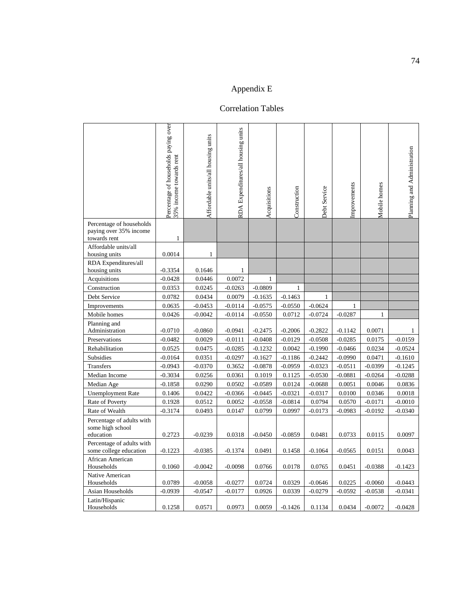## Appendix E

## Correlation Tables

|                                                                    | Percentage of households paying over<br>35% income towards rent | Affordable units/all housing units | RDA Expenditures/all housing units | Acquisitions | Construction | Debt Service | Improvements | Mobile homes | Planning and Administration |
|--------------------------------------------------------------------|-----------------------------------------------------------------|------------------------------------|------------------------------------|--------------|--------------|--------------|--------------|--------------|-----------------------------|
| Percentage of households<br>paying over 35% income<br>towards rent | 1                                                               |                                    |                                    |              |              |              |              |              |                             |
| Affordable units/all                                               |                                                                 |                                    |                                    |              |              |              |              |              |                             |
| housing units                                                      | 0.0014                                                          | 1                                  |                                    |              |              |              |              |              |                             |
| RDA Expenditures/all<br>housing units                              | $-0.3354$                                                       | 0.1646                             | $\mathbf{1}$                       |              |              |              |              |              |                             |
| Acquisitions                                                       | $-0.0428$                                                       | 0.0446                             | 0.0072                             | $\mathbf{1}$ |              |              |              |              |                             |
| Construction                                                       | 0.0353                                                          | 0.0245                             | $-0.0263$                          | $-0.0809$    | 1            |              |              |              |                             |
| Debt Service                                                       | 0.0782                                                          | 0.0434                             | 0.0079                             | $-0.1635$    | $-0.1463$    | 1            |              |              |                             |
| Improvements                                                       | 0.0635                                                          | $-0.0453$                          | $-0.0114$                          | $-0.0575$    | $-0.0550$    | $-0.0624$    | $\mathbf{1}$ |              |                             |
| Mobile homes                                                       | 0.0426                                                          | $-0.0042$                          | $-0.0114$                          | $-0.0550$    | 0.0712       | $-0.0724$    | $-0.0287$    | $\mathbf{1}$ |                             |
| Planning and<br>Administration                                     | $-0.0710$                                                       | $-0.0860$                          | $-0.0941$                          | $-0.2475$    | $-0.2006$    | $-0.2822$    | $-0.1142$    | 0.0071       | 1                           |
| Preservations                                                      | $-0.0482$                                                       | 0.0029                             | $-0.0111$                          | $-0.0408$    | $-0.0129$    | $-0.0508$    | $-0.0285$    | 0.0175       | $-0.0159$                   |
| Rehabilitation                                                     | 0.0525                                                          | 0.0475                             | $-0.0285$                          | $-0.1232$    | 0.0042       | $-0.1990$    | $-0.0466$    | 0.0234       | $-0.0524$                   |
| Subsidies                                                          | $-0.0164$                                                       | 0.0351                             | $-0.0297$                          | $-0.1627$    | $-0.1186$    | $-0.2442$    | $-0.0990$    | 0.0471       | $-0.1610$                   |
| Transfers                                                          | $-0.0943$                                                       | $-0.0370$                          | 0.3652                             | $-0.0878$    | $-0.0959$    | $-0.0323$    | $-0.0511$    | $-0.0399$    | $-0.1245$                   |
| Median Income                                                      | $-0.3034$                                                       | 0.0256                             | 0.0361                             | 0.1019       | 0.1125       | $-0.0530$    | $-0.0881$    | $-0.0264$    | $-0.0288$                   |
| Median Age                                                         | $-0.1858$                                                       | 0.0290                             | 0.0502                             | $-0.0589$    | 0.0124       | $-0.0688$    | 0.0051       | 0.0046       | 0.0836                      |
| <b>Unemployment Rate</b>                                           | 0.1406                                                          | 0.0422                             | $-0.0366$                          | $-0.0445$    | $-0.0321$    | $-0.0317$    | 0.0100       | 0.0346       | 0.0018                      |
| Rate of Poverty                                                    | 0.1928                                                          | 0.0512                             | 0.0052                             | $-0.0558$    | $-0.0814$    | 0.0794       | 0.0570       | $-0.0171$    | $-0.0010$                   |
| Rate of Wealth                                                     | $-0.3174$                                                       | 0.0493                             | 0.0147                             | 0.0799       | 0.0997       | $-0.0173$    | $-0.0983$    | $-0.0192$    | $-0.0340$                   |
| Percentage of adults with<br>some high school<br>education         | 0.2723                                                          | $-0.0239$                          | 0.0318                             | $-0.0450$    | $-0.0859$    | 0.0481       | 0.0733       | 0.0115       | 0.0097                      |
| Percentage of adults with<br>some college education                | $-0.1223$                                                       | $-0.0385$                          | $-0.1374$                          | 0.0491       | 0.1458       | $-0.1064$    | $-0.0565$    | 0.0151       | 0.0043                      |
| African American<br>Households                                     | 0.1060                                                          | $-0.0042$                          | $-0.0098$                          | 0.0766       | 0.0178       | 0.0765       | 0.0451       | $-0.0388$    | -0.1423                     |
| Native American<br>Households                                      | 0.0789                                                          | $-0.0058$                          | $-0.0277$                          | 0.0724       | 0.0329       | $-0.0646$    | 0.0225       | $-0.0060$    | $-0.0443$                   |
| Asian Households                                                   | $-0.0939$                                                       | $-0.0547$                          | $-0.0177$                          | 0.0926       | 0.0339       | $-0.0279$    | -0.0592      | $-0.0538$    | $-0.0341$                   |
| Latin/Hispanic<br>Households                                       | 0.1258                                                          | 0.0571                             | 0.0973                             | 0.0059       | $-0.1426$    | 0.1134       | 0.0434       | $-0.0072$    | $-0.0428$                   |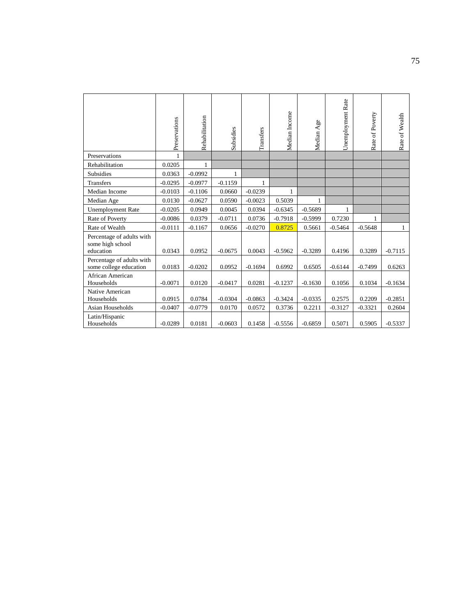|                                                            | Preservations | Rehabilitation | Subsidies | Transfers | Median Income | Median Age | Unemployment Rate | Rate of Poverty | Rate of Wealth |
|------------------------------------------------------------|---------------|----------------|-----------|-----------|---------------|------------|-------------------|-----------------|----------------|
| Preservations                                              |               |                |           |           |               |            |                   |                 |                |
| Rehabilitation                                             | 0.0205        | $\mathbf{1}$   |           |           |               |            |                   |                 |                |
| <b>Subsidies</b>                                           | 0.0363        | $-0.0992$      | 1         |           |               |            |                   |                 |                |
| <b>Transfers</b>                                           | $-0.0295$     | $-0.0977$      | $-0.1159$ | 1         |               |            |                   |                 |                |
| Median Income                                              | $-0.0103$     | $-0.1106$      | 0.0660    | $-0.0239$ | 1             |            |                   |                 |                |
| Median Age                                                 | 0.0130        | $-0.0627$      | 0.0590    | $-0.0023$ | 0.5039        | 1          |                   |                 |                |
| <b>Unemployment Rate</b>                                   | $-0.0205$     | 0.0949         | 0.0045    | 0.0394    | $-0.6345$     | $-0.5689$  | 1                 |                 |                |
| Rate of Poverty                                            | $-0.0086$     | 0.0379         | $-0.0711$ | 0.0736    | $-0.7918$     | $-0.5999$  | 0.7230            |                 |                |
| Rate of Wealth                                             | $-0.0111$     | $-0.1167$      | 0.0656    | $-0.0270$ | 0.8725        | 0.5661     | $-0.5464$         | $-0.5648$       | 1              |
| Percentage of adults with<br>some high school<br>education | 0.0343        | 0.0952         | $-0.0675$ | 0.0043    | $-0.5962$     | $-0.3289$  | 0.4196            | 0.3289          | $-0.7115$      |
| Percentage of adults with<br>some college education        | 0.0183        | $-0.0202$      | 0.0952    | $-0.1694$ | 0.6992        | 0.6505     | $-0.6144$         | $-0.7499$       | 0.6263         |
| African American<br>Households                             | $-0.0071$     | 0.0120         | $-0.0417$ | 0.0281    | $-0.1237$     | $-0.1630$  | 0.1056            | 0.1034          | $-0.1634$      |
| Native American<br>Households                              | 0.0915        | 0.0784         | $-0.0304$ | $-0.0863$ | $-0.3424$     | $-0.0335$  | 0.2575            | 0.2209          | $-0.2851$      |
| Asian Households                                           | $-0.0407$     | $-0.0779$      | 0.0170    | 0.0572    | 0.3736        | 0.2211     | $-0.3127$         | $-0.3321$       | 0.2604         |
| Latin/Hispanic<br>Households                               | $-0.0289$     | 0.0181         | $-0.0603$ | 0.1458    | $-0.5556$     | $-0.6859$  | 0.5071            | 0.5905          | $-0.5337$      |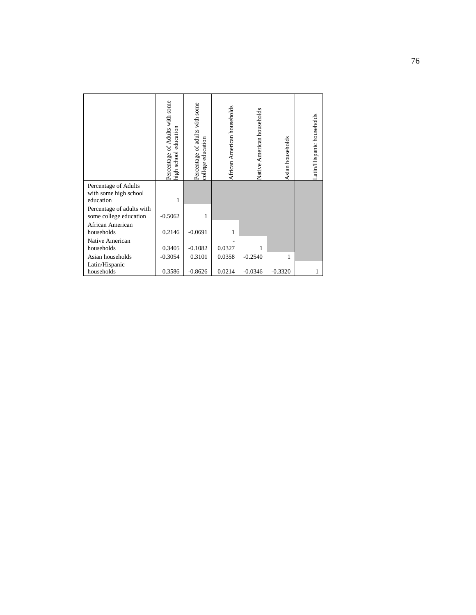|                                                            | Percentage of Adults with some<br>school education<br>high | Percentage of adults with some<br>education<br>college | African American households | Native American households | Asian households | Latin/Hispanic households |
|------------------------------------------------------------|------------------------------------------------------------|--------------------------------------------------------|-----------------------------|----------------------------|------------------|---------------------------|
| Percentage of Adults<br>with some high school<br>education |                                                            |                                                        |                             |                            |                  |                           |
| Percentage of adults with<br>some college education        | $-0.5062$                                                  | 1                                                      |                             |                            |                  |                           |
| African American<br>households                             | 0.2146                                                     | $-0.0691$                                              | 1                           |                            |                  |                           |
| Native American<br>households                              | 0.3405                                                     | $-0.1082$                                              | 0.0327                      | 1                          |                  |                           |
| Asian households                                           | $-0.3054$                                                  | 0.3101                                                 | 0.0358                      | $-0.2540$                  |                  |                           |
| Latin/Hispanic<br>households                               | 0.3586                                                     | $-0.8626$                                              | 0.0214                      | $-0.0346$                  | $-0.3320$        | 1                         |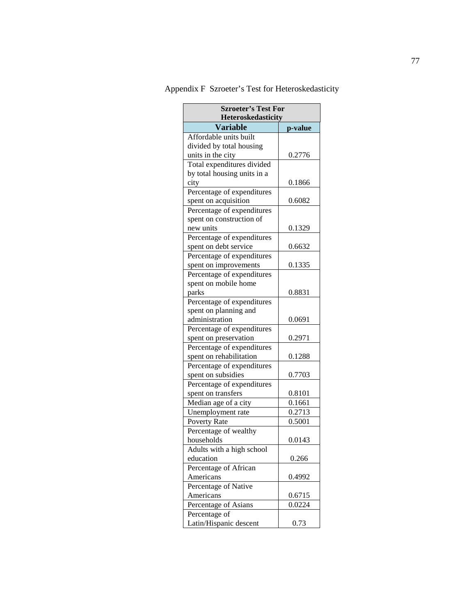| <b>Szroeter's Test For</b><br>Heteroskedasticity |         |  |  |  |
|--------------------------------------------------|---------|--|--|--|
| <b>Variable</b>                                  | p-value |  |  |  |
| Affordable units built                           |         |  |  |  |
| divided by total housing                         |         |  |  |  |
| units in the city                                | 0.2776  |  |  |  |
| Total expenditures divided                       |         |  |  |  |
| by total housing units in a                      |         |  |  |  |
| city                                             | 0.1866  |  |  |  |
| Percentage of expenditures                       |         |  |  |  |
| spent on acquisition                             | 0.6082  |  |  |  |
| Percentage of expenditures                       |         |  |  |  |
| spent on construction of                         |         |  |  |  |
| new units                                        | 0.1329  |  |  |  |
| Percentage of expenditures                       |         |  |  |  |
| spent on debt service                            | 0.6632  |  |  |  |
| Percentage of expenditures                       |         |  |  |  |
| spent on improvements                            | 0.1335  |  |  |  |
| Percentage of expenditures                       |         |  |  |  |
| spent on mobile home                             |         |  |  |  |
| parks                                            | 0.8831  |  |  |  |
| Percentage of expenditures                       |         |  |  |  |
| spent on planning and                            |         |  |  |  |
| administration                                   | 0.0691  |  |  |  |
| Percentage of expenditures                       |         |  |  |  |
| spent on preservation                            | 0.2971  |  |  |  |
| Percentage of expenditures                       |         |  |  |  |
| spent on rehabilitation                          | 0.1288  |  |  |  |
| Percentage of expenditures                       |         |  |  |  |
| spent on subsidies                               | 0.7703  |  |  |  |
| Percentage of expenditures                       |         |  |  |  |
| spent on transfers                               | 0.8101  |  |  |  |
| Median age of a city                             | 0.1661  |  |  |  |
| Unemployment rate                                | 0.2713  |  |  |  |
| Poverty Rate                                     | 0.5001  |  |  |  |
| Percentage of wealthy                            |         |  |  |  |
| households                                       | 0.0143  |  |  |  |
| Adults with a high school                        |         |  |  |  |
| education                                        | 0.266   |  |  |  |
| Percentage of African                            |         |  |  |  |
| Americans                                        | 0.4992  |  |  |  |
| Percentage of Native                             |         |  |  |  |
| Americans                                        | 0.6715  |  |  |  |
| Percentage of Asians                             | 0.0224  |  |  |  |
| Percentage of                                    |         |  |  |  |
| Latin/Hispanic descent                           | 0.73    |  |  |  |

Appendix F Szroeter's Test for Heteroskedasticity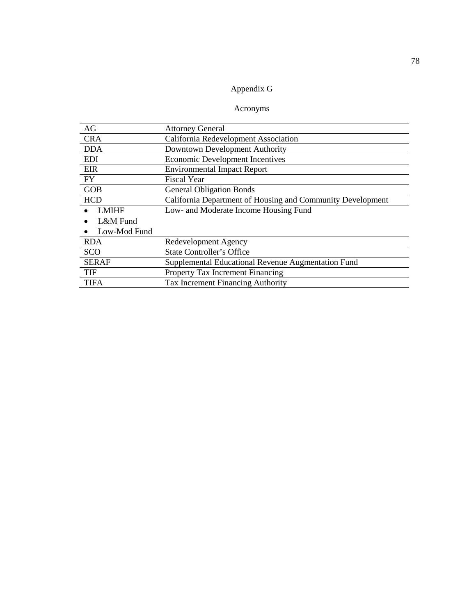## Appendix G

## Acronyms

| AG           | <b>Attorney General</b>                                    |  |
|--------------|------------------------------------------------------------|--|
| <b>CRA</b>   | California Redevelopment Association                       |  |
| <b>DDA</b>   | Downtown Development Authority                             |  |
| <b>EDI</b>   | <b>Economic Development Incentives</b>                     |  |
| EIR          | <b>Environmental Impact Report</b>                         |  |
| <b>FY</b>    | <b>Fiscal Year</b>                                         |  |
| <b>GOB</b>   | <b>General Obligation Bonds</b>                            |  |
| <b>HCD</b>   | California Department of Housing and Community Development |  |
| <b>LMIHF</b> | Low- and Moderate Income Housing Fund                      |  |
| L&M Fund     |                                                            |  |
| Low-Mod Fund |                                                            |  |
| <b>RDA</b>   | Redevelopment Agency                                       |  |
| <b>SCO</b>   | <b>State Controller's Office</b>                           |  |
| <b>SERAF</b> | Supplemental Educational Revenue Augmentation Fund         |  |
| <b>TIF</b>   | <b>Property Tax Increment Financing</b>                    |  |
| <b>TIFA</b>  | Tax Increment Financing Authority                          |  |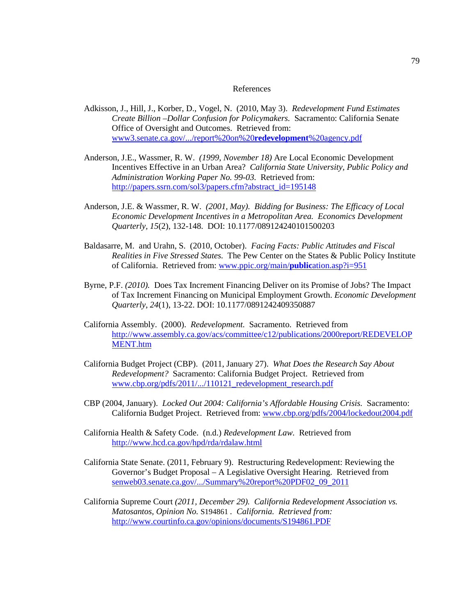#### References

- Adkisson, J., Hill, J., Korber, D., Vogel, N. (2010, May 3). *Redevelopment Fund Estimates Create Billion –Dollar Confusion for Policymakers.* Sacramento: California Senate Office of Oversight and Outcomes. Retrieved from: [www3.senate.ca.gov/.../report%20on%20](http://www.senate.ca.gov/.../report%20on%20redevelopment%20agency.pdf)**redevelopment**%20agency.pdf
- Anderson, J.E., Wassmer, R. W. *(1999, November 18)* Are Local Economic Development Incentives Effective in an Urban Area? *California State University, Public Policy and Administration Working Paper No. 99-03.* Retrieved from: [http://papers.ssrn.com/sol3/papers.cfm?abstract\\_id=195148](http://papers.ssrn.com/sol3/papers.cfm?abstract_id=195148)
- Anderson, J.E. & Wassmer, R. W. *(2001, May). Bidding for Business: The Efficacy of Local Economic Development Incentives in a Metropolitan Area. Economics Development Quarterly, 15*(2), 132-148. DOI: 10.1177/089124240101500203
- Baldasarre, M. and Urahn, S. (2010, October). *Facing Facts: Public Attitudes and Fiscal Realities in Five Stressed States.* The Pew Center on the States & Public Policy Institute of California. Retrieved from: [www.ppic.org/main/](http://www.ppic.org/main/publication.asp?i=951)**public**ation.asp?i=951
- Byrne, P.F. *(2010).* Does Tax Increment Financing Deliver on its Promise of Jobs? The Impact of Tax Increment Financing on Municipal Employment Growth. *Economic Development Quarterly*, *24*(1), 13-22. DOI: 10.1177/0891242409350887
- California Assembly. (2000). *Redevelopment.* Sacramento. Retrieved from [http://www.assembly.ca.gov/acs/committee/c12/publications/2000report/REDEVELOP](http://www.assembly.ca.gov/acs/committee/c12/publications/2000report/REDEVELOPMENT.htm) [MENT.htm](http://www.assembly.ca.gov/acs/committee/c12/publications/2000report/REDEVELOPMENT.htm)
- California Budget Project (CBP). (2011, January 27). *What Does the Research Say About Redevelopment?* Sacramento: California Budget Project. Retrieved from [www.cbp.org/pdfs/2011/.../110121\\_redevelopment\\_research.pdf](http://www.cbp.org/pdfs/2011/.../110121_redevelopment_research.pdf)
- CBP (2004, January). *Locked Out 2004: California's Affordable Housing Crisis.* Sacramento: California Budget Project. Retrieved from: [www.cbp.org/pdfs/2004/lockedout2004.pdf](http://www.cbp.org/pdfs/2004/lockedout2004.pdf)
- California Health & Safety Code. (n.d.) *Redevelopment Law.* Retrieved from <http://www.hcd.ca.gov/hpd/rda/rdalaw.html>
- California State Senate. (2011, February 9). Restructuring Redevelopment: Reviewing the Governor's Budget Proposal – A Legislative Oversight Hearing. Retrieved from [senweb03.senate.ca.gov/.../Summary%20report%20PDF02\\_09\\_2011](http://www.senweb03.senate.ca.gov/.../Summary%20report%20PDF02_09_2011)
- California Supreme Court *(2011, December 29). California Redevelopment Association vs. Matosantos, Opinion No.* S194861 *. California. Retrieved from:*  <http://www.courtinfo.ca.gov/opinions/documents/S194861.PDF>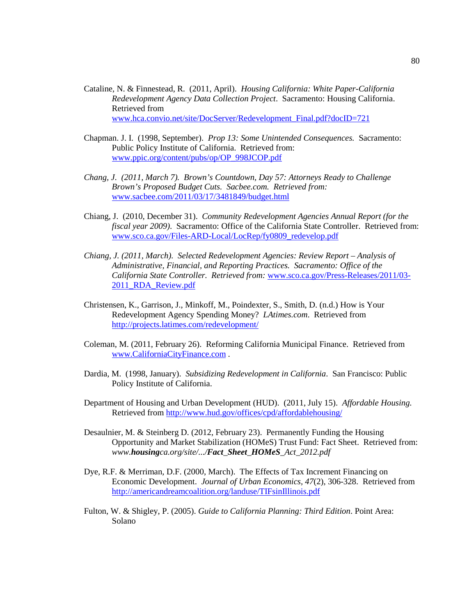- Cataline, N. & Finnestead, R. (2011, April). *Housing California: White Paper-California Redevelopment Agency Data Collection Project*. Sacramento: Housing California. Retrieved from [www.hca.convio.net/site/DocServer/Redevelopment\\_Final.pdf?docID=721](http://www.hca.convio.net/site/DocServer/Redevelopment_Final.pdf?docID=721)
- Chapman. J. I. (1998, September). *Prop 13: Some Unintended Consequences.* Sacramento: Public Policy Institute of California. Retrieved from: [www.ppic.org/content/pubs/op/OP\\_998JCOP.pdf](http://www.ppic.org/content/pubs/op/OP_998JCOP.pdf)
- *Chang, J. (2011, March 7). Brown's Countdown, Day 57: Attorneys Ready to Challenge Brown's Proposed Budget Cuts. Sacbee.com. Retrieved from:*  [www.sacbee.com/2011/03/17/3481849/budget.html](http://www.sacbee.com/2011/03/17/3481849/budget.html)
- Chiang, J. (2010, December 31). *Community Redevelopment Agencies Annual Report (for the fiscal year 2009)*. Sacramento: Office of the California State Controller. Retrieved from: [www.sco.ca.gov/Files-ARD-Local/LocRep/fy0809\\_redevelop.pdf](http://www.sco.ca.gov/Files-ARD-Local/LocRep/fy0809_redevelop.pdf)
- *Chiang, J. (2011, March). Selected Redevelopment Agencies: Review Report – Analysis of Administrative, Financial, and Reporting Practices. Sacramento: Office of the California State Controller. Retrieved from:* [www.sco.ca.gov/Press-Releases/2011/03-](http://www.sco.ca.gov/Press-Releases/2011/03-2011_RDA_Review.pdf) [2011\\_RDA\\_Review.pdf](http://www.sco.ca.gov/Press-Releases/2011/03-2011_RDA_Review.pdf)
- Christensen, K., Garrison, J., Minkoff, M., Poindexter, S., Smith, D. (n.d.) How is Your Redevelopment Agency Spending Money? *LAtimes.com*. Retrieved from <http://projects.latimes.com/redevelopment/>
- Coleman, M. (2011, February 26). Reforming California Municipal Finance. Retrieved from [www.CaliforniaCityFinance.com](http://www.californiacityfinance.com/) .
- Dardia, M. (1998, January). *Subsidizing Redevelopment in California*. San Francisco: Public Policy Institute of California.
- Department of Housing and Urban Development (HUD). (2011, July 15). *Affordable Housing.* Retrieved fro[m http://www.hud.gov/offices/cpd/affordablehousing/](http://www.hud.gov/offices/cpd/affordablehousing/)
- Desaulnier, M. & Steinberg D. (2012, February 23). Permanently Funding the Housing Opportunity and Market Stabilization (HOMeS) Trust Fund: Fact Sheet. Retrieved from: *www.housingca.org/site/.../Fact\_Sheet\_HOMeS\_Act\_2012.pdf*
- Dye, R.F. & Merriman, D.F. (2000, March). The Effects of Tax Increment Financing on Economic Development. *Journal of Urban Economics, 47*(2), 306-328. Retrieved from <http://americandreamcoalition.org/landuse/TIFsinIllinois.pdf>
- Fulton, W. & Shigley, P. (2005). *Guide to California Planning: Third Edition*. Point Area: Solano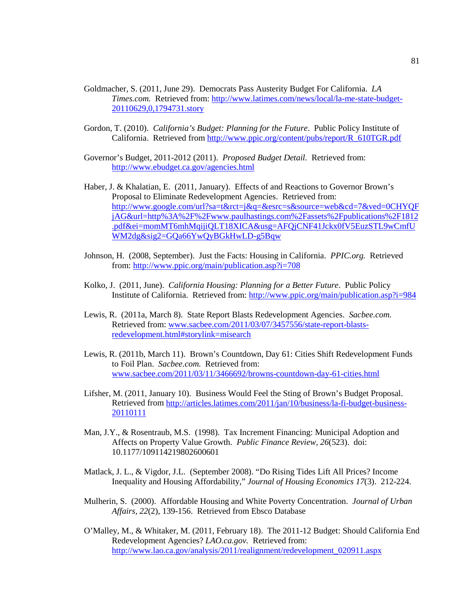- Goldmacher, S. (2011, June 29). Democrats Pass Austerity Budget For California. *LA Times.com.* Retrieved from: [http://www.latimes.com/news/local/la-me-state-budget-](http://www.latimes.com/news/local/la-me-state-budget-20110629,0,1794731.story)[20110629,0,1794731.story](http://www.latimes.com/news/local/la-me-state-budget-20110629,0,1794731.story)
- Gordon, T. (2010). *California's Budget: Planning for the Future*. Public Policy Institute of California. Retrieved from [http://www.ppic.org/content/pubs/report/R\\_610TGR.pdf](http://www.ppic.org/content/pubs/report/R_610TGR.pdf)

Governor's Budget, 2011-2012 (2011). *Proposed Budget Detail.* Retrieved from: <http://www.ebudget.ca.gov/agencies.html>

- Haber, J. & Khalatian, E. (2011, January). Effects of and Reactions to Governor Brown's Proposal to Eliminate Redevelopment Agencies. Retrieved from: [http://www.google.com/url?sa=t&rct=j&q=&esrc=s&source=web&cd=7&ved=0CHYQF](http://www.google.com/url?sa=t&rct=j&q=&esrc=s&source=web&cd=7&ved=0CHYQFjAG&url=http%3A%2F%2Fwww.paulhastings.com%2Fassets%2Fpublications%2F1812.pdf&ei=momMT6mhMqijiQLT18XICA&usg=AFQjCNF41Jckx0fV5EuzSTL9wCmfUWM2dg&sig2=GQa66YwQyBGkHwLD-g5Bqw) [jAG&url=http%3A%2F%2Fwww.paulhastings.com%2Fassets%2Fpublications%2F1812](http://www.google.com/url?sa=t&rct=j&q=&esrc=s&source=web&cd=7&ved=0CHYQFjAG&url=http%3A%2F%2Fwww.paulhastings.com%2Fassets%2Fpublications%2F1812.pdf&ei=momMT6mhMqijiQLT18XICA&usg=AFQjCNF41Jckx0fV5EuzSTL9wCmfUWM2dg&sig2=GQa66YwQyBGkHwLD-g5Bqw) [.pdf&ei=momMT6mhMqijiQLT18XICA&usg=AFQjCNF41Jckx0fV5EuzSTL9wCmfU](http://www.google.com/url?sa=t&rct=j&q=&esrc=s&source=web&cd=7&ved=0CHYQFjAG&url=http%3A%2F%2Fwww.paulhastings.com%2Fassets%2Fpublications%2F1812.pdf&ei=momMT6mhMqijiQLT18XICA&usg=AFQjCNF41Jckx0fV5EuzSTL9wCmfUWM2dg&sig2=GQa66YwQyBGkHwLD-g5Bqw) [WM2dg&sig2=GQa66YwQyBGkHwLD-g5Bqw](http://www.google.com/url?sa=t&rct=j&q=&esrc=s&source=web&cd=7&ved=0CHYQFjAG&url=http%3A%2F%2Fwww.paulhastings.com%2Fassets%2Fpublications%2F1812.pdf&ei=momMT6mhMqijiQLT18XICA&usg=AFQjCNF41Jckx0fV5EuzSTL9wCmfUWM2dg&sig2=GQa66YwQyBGkHwLD-g5Bqw)
- Johnson, H. (2008, September). Just the Facts: Housing in California. *PPIC.org.* Retrieved from:<http://www.ppic.org/main/publication.asp?i=708>
- Kolko, J. (2011, June). *California Housing: Planning for a Better Future*. Public Policy Institute of California. Retrieved from:<http://www.ppic.org/main/publication.asp?i=984>
- Lewis, R. (2011a, March 8). State Report Blasts Redevelopment Agencies. *Sacbee.com.*  Retrieved from: [www.sacbee.com/2011/03/07/3457556/state-report-blasts](http://www.sacbee.com/2011/03/07/3457556/state-report-blasts-redevelopment.html#storylink=misearch)[redevelopment.html#storylink=misearch](http://www.sacbee.com/2011/03/07/3457556/state-report-blasts-redevelopment.html#storylink=misearch)
- Lewis, R. (2011b, March 11). Brown's Countdown, Day 61: Cities Shift Redevelopment Funds to Foil Plan. *Sacbee.com.* Retrieved from: [www.sacbee.com/2011/03/11/3466692/browns-countdown-day-61-cities.html](http://www.sacbee.com/2011/03/11/3466692/browns-countdown-day-61-cities.html)
- Lifsher, M. (2011, January 10). Business Would Feel the Sting of Brown's Budget Proposal. Retrieved fro[m http://articles.latimes.com/2011/jan/10/business/la-fi-budget-business-](http://articles.latimes.com/2011/jan/10/business/la-fi-budget-business-20110111)[20110111](http://articles.latimes.com/2011/jan/10/business/la-fi-budget-business-20110111)
- Man, J.Y., & Rosentraub, M.S. (1998). Tax Increment Financing: Municipal Adoption and Affects on Property Value Growth. *Public Finance Review, 26*(523). doi: 10.1177/109114219802600601
- Matlack, J. L., & Vigdor, J.L. (September 2008). "Do Rising Tides Lift All Prices? Income Inequality and Housing Affordability," *Journal of Housing Economics 17*(3). 212-224.
- Mulherin, S. (2000). Affordable Housing and White Poverty Concentration. *Journal of Urban Affairs, 22*(2), 139-156. Retrieved from Ebsco Database
- O'Malley, M., & Whitaker, M. (2011, February 18). The 2011-12 Budget: Should California End Redevelopment Agencies? *LAO.ca.gov.* Retrieved from: [http://www.lao.ca.gov/analysis/2011/realignment/redevelopment\\_020911.aspx](http://www.lao.ca.gov/analysis/2011/realignment/redevelopment_020911.aspx)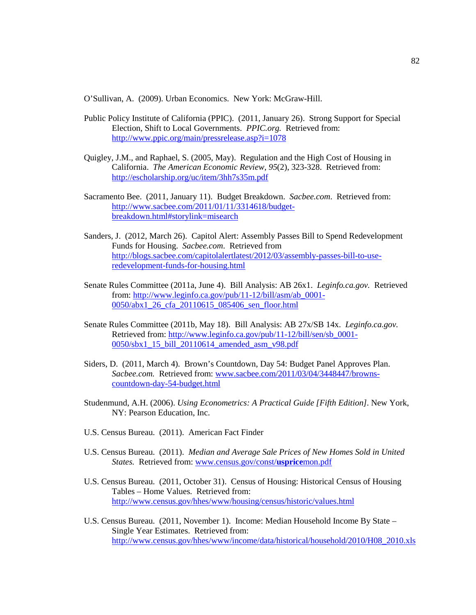O'Sullivan, A. (2009). Urban Economics. New York: McGraw-Hill.

- Public Policy Institute of California (PPIC). (2011, January 26). Strong Support for Special Election, Shift to Local Governments. *PPIC.org.* Retrieved from: <http://www.ppic.org/main/pressrelease.asp?i=1078>
- Quigley, J.M., and Raphael, S. (2005, May). Regulation and the High Cost of Housing in California. *The American Economic Review, 95*(2), 323-328. Retrieved from: <http://escholarship.org/uc/item/3hh7s35m.pdf>
- Sacramento Bee. (2011, January 11). Budget Breakdown. *Sacbee.com*. Retrieved from: [http://www.sacbee.com/2011/01/11/3314618/budget](http://www.sacbee.com/2011/01/11/3314618/budget-breakdown.html#storylink=misearch)[breakdown.html#storylink=misearch](http://www.sacbee.com/2011/01/11/3314618/budget-breakdown.html#storylink=misearch)
- Sanders, J. (2012, March 26). Capitol Alert: Assembly Passes Bill to Spend Redevelopment Funds for Housing. *Sacbee.com*. Retrieved from [http://blogs.sacbee.com/capitolalertlatest/2012/03/assembly-passes-bill-to-use](http://blogs.sacbee.com/capitolalertlatest/2012/03/assembly-passes-bill-to-use-redevelopment-funds-for-housing.html)[redevelopment-funds-for-housing.html](http://blogs.sacbee.com/capitolalertlatest/2012/03/assembly-passes-bill-to-use-redevelopment-funds-for-housing.html)
- Senate Rules Committee (2011a, June 4). Bill Analysis: AB 26x1. *Leginfo.ca.gov.* Retrieved from: [http://www.leginfo.ca.gov/pub/11-12/bill/asm/ab\\_0001-](http://www.leginfo.ca.gov/pub/11-12/bill/asm/ab_0001-0050/abx1_26_cfa_20110615_085406_sen_floor.html) [0050/abx1\\_26\\_cfa\\_20110615\\_085406\\_sen\\_floor.html](http://www.leginfo.ca.gov/pub/11-12/bill/asm/ab_0001-0050/abx1_26_cfa_20110615_085406_sen_floor.html)
- Senate Rules Committee (2011b, May 18). Bill Analysis: AB 27x/SB 14x. *Leginfo.ca.gov.* Retrieved from: [http://www.leginfo.ca.gov/pub/11-12/bill/sen/sb\\_0001-](http://www.leginfo.ca.gov/pub/11-12/bill/sen/sb_0001-0050/sbx1_15_bill_20110614_amended_asm_v98.pdf) [0050/sbx1\\_15\\_bill\\_20110614\\_amended\\_asm\\_v98.pdf](http://www.leginfo.ca.gov/pub/11-12/bill/sen/sb_0001-0050/sbx1_15_bill_20110614_amended_asm_v98.pdf)
- Siders, D. (2011, March 4). Brown's Countdown, Day 54: Budget Panel Approves Plan. *Sacbee.com.* Retrieved from: [www.sacbee.com/2011/03/04/3448447/browns](http://www.sacbee.com/2011/03/04/3448447/browns-countdown-day-54-budget.html)[countdown-day-54-budget.html](http://www.sacbee.com/2011/03/04/3448447/browns-countdown-day-54-budget.html)
- Studenmund, A.H. (2006). *Using Econometrics: A Practical Guide [Fifth Edition]*. New York, NY: Pearson Education, Inc.
- U.S. Census Bureau. (2011). American Fact Finder
- U.S. Census Bureau. (2011). *Median and Average Sale Prices of New Homes Sold in United States.* Retrieved from: [www.census.gov/const/](http://www.census.gov/const/uspricemon.pdf)**usprice**mon.pdf
- U.S. Census Bureau. (2011, October 31). Census of Housing: Historical Census of Housing Tables – Home Values. Retrieved from: <http://www.census.gov/hhes/www/housing/census/historic/values.html>
- U.S. Census Bureau. (2011, November 1). Income: Median Household Income By State Single Year Estimates. Retrieved from: [http://www.census.gov/hhes/www/income/data/historical/household/2010/H08\\_2010.xls](http://www.census.gov/hhes/www/income/data/historical/household/2010/H08_2010.xls)